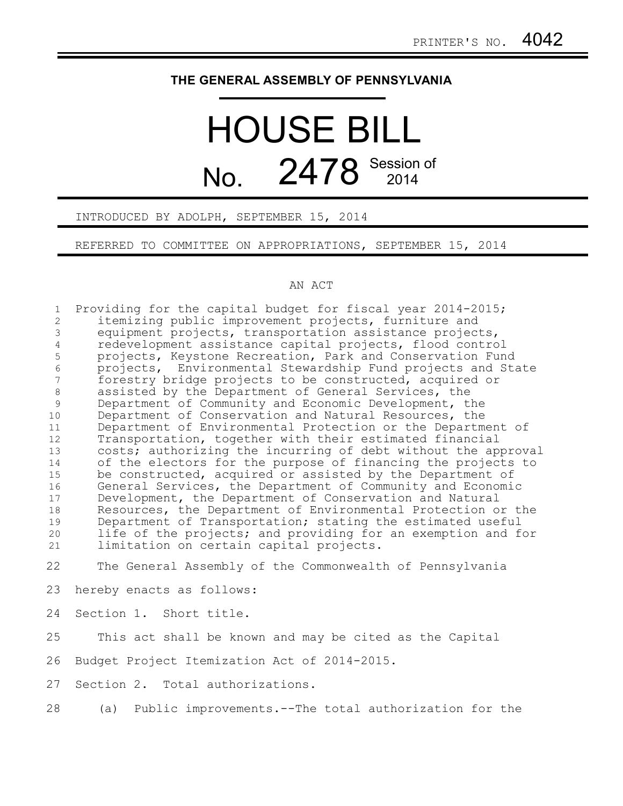## **THE GENERAL ASSEMBLY OF PENNSYLVANIA**

## HOUSE BILL No. 2478 Session of

INTRODUCED BY ADOLPH, SEPTEMBER 15, 2014

REFERRED TO COMMITTEE ON APPROPRIATIONS, SEPTEMBER 15, 2014

## AN ACT

Providing for the capital budget for fiscal year 2014-2015; itemizing public improvement projects, furniture and equipment projects, transportation assistance projects, redevelopment assistance capital projects, flood control projects, Keystone Recreation, Park and Conservation Fund projects, Environmental Stewardship Fund projects and State forestry bridge projects to be constructed, acquired or assisted by the Department of General Services, the Department of Community and Economic Development, the Department of Conservation and Natural Resources, the Department of Environmental Protection or the Department of Transportation, together with their estimated financial costs; authorizing the incurring of debt without the approval of the electors for the purpose of financing the projects to be constructed, acquired or assisted by the Department of General Services, the Department of Community and Economic Development, the Department of Conservation and Natural Resources, the Department of Environmental Protection or the Department of Transportation; stating the estimated useful life of the projects; and providing for an exemption and for limitation on certain capital projects. The General Assembly of the Commonwealth of Pennsylvania hereby enacts as follows: Section 1. Short title. This act shall be known and may be cited as the Capital Budget Project Itemization Act of 2014-2015. Section 2. Total authorizations. 1 2 3 4 5 6 7 8 9 10 11 12 13 14 15 16 17 18 19 20 21 22 23 24 25 26 27

(a) Public improvements.--The total authorization for the 28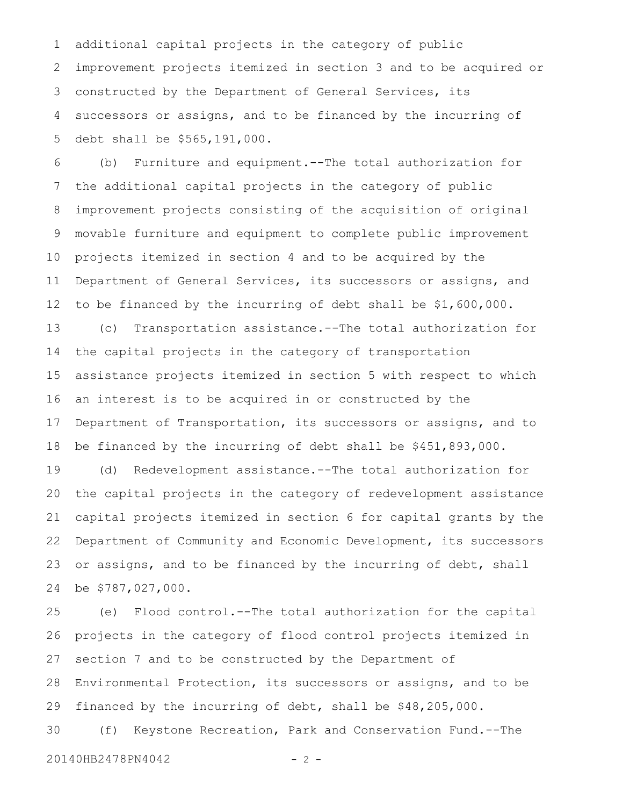additional capital projects in the category of public improvement projects itemized in section 3 and to be acquired or constructed by the Department of General Services, its successors or assigns, and to be financed by the incurring of debt shall be \$565,191,000. 1 2 3 4 5

(b) Furniture and equipment.--The total authorization for the additional capital projects in the category of public improvement projects consisting of the acquisition of original movable furniture and equipment to complete public improvement projects itemized in section 4 and to be acquired by the Department of General Services, its successors or assigns, and to be financed by the incurring of debt shall be \$1,600,000. 6 7 8 9 10 11 12

(c) Transportation assistance.--The total authorization for the capital projects in the category of transportation assistance projects itemized in section 5 with respect to which an interest is to be acquired in or constructed by the Department of Transportation, its successors or assigns, and to be financed by the incurring of debt shall be \$451,893,000. 13 14 15 16 17 18

(d) Redevelopment assistance.--The total authorization for the capital projects in the category of redevelopment assistance capital projects itemized in section 6 for capital grants by the Department of Community and Economic Development, its successors or assigns, and to be financed by the incurring of debt, shall be \$787,027,000. 19 20 21 22 23 24

(e) Flood control.--The total authorization for the capital projects in the category of flood control projects itemized in section 7 and to be constructed by the Department of Environmental Protection, its successors or assigns, and to be financed by the incurring of debt, shall be \$48,205,000. (f) Keystone Recreation, Park and Conservation Fund.--The 25 26 27 28 29 30

20140HB2478PN4042 - 2 -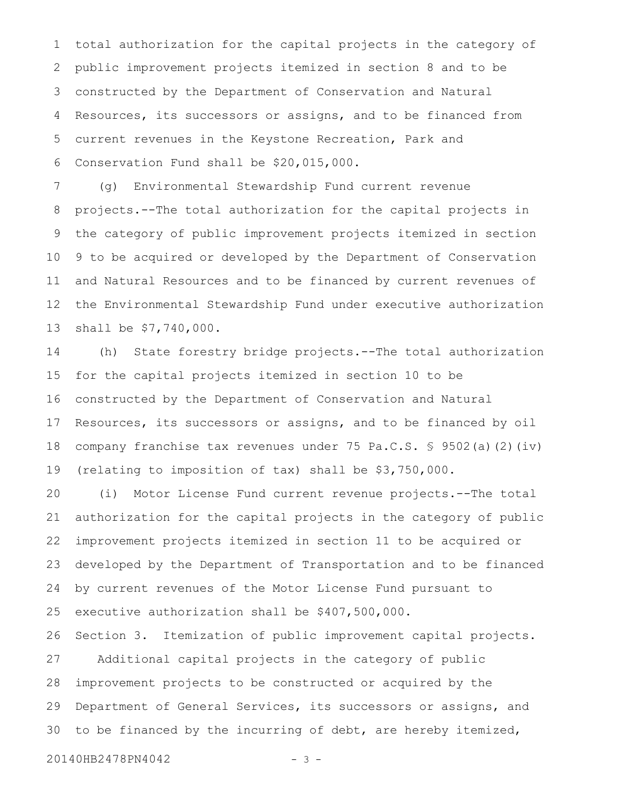total authorization for the capital projects in the category of public improvement projects itemized in section 8 and to be constructed by the Department of Conservation and Natural Resources, its successors or assigns, and to be financed from current revenues in the Keystone Recreation, Park and Conservation Fund shall be \$20,015,000. 1 2 3 4 5 6

(g) Environmental Stewardship Fund current revenue projects.--The total authorization for the capital projects in the category of public improvement projects itemized in section 9 to be acquired or developed by the Department of Conservation and Natural Resources and to be financed by current revenues of the Environmental Stewardship Fund under executive authorization shall be \$7,740,000. 7 8 9 10 11 12 13

(h) State forestry bridge projects.--The total authorization for the capital projects itemized in section 10 to be constructed by the Department of Conservation and Natural Resources, its successors or assigns, and to be financed by oil company franchise tax revenues under 75 Pa.C.S. § 9502(a)(2)(iv) (relating to imposition of tax) shall be \$3,750,000. 14 15 16 17 18 19

(i) Motor License Fund current revenue projects.--The total authorization for the capital projects in the category of public improvement projects itemized in section 11 to be acquired or developed by the Department of Transportation and to be financed by current revenues of the Motor License Fund pursuant to executive authorization shall be \$407,500,000. 20 21 22 23 24 25

Section 3. Itemization of public improvement capital projects. Additional capital projects in the category of public improvement projects to be constructed or acquired by the Department of General Services, its successors or assigns, and to be financed by the incurring of debt, are hereby itemized, 26 27 28 29 30

20140HB2478PN4042 - 3 -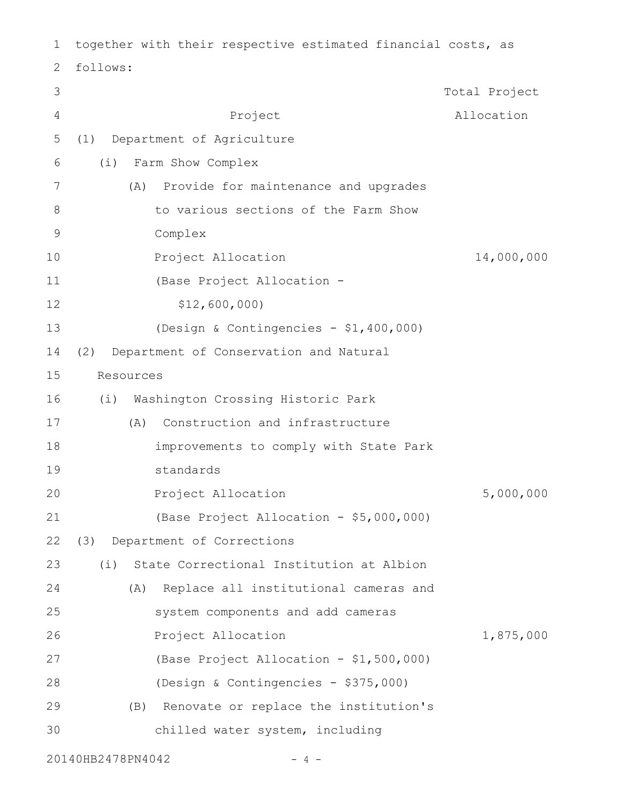| 1              | together with their respective estimated financial costs, as |               |
|----------------|--------------------------------------------------------------|---------------|
| 2              | follows:                                                     |               |
| 3              |                                                              | Total Project |
| $\overline{4}$ | Project                                                      | Allocation    |
| 5              | Department of Agriculture<br>(1)                             |               |
| 6              | Farm Show Complex<br>(i)                                     |               |
| 7              | Provide for maintenance and upgrades<br>(A)                  |               |
| 8              | to various sections of the Farm Show                         |               |
| $\mathsf 9$    | Complex                                                      |               |
| 10             | Project Allocation                                           | 14,000,000    |
| 11             | (Base Project Allocation -                                   |               |
| 12             | \$12,600,000                                                 |               |
| 13             | (Design & Contingencies - \$1,400,000)                       |               |
| 14             | Department of Conservation and Natural<br>(2)                |               |
| 15             | Resources                                                    |               |
| 16             | Washington Crossing Historic Park<br>(i)                     |               |
| 17             | Construction and infrastructure<br>(A)                       |               |
| 18             | improvements to comply with State Park                       |               |
| 19             | standards                                                    |               |
| 20             | Project Allocation                                           | 5,000,000     |
| 21             | (Base Project Allocation - \$5,000,000)                      |               |
| 22             | Department of Corrections<br>(3)                             |               |
| 23             | State Correctional Institution at Albion<br>(i)              |               |
| 24             | Replace all institutional cameras and<br>(A)                 |               |
| 25             | system components and add cameras                            |               |
| 26             | Project Allocation                                           | 1,875,000     |
| 27             | (Base Project Allocation - \$1,500,000)                      |               |
| 28             | (Design & Contingencies - \$375,000)                         |               |
| 29             | Renovate or replace the institution's<br>(B)                 |               |
| 30             | chilled water system, including                              |               |
|                |                                                              |               |

20140HB2478PN4042 - 4 -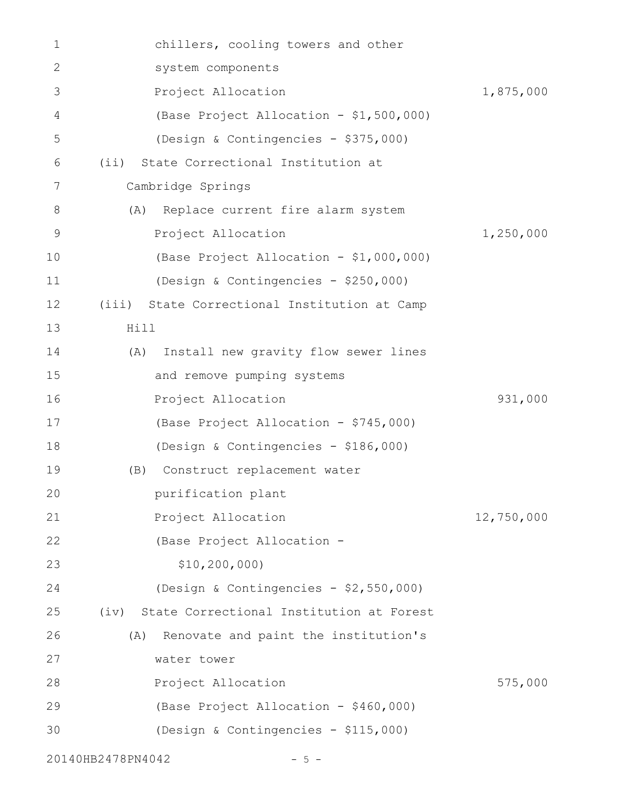| 1              | chillers, cooling towers and other            |            |
|----------------|-----------------------------------------------|------------|
| $\mathbf{2}$   | system components                             |            |
| 3              | Project Allocation                            | 1,875,000  |
| $\overline{4}$ | (Base Project Allocation - \$1,500,000)       |            |
| 5              | (Design & Contingencies - \$375,000)          |            |
| 6              | (ii) State Correctional Institution at        |            |
| 7              | Cambridge Springs                             |            |
| 8              | (A) Replace current fire alarm system         |            |
| 9              | Project Allocation                            | 1,250,000  |
| 10             | (Base Project Allocation - \$1,000,000)       |            |
| 11             | (Design & Contingencies - \$250,000)          |            |
| 12             | (iii) State Correctional Institution at Camp  |            |
| 13             | Hill                                          |            |
| 14             | Install new gravity flow sewer lines<br>(A)   |            |
| 15             | and remove pumping systems                    |            |
| 16             | Project Allocation                            | 931,000    |
| 17             | (Base Project Allocation - \$745,000)         |            |
| 18             | (Design & Contingencies - \$186,000)          |            |
| 19             | Construct replacement water<br>(B)            |            |
| 20             | purification plant                            |            |
| 21             | Project Allocation                            | 12,750,000 |
| 22             | (Base Project Allocation -                    |            |
| 23             | \$10, 200, 000)                               |            |
| 24             | (Design & Contingencies - \$2,550,000)        |            |
| 25             | (iv) State Correctional Institution at Forest |            |
| 26             | Renovate and paint the institution's<br>(A)   |            |
| 27             | water tower                                   |            |
| 28             | Project Allocation                            | 575,000    |
| 29             | (Base Project Allocation - \$460,000)         |            |
| 30             | (Design & Contingencies - \$115,000)          |            |
|                | 20140HB2478PN4042<br>$-5 -$                   |            |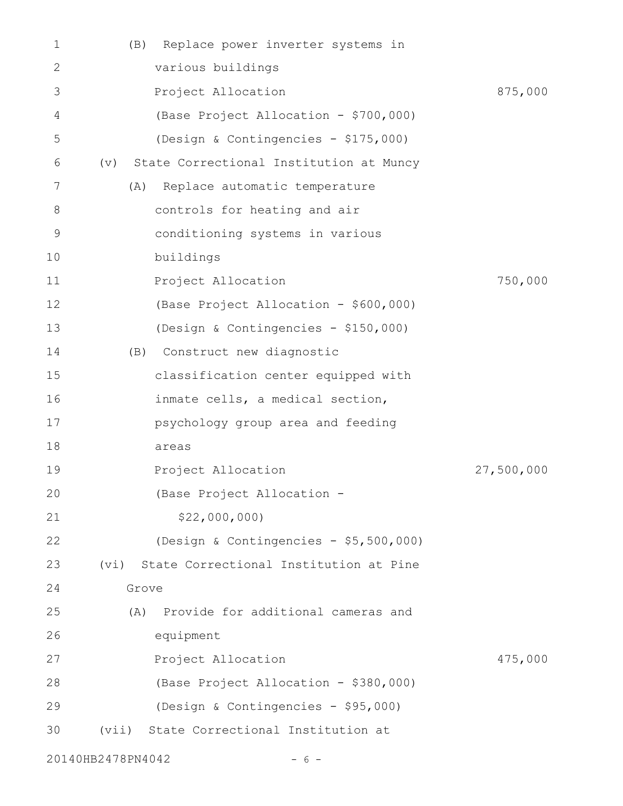| 1              | Replace power inverter systems in<br>(B)       |            |
|----------------|------------------------------------------------|------------|
| $\mathbf{2}$   | various buildings                              |            |
| 3              | Project Allocation                             | 875,000    |
| $\overline{4}$ | (Base Project Allocation - \$700,000)          |            |
| 5              | (Design & Contingencies - \$175,000)           |            |
| 6              | State Correctional Institution at Muncy<br>(v) |            |
| 7              | Replace automatic temperature<br>(A)           |            |
| 8              | controls for heating and air                   |            |
| 9              | conditioning systems in various                |            |
| 10             | buildings                                      |            |
| 11             | Project Allocation                             | 750,000    |
| 12             | (Base Project Allocation - \$600,000)          |            |
| 13             | (Design & Contingencies - \$150,000)           |            |
| 14             | (B) Construct new diagnostic                   |            |
| 15             | classification center equipped with            |            |
| 16             | inmate cells, a medical section,               |            |
| 17             | psychology group area and feeding              |            |
| 18             | areas                                          |            |
| 19             | Project Allocation                             | 27,500,000 |
| 20             | (Base Project Allocation                       |            |
| 21             | \$22,000,000                                   |            |
| 22             | (Design & Contingencies - \$5,500,000)         |            |
| 23             | State Correctional Institution at Pine<br>(vi) |            |
| 24             | Grove                                          |            |
| 25             | Provide for additional cameras and<br>(A)      |            |
| 26             | equipment                                      |            |
| 27             | Project Allocation                             | 475,000    |
| 28             | (Base Project Allocation - \$380,000)          |            |
| 29             | (Design & Contingencies - \$95,000)            |            |
| 30             | (vii) State Correctional Institution at        |            |
|                | 20140HB2478PN4042<br>$-6-$                     |            |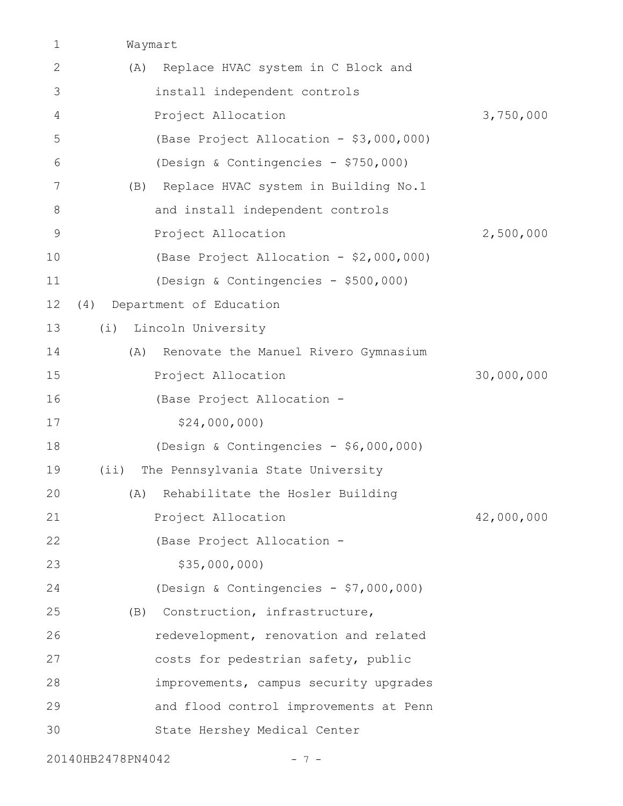Waymart 1

| $\mathbf{2}$  | Replace HVAC system in C Block and<br>(A)   |            |
|---------------|---------------------------------------------|------------|
| 3             | install independent controls                |            |
| 4             | Project Allocation                          | 3,750,000  |
| 5             | (Base Project Allocation - \$3,000,000)     |            |
| 6             | (Design & Contingencies - \$750,000)        |            |
| 7             | Replace HVAC system in Building No.1<br>(B) |            |
| 8             | and install independent controls            |            |
| $\mathcal{G}$ | Project Allocation                          | 2,500,000  |
| 10            | (Base Project Allocation - \$2,000,000)     |            |
| 11            | (Design & Contingencies - \$500,000)        |            |
| 12            | Department of Education<br>(4)              |            |
| 13            | Lincoln University<br>(i)                   |            |
| 14            | Renovate the Manuel Rivero Gymnasium<br>(A) |            |
| 15            | Project Allocation                          | 30,000,000 |
| 16            | (Base Project Allocation -                  |            |
| 17            | \$24,000,000                                |            |
| 18            | (Design & Contingencies - \$6,000,000)      |            |
| 19            | The Pennsylvania State University<br>(i)    |            |
| 20            | Rehabilitate the Hosler Building<br>(A)     |            |
| 21            | Project Allocation                          | 42,000,000 |
| 22            | (Base Project Allocation -                  |            |
| 23            | \$35,000,000                                |            |
| 24            | (Design & Contingencies - \$7,000,000)      |            |
| 25            | Construction, infrastructure,<br>(B)        |            |
| 26            | redevelopment, renovation and related       |            |
| 27            | costs for pedestrian safety, public         |            |
| 28            | improvements, campus security upgrades      |            |
| 29            | and flood control improvements at Penn      |            |
| 30            | State Hershey Medical Center                |            |
|               |                                             |            |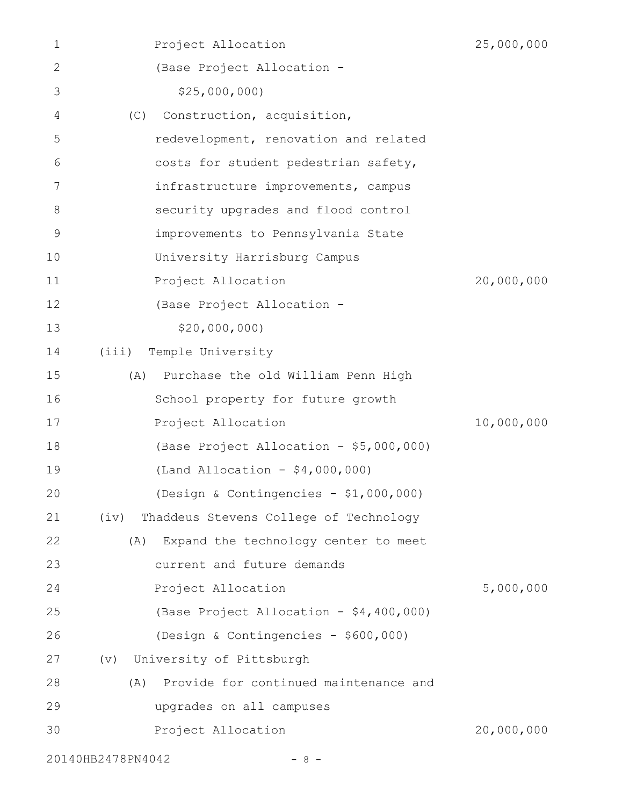| 1           | Project Allocation                             | 25,000,000 |
|-------------|------------------------------------------------|------------|
| 2           | (Base Project Allocation -                     |            |
| 3           | \$25,000,000                                   |            |
| 4           | Construction, acquisition,<br>(C)              |            |
| 5           | redevelopment, renovation and related          |            |
| 6           | costs for student pedestrian safety,           |            |
| 7           | infrastructure improvements, campus            |            |
| 8           | security upgrades and flood control            |            |
| $\mathsf 9$ | improvements to Pennsylvania State             |            |
| 10          | University Harrisburg Campus                   |            |
| 11          | Project Allocation                             | 20,000,000 |
| 12          | (Base Project Allocation -                     |            |
| 13          | \$20,000,000                                   |            |
| 14          | (iii)<br>Temple University                     |            |
| 15          | Purchase the old William Penn High<br>(A)      |            |
| 16          | School property for future growth              |            |
| 17          | Project Allocation                             | 10,000,000 |
| 18          | (Base Project Allocation - \$5,000,000)        |            |
| 19          | (Land Allocation - $$4,000,000$ )              |            |
| 20          | (Design & Contingencies - \$1,000,000)         |            |
| 21          | Thaddeus Stevens College of Technology<br>(iv) |            |
| 22          | Expand the technology center to meet<br>(A)    |            |
| 23          | current and future demands                     |            |
| 24          | Project Allocation                             | 5,000,000  |
| 25          | (Base Project Allocation - \$4,400,000)        |            |
| 26          | (Design & Contingencies - \$600,000)           |            |
| 27          | University of Pittsburgh<br>$(\triangledown)$  |            |
| 28          | Provide for continued maintenance and<br>(A)   |            |
| 29          | upgrades on all campuses                       |            |
| 30          | Project Allocation                             | 20,000,000 |
|             | 20140HB2478PN4042<br>- 8 -                     |            |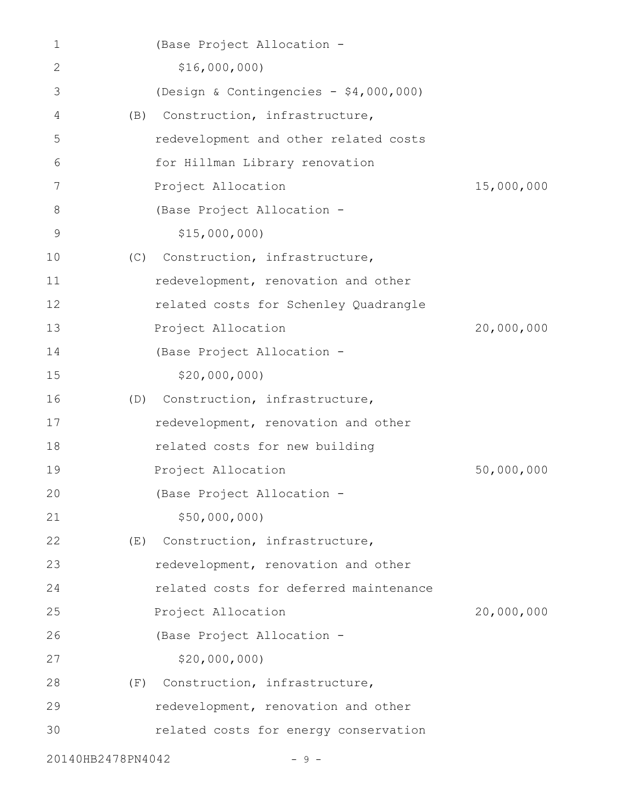| 1                 |     | (Base Project Allocation -             |            |
|-------------------|-----|----------------------------------------|------------|
| 2                 |     | \$16,000,000)                          |            |
| 3                 |     | (Design & Contingencies - \$4,000,000) |            |
| 4                 | (B) | Construction, infrastructure,          |            |
| 5                 |     | redevelopment and other related costs  |            |
| 6                 |     | for Hillman Library renovation         |            |
| 7                 |     | Project Allocation                     | 15,000,000 |
| 8                 |     | (Base Project Allocation -             |            |
| 9                 |     | \$15,000,000                           |            |
| 10                | (C) | Construction, infrastructure,          |            |
| 11                |     | redevelopment, renovation and other    |            |
| 12                |     | related costs for Schenley Quadrangle  |            |
| 13                |     | Project Allocation                     | 20,000,000 |
| 14                |     | (Base Project Allocation -             |            |
| 15                |     | \$20,000,000                           |            |
| 16                |     | (D) Construction, infrastructure,      |            |
| 17                |     | redevelopment, renovation and other    |            |
| 18                |     | related costs for new building         |            |
| 19                |     | Project Allocation                     | 50,000,000 |
| 20                |     | (Base Project Allocation -             |            |
| 21                |     | \$50,000,000                           |            |
| 22                | (E) | Construction, infrastructure,          |            |
| 23                |     | redevelopment, renovation and other    |            |
| 24                |     | related costs for deferred maintenance |            |
| 25                |     | Project Allocation                     | 20,000,000 |
| 26                |     | (Base Project Allocation -             |            |
| 27                |     | \$20,000,000                           |            |
| 28                | (F) | Construction, infrastructure,          |            |
| 29                |     | redevelopment, renovation and other    |            |
| 30                |     | related costs for energy conservation  |            |
| 20140HB2478PN4042 |     | - 9                                    |            |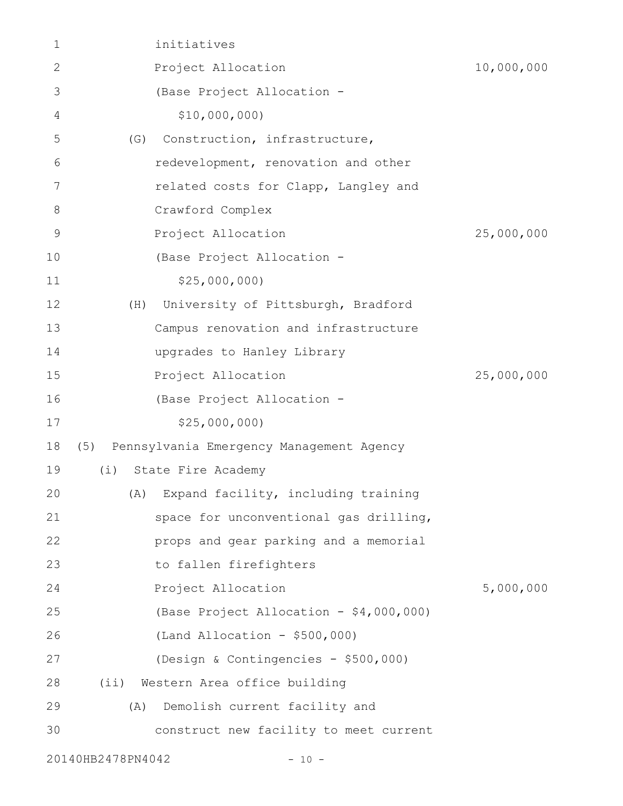| 1           |                   | initiatives                                  |            |
|-------------|-------------------|----------------------------------------------|------------|
| 2           |                   | Project Allocation                           | 10,000,000 |
| 3           |                   | (Base Project Allocation -                   |            |
| 4           |                   | \$10,000,000                                 |            |
| 5           | (G)               | Construction, infrastructure,                |            |
| 6           |                   | redevelopment, renovation and other          |            |
| 7           |                   | related costs for Clapp, Langley and         |            |
| $8\,$       |                   | Crawford Complex                             |            |
| $\mathsf 9$ |                   | Project Allocation                           | 25,000,000 |
| 10          |                   | (Base Project Allocation -                   |            |
| 11          |                   | \$25,000,000                                 |            |
| 12          | (H)               | University of Pittsburgh, Bradford           |            |
| 13          |                   | Campus renovation and infrastructure         |            |
| 14          |                   | upgrades to Hanley Library                   |            |
| 15          |                   | Project Allocation                           | 25,000,000 |
| 16          |                   | (Base Project Allocation -                   |            |
| 17          |                   | \$25,000,000                                 |            |
| 18          |                   | (5) Pennsylvania Emergency Management Agency |            |
| 19          | (i)               | State Fire Academy                           |            |
| 20          |                   | (A) Expand facility, including training      |            |
| 21          |                   | space for unconventional gas drilling,       |            |
| 22          |                   | props and gear parking and a memorial        |            |
| 23          |                   | to fallen firefighters                       |            |
| 24          |                   | Project Allocation                           | 5,000,000  |
| 25          |                   | (Base Project Allocation - \$4,000,000)      |            |
| 26          |                   | $(Land Allocation - $500,000)$               |            |
| 27          |                   | (Design & Contingencies - \$500,000)         |            |
| 28          |                   | (ii) Western Area office building            |            |
| 29          | (A)               | Demolish current facility and                |            |
| 30          |                   | construct new facility to meet current       |            |
|             | 20140HB2478PN4042 | $-10 -$                                      |            |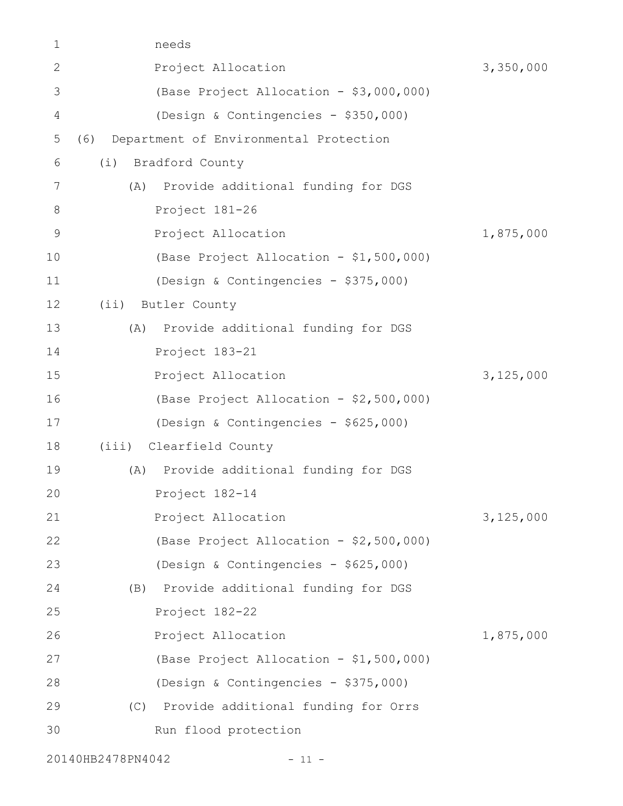| 1               | needs |                                         |           |
|-----------------|-------|-----------------------------------------|-----------|
| $\mathbf{2}$    |       | Project Allocation                      | 3,350,000 |
| 3               |       | (Base Project Allocation - \$3,000,000) |           |
| 4               |       | (Design & Contingencies - \$350,000)    |           |
| 5               | (6)   | Department of Environmental Protection  |           |
| 6               | (i)   | Bradford County                         |           |
| $7\phantom{.0}$ |       | (A) Provide additional funding for DGS  |           |
| 8               |       | Project 181-26                          |           |
| $\mathsf 9$     |       | Project Allocation                      | 1,875,000 |
| 10              |       | (Base Project Allocation - \$1,500,000) |           |
| 11              |       | (Design & Contingencies - \$375,000)    |           |
| 12              | (i)   | Butler County                           |           |
| 13              | (A)   | Provide additional funding for DGS      |           |
| 14              |       | Project 183-21                          |           |
| 15              |       | Project Allocation                      | 3,125,000 |
| 16              |       | (Base Project Allocation - \$2,500,000) |           |
| 17              |       | (Design & Contingencies - \$625,000)    |           |
| 18              |       | (iii) Clearfield County                 |           |
| 19              |       | (A) Provide additional funding for DGS  |           |
| 20              |       | Project 182-14                          |           |
| 21              |       | Project Allocation                      | 3,125,000 |
| 22              |       | (Base Project Allocation - \$2,500,000) |           |
| 23              |       | (Design & Contingencies - \$625,000)    |           |
| 24              | (B)   | Provide additional funding for DGS      |           |
| 25              |       | Project 182-22                          |           |
| 26              |       | Project Allocation                      | 1,875,000 |
| 27              |       | (Base Project Allocation - \$1,500,000) |           |
| 28              |       | (Design & Contingencies - \$375,000)    |           |
| 29              | (C)   | Provide additional funding for Orrs     |           |
| 30              |       | Run flood protection                    |           |
|                 |       |                                         |           |

20140HB2478PN4042 - 11 -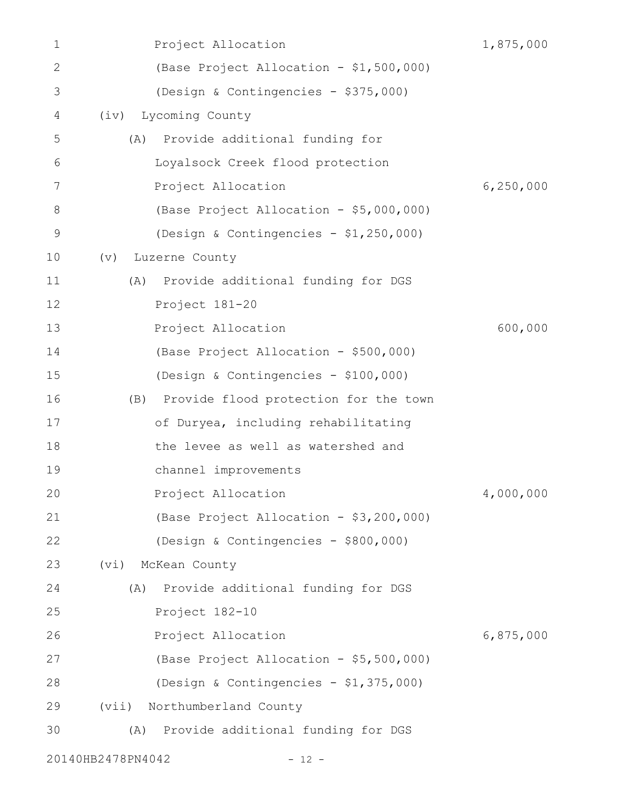| 1            | Project Allocation                        | 1,875,000   |
|--------------|-------------------------------------------|-------------|
| $\mathbf{2}$ | (Base Project Allocation - \$1,500,000)   |             |
| 3            | (Design & Contingencies - \$375,000)      |             |
| 4            | Lycoming County<br>(iv)                   |             |
| 5            | Provide additional funding for<br>(A)     |             |
| 6            | Loyalsock Creek flood protection          |             |
| 7            | Project Allocation                        | 6, 250, 000 |
| 8            | (Base Project Allocation - \$5,000,000)   |             |
| 9            | (Design & Contingencies - \$1,250,000)    |             |
| 10           | Luzerne County<br>$(\triangledown)$       |             |
| 11           | Provide additional funding for DGS<br>(A) |             |
| 12           | Project 181-20                            |             |
| 13           | Project Allocation                        | 600,000     |
| 14           | (Base Project Allocation - \$500,000)     |             |
| 15           | (Design & Contingencies - \$100,000)      |             |
| 16           | (B) Provide flood protection for the town |             |
| 17           | of Duryea, including rehabilitating       |             |
| 18           | the levee as well as watershed and        |             |
| 19           | channel improvements                      |             |
| 20           | Project Allocation                        | 4,000,000   |
| 21           | (Base Project Allocation - \$3,200,000)   |             |
| 22           | (Design & Contingencies - \$800,000)      |             |
| 23           | McKean County<br>(vi)                     |             |
| 24           | Provide additional funding for DGS<br>(A) |             |
| 25           | Project 182-10                            |             |
| 26           | Project Allocation                        | 6,875,000   |
| 27           | (Base Project Allocation - \$5,500,000)   |             |
| 28           | (Design & Contingencies - \$1,375,000)    |             |
| 29           | (vii) Northumberland County               |             |
| 30           | (A) Provide additional funding for DGS    |             |
|              | 20140HB2478PN4042<br>$-12 -$              |             |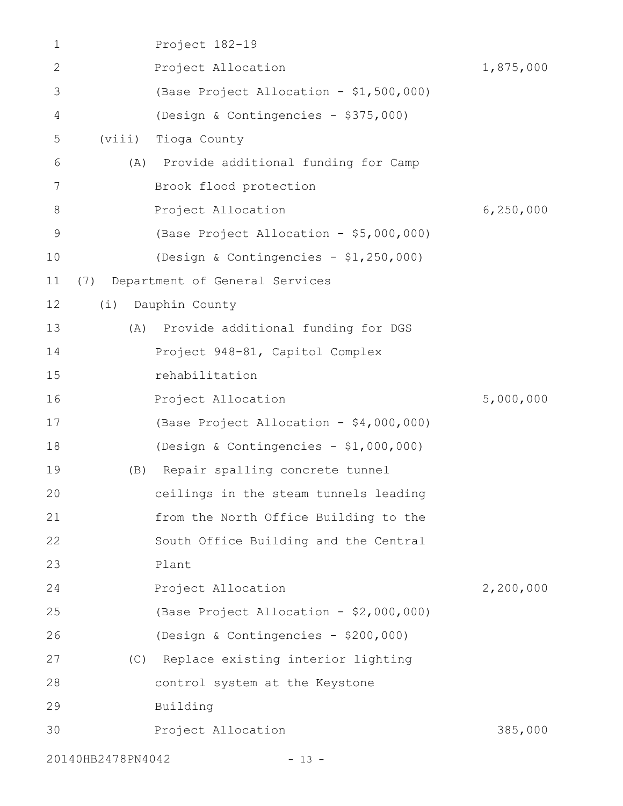| 1             |                   | Project 182-19                          |             |
|---------------|-------------------|-----------------------------------------|-------------|
| $\mathbf{2}$  |                   | Project Allocation                      | 1,875,000   |
| 3             |                   | (Base Project Allocation - \$1,500,000) |             |
| 4             |                   | (Design & Contingencies - \$375,000)    |             |
| 5             | (viii)            | Tioga County                            |             |
| 6             | (A)               | Provide additional funding for Camp     |             |
| 7             |                   | Brook flood protection                  |             |
| $8\,$         |                   | Project Allocation                      | 6, 250, 000 |
| $\mathcal{G}$ |                   | (Base Project Allocation - \$5,000,000) |             |
| 10            |                   | (Design & Contingencies - \$1,250,000)  |             |
| 11            |                   | (7) Department of General Services      |             |
| 12            | (i)               | Dauphin County                          |             |
| 13            | (A)               | Provide additional funding for DGS      |             |
| 14            |                   | Project 948-81, Capitol Complex         |             |
| 15            |                   | rehabilitation                          |             |
| 16            |                   | Project Allocation                      | 5,000,000   |
| 17            |                   | (Base Project Allocation - \$4,000,000) |             |
| 18            |                   | (Design & Contingencies - $$1,000,000)$ |             |
| 19            | (B)               | Repair spalling concrete tunnel         |             |
| 20            |                   | ceilings in the steam tunnels leading   |             |
| 21            |                   | from the North Office Building to the   |             |
| 22            |                   | South Office Building and the Central   |             |
| 23            |                   | Plant                                   |             |
| 24            |                   | Project Allocation                      | 2,200,000   |
| 25            |                   | (Base Project Allocation - \$2,000,000) |             |
| 26            |                   | (Design & Contingencies - \$200,000)    |             |
| 27            |                   | (C) Replace existing interior lighting  |             |
| 28            |                   | control system at the Keystone          |             |
| 29            |                   | Building                                |             |
| 30            |                   | Project Allocation                      | 385,000     |
|               | 20140HB2478PN4042 | $-13 -$                                 |             |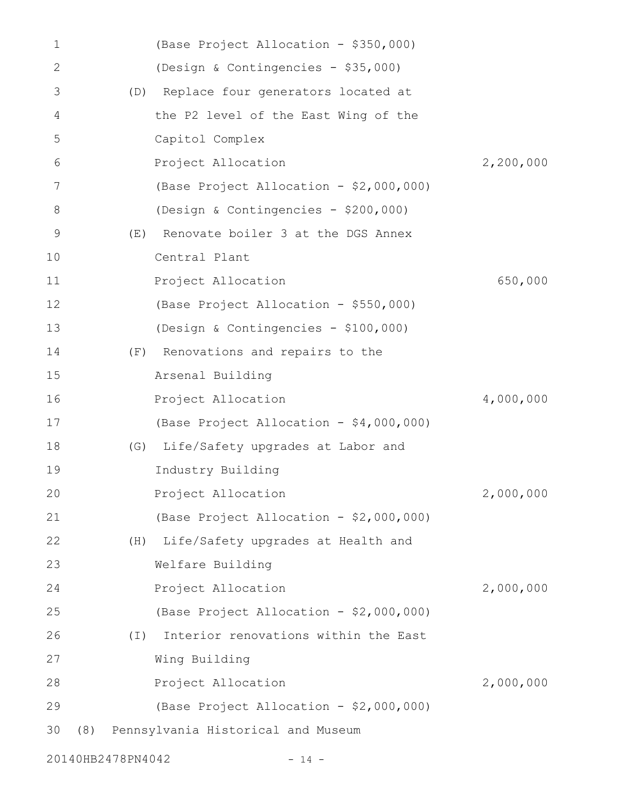| 1            |                   | (Base Project Allocation - \$350,000)   |           |
|--------------|-------------------|-----------------------------------------|-----------|
| $\mathbf{2}$ |                   | (Design & Contingencies - \$35,000)     |           |
| 3            |                   | (D) Replace four generators located at  |           |
| 4            |                   | the P2 level of the East Wing of the    |           |
| 5            |                   | Capitol Complex                         |           |
| 6            |                   | Project Allocation                      | 2,200,000 |
| 7            |                   | (Base Project Allocation - \$2,000,000) |           |
| 8            |                   | (Design & Contingencies - \$200,000)    |           |
| 9            | (E)               | Renovate boiler 3 at the DGS Annex      |           |
| 10           |                   | Central Plant                           |           |
| 11           |                   | Project Allocation                      | 650,000   |
| 12           |                   | (Base Project Allocation - \$550,000)   |           |
| 13           |                   | (Design & Contingencies - \$100,000)    |           |
| 14           | (F)               | Renovations and repairs to the          |           |
| 15           |                   | Arsenal Building                        |           |
| 16           |                   | Project Allocation                      | 4,000,000 |
| 17           |                   | (Base Project Allocation - \$4,000,000) |           |
| 18           | (G)               | Life/Safety upgrades at Labor and       |           |
| 19           |                   | Industry Building                       |           |
| 20           |                   | Project Allocation                      | 2,000,000 |
| 21           |                   | (Base Project Allocation - \$2,000,000) |           |
| 22           | (H)               | Life/Safety upgrades at Health and      |           |
| 23           |                   | Welfare Building                        |           |
| 24           |                   | Project Allocation                      | 2,000,000 |
| 25           |                   | (Base Project Allocation - \$2,000,000) |           |
| 26           | $(\bot)$          | Interior renovations within the East    |           |
| 27           |                   | Wing Building                           |           |
| 28           |                   | Project Allocation                      | 2,000,000 |
| 29           |                   | (Base Project Allocation - \$2,000,000) |           |
| 30           |                   | (8) Pennsylvania Historical and Museum  |           |
|              | 20140HB2478PN4042 | $-14 -$                                 |           |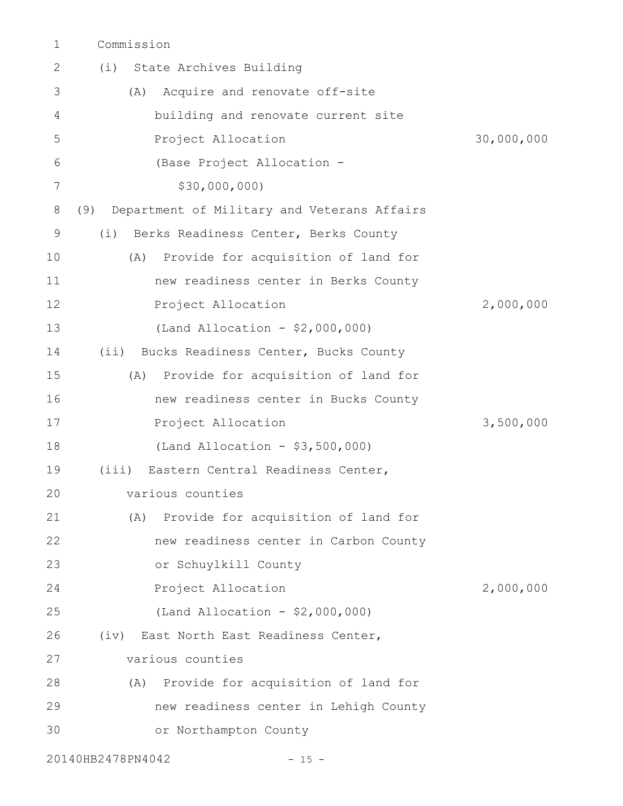Commission 1

| 2  | State Archives Building<br>(i)                     |            |
|----|----------------------------------------------------|------------|
| 3  | Acquire and renovate off-site<br>(A)               |            |
| 4  | building and renovate current site                 |            |
| 5  | Project Allocation                                 | 30,000,000 |
| 6  | (Base Project Allocation -                         |            |
| 7  | \$30,000,000)                                      |            |
| 8  | Department of Military and Veterans Affairs<br>(9) |            |
| 9  | Berks Readiness Center, Berks County<br>(i)        |            |
| 10 | Provide for acquisition of land for<br>(A)         |            |
| 11 | new readiness center in Berks County               |            |
| 12 | Project Allocation                                 | 2,000,000  |
| 13 | (Land Allocation - \$2,000,000)                    |            |
| 14 | (ii) Bucks Readiness Center, Bucks County          |            |
| 15 | Provide for acquisition of land for<br>(A)         |            |
| 16 | new readiness center in Bucks County               |            |
| 17 | Project Allocation                                 | 3,500,000  |
| 18 | (Land Allocation - \$3,500,000)                    |            |
| 19 | (iii) Eastern Central Readiness Center,            |            |
| 20 | various counties                                   |            |
| 21 | (A) Provide for acquisition of land for            |            |
| 22 | new readiness center in Carbon County              |            |
| 23 | or Schuylkill County                               |            |
| 24 | Project Allocation                                 | 2,000,000  |
| 25 | (Land Allocation - $$2,000,000)$                   |            |
| 26 | (iv) East North East Readiness Center,             |            |
| 27 | various counties                                   |            |
| 28 | (A) Provide for acquisition of land for            |            |
| 29 | new readiness center in Lehigh County              |            |
| 30 | or Northampton County                              |            |
|    | 20140HB2478PN4042<br>$-15 -$                       |            |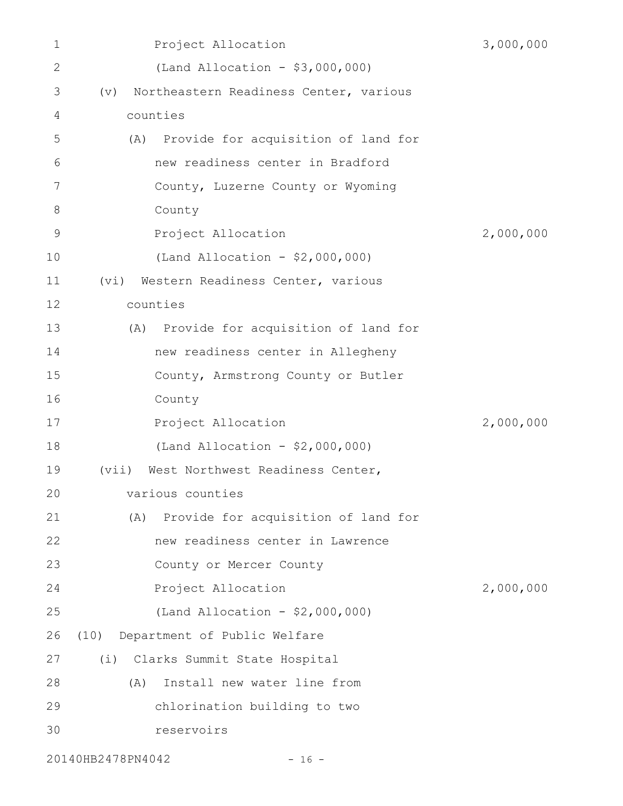| 1            | Project Allocation                                          | 3,000,000 |
|--------------|-------------------------------------------------------------|-----------|
| $\mathbf{2}$ | (Land Allocation - $$3,000,000)$                            |           |
| 3            | Northeastern Readiness Center, various<br>$(\triangledown)$ |           |
| 4            | counties                                                    |           |
| 5            | (A) Provide for acquisition of land for                     |           |
| 6            | new readiness center in Bradford                            |           |
| 7            | County, Luzerne County or Wyoming                           |           |
| 8            | County                                                      |           |
| $\mathsf 9$  | Project Allocation                                          | 2,000,000 |
| 10           | (Land Allocation - $$2,000,000)$                            |           |
| 11           | Western Readiness Center, various<br>(vi)                   |           |
| 12           | counties                                                    |           |
| 13           | (A) Provide for acquisition of land for                     |           |
| 14           | new readiness center in Allegheny                           |           |
| 15           | County, Armstrong County or Butler                          |           |
| 16           | County                                                      |           |
| 17           | Project Allocation                                          | 2,000,000 |
| 18           | (Land Allocation - $$2,000,000)$                            |           |
| 19           | West Northwest Readiness Center,<br>(vii)                   |           |
| 20           | various counties                                            |           |
| 21           | Provide for acquisition of land for<br>(A)                  |           |
| 22           | new readiness center in Lawrence                            |           |
| 23           | County or Mercer County                                     |           |
| 24           | Project Allocation                                          | 2,000,000 |
| 25           | (Land Allocation - \$2,000,000)                             |           |
| 26           | (10) Department of Public Welfare                           |           |
| 27           | (i) Clarks Summit State Hospital                            |           |
| 28           | Install new water line from<br>(A)                          |           |
| 29           | chlorination building to two                                |           |
| 30           | reservoirs                                                  |           |
|              |                                                             |           |

20140HB2478PN4042 - 16 -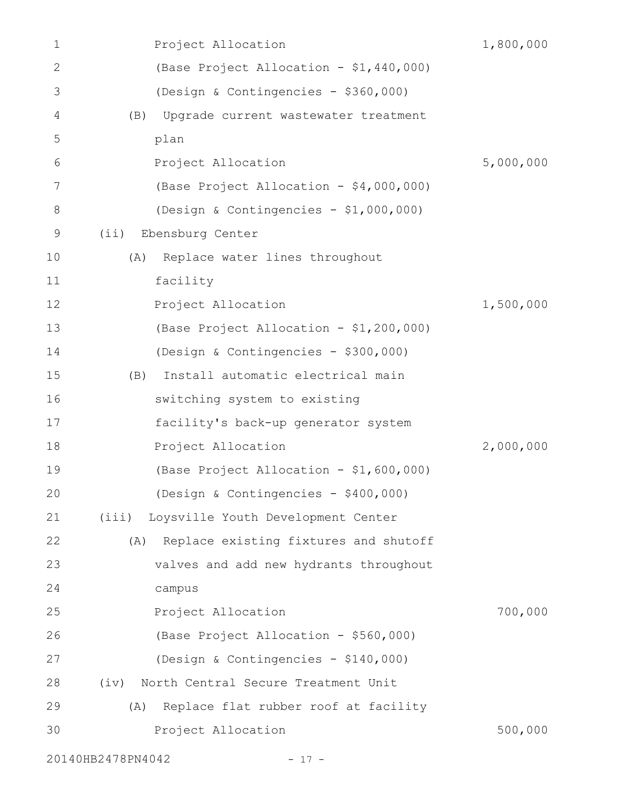| 1  |                   | Project Allocation                       | 1,800,000 |
|----|-------------------|------------------------------------------|-----------|
| 2  |                   | (Base Project Allocation - \$1,440,000)  |           |
| 3  |                   | (Design & Contingencies - \$360,000)     |           |
| 4  | (B)               | Upgrade current wastewater treatment     |           |
| 5  |                   | plan                                     |           |
| 6  |                   | Project Allocation                       | 5,000,000 |
| 7  |                   | (Base Project Allocation - \$4,000,000)  |           |
| 8  |                   | (Design & Contingencies - \$1,000,000)   |           |
| 9  | (iii)             | Ebensburg Center                         |           |
| 10 | (A)               | Replace water lines throughout           |           |
| 11 |                   | facility                                 |           |
| 12 |                   | Project Allocation                       | 1,500,000 |
| 13 |                   | (Base Project Allocation - \$1,200,000)  |           |
| 14 |                   | (Design & Contingencies - \$300,000)     |           |
| 15 | (B)               | Install automatic electrical main        |           |
| 16 |                   | switching system to existing             |           |
| 17 |                   | facility's back-up generator system      |           |
| 18 |                   | Project Allocation                       | 2,000,000 |
| 19 |                   | (Base Project Allocation - \$1,600,000)  |           |
| 20 |                   | (Design & Contingencies - \$400,000)     |           |
| 21 |                   | (iii) Loysville Youth Development Center |           |
| 22 | (A)               | Replace existing fixtures and shutoff    |           |
| 23 |                   | valves and add new hydrants throughout   |           |
| 24 |                   | campus                                   |           |
| 25 |                   | Project Allocation                       | 700,000   |
| 26 |                   | (Base Project Allocation - \$560,000)    |           |
| 27 |                   | (Design & Contingencies - \$140,000)     |           |
| 28 | (iv)              | North Central Secure Treatment Unit      |           |
| 29 | (A)               | Replace flat rubber roof at facility     |           |
| 30 |                   | Project Allocation                       | 500,000   |
|    | 20140HB2478PN4042 | $-17 -$                                  |           |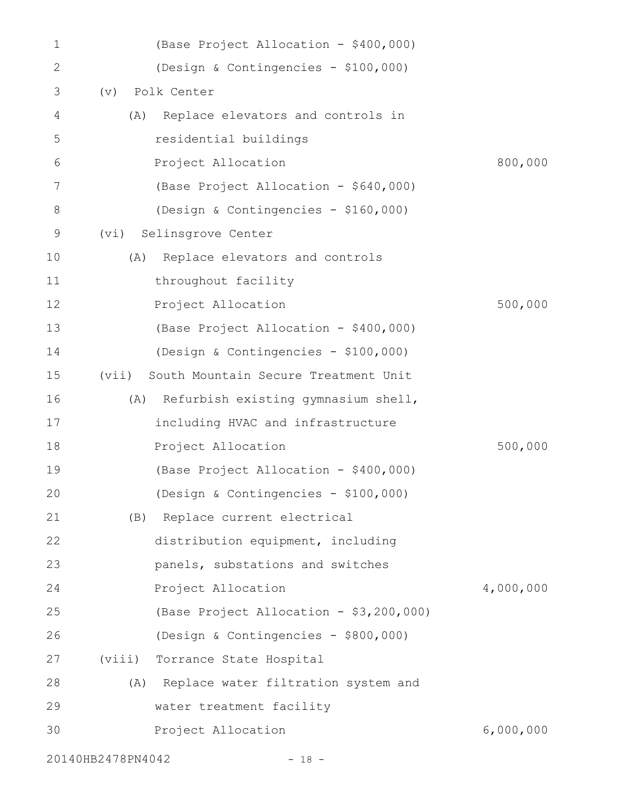| 1            | (Base Project Allocation - \$400,000)         |           |
|--------------|-----------------------------------------------|-----------|
| $\mathbf{2}$ | (Design & Contingencies - \$100,000)          |           |
| 3            | Polk Center<br>(v)                            |           |
| 4            | Replace elevators and controls in<br>(A)      |           |
| 5            | residential buildings                         |           |
| 6            | Project Allocation                            | 800,000   |
| 7            | (Base Project Allocation - \$640,000)         |           |
| 8            | (Design & Contingencies - \$160,000)          |           |
| 9            | Selinsgrove Center<br>(vi)                    |           |
| 10           | Replace elevators and controls<br>(A)         |           |
| 11           | throughout facility                           |           |
| 12           | Project Allocation                            | 500,000   |
| 13           | (Base Project Allocation - \$400,000)         |           |
| 14           | (Design & Contingencies - \$100,000)          |           |
| 15           | South Mountain Secure Treatment Unit<br>(vii) |           |
| 16           | Refurbish existing gymnasium shell,<br>(A)    |           |
| 17           | including HVAC and infrastructure             |           |
| 18           | Project Allocation                            | 500,000   |
| 19           | (Base Project Allocation - \$400,000)         |           |
| 20           | (Design & Contingencies - \$100,000)          |           |
| 21           | Replace current electrical<br>(B)             |           |
| 22           | distribution equipment, including             |           |
| 23           | panels, substations and switches              |           |
| 24           | Project Allocation                            | 4,000,000 |
| 25           | (Base Project Allocation - \$3,200,000)       |           |
| 26           | (Design & Contingencies - \$800,000)          |           |
| 27           | (viii)<br>Torrance State Hospital             |           |
| 28           | Replace water filtration system and<br>(A)    |           |
| 29           | water treatment facility                      |           |
| 30           | Project Allocation                            | 6,000,000 |
|              | 20140HB2478PN4042<br>$-18 -$                  |           |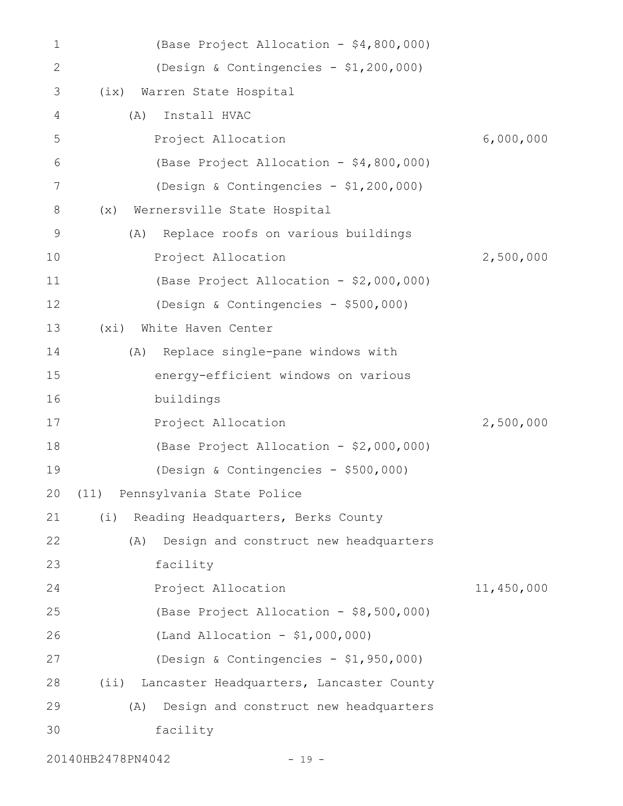| 1           | (Base Project Allocation - \$4,800,000)         |            |
|-------------|-------------------------------------------------|------------|
| 2           | (Design & Contingencies - \$1,200,000)          |            |
| 3           | Warren State Hospital<br>(ix)                   |            |
| 4           | Install HVAC<br>(A)                             |            |
| 5           | Project Allocation                              | 6,000,000  |
| 6           | (Base Project Allocation - \$4,800,000)         |            |
| 7           | (Design & Contingencies - \$1,200,000)          |            |
| 8           | Wernersville State Hospital<br>(x)              |            |
| $\mathsf 9$ | Replace roofs on various buildings<br>(A)       |            |
| 10          | Project Allocation                              | 2,500,000  |
| 11          | (Base Project Allocation - \$2,000,000)         |            |
| 12          | (Design & Contingencies - \$500,000)            |            |
| 13          | White Haven Center<br>(xi)                      |            |
| 14          | Replace single-pane windows with<br>(A)         |            |
| 15          | energy-efficient windows on various             |            |
| 16          | buildings                                       |            |
| 17          | Project Allocation                              | 2,500,000  |
| 18          | (Base Project Allocation - \$2,000,000)         |            |
| 19          | (Design & Contingencies - \$500,000)            |            |
| 20          | (11) Pennsylvania State Police                  |            |
| 21          | Reading Headquarters, Berks County<br>(i)       |            |
| 22          | Design and construct new headquarters<br>(A)    |            |
| 23          | facility                                        |            |
| 24          | Project Allocation                              | 11,450,000 |
| 25          | (Base Project Allocation - \$8,500,000)         |            |
| 26          | (Land Allocation - \$1,000,000)                 |            |
| 27          | (Design & Contingencies - \$1,950,000)          |            |
| 28          | (i)<br>Lancaster Headquarters, Lancaster County |            |
| 29          | Design and construct new headquarters<br>(A)    |            |
| 30          | facility                                        |            |
|             |                                                 |            |

20140HB2478PN4042 - 19 -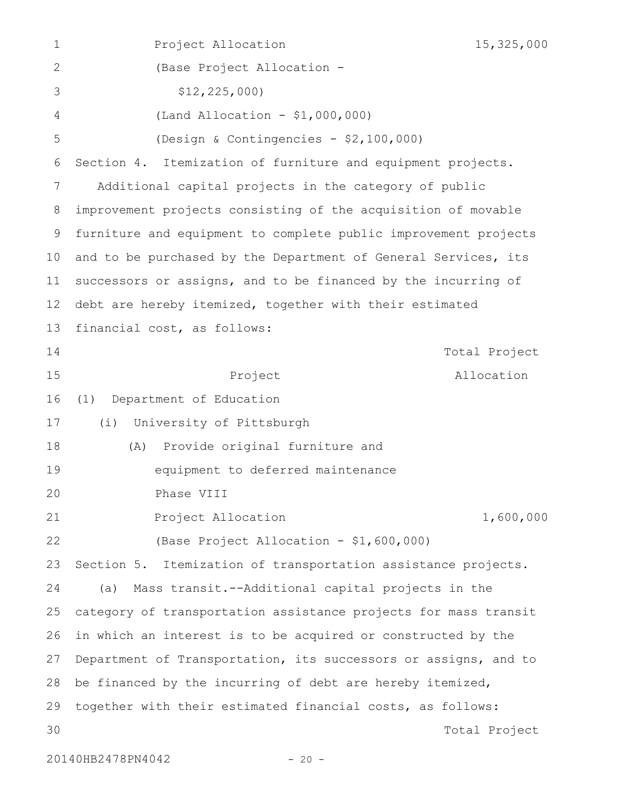Project Allocation 15,325,000 (Base Project Allocation - \$12,225,000) (Land Allocation - \$1,000,000) (Design & Contingencies - \$2,100,000) Section 4. Itemization of furniture and equipment projects. Additional capital projects in the category of public improvement projects consisting of the acquisition of movable furniture and equipment to complete public improvement projects and to be purchased by the Department of General Services, its successors or assigns, and to be financed by the incurring of debt are hereby itemized, together with their estimated financial cost, as follows: Project Total Project Allocation (1) Department of Education (i) University of Pittsburgh (A) Provide original furniture and equipment to deferred maintenance Phase VIII Project Allocation 1,600,000 (Base Project Allocation - \$1,600,000) Section 5. Itemization of transportation assistance projects. (a) Mass transit.--Additional capital projects in the category of transportation assistance projects for mass transit in which an interest is to be acquired or constructed by the Department of Transportation, its successors or assigns, and to be financed by the incurring of debt are hereby itemized, together with their estimated financial costs, as follows: Total Project 1 2 3 4 5 6 7 8 9 10 11 12 13 14 15 16 17 18 19 20 21 22 23 24 25 26 27 28 29 30

20140HB2478PN4042 - 20 -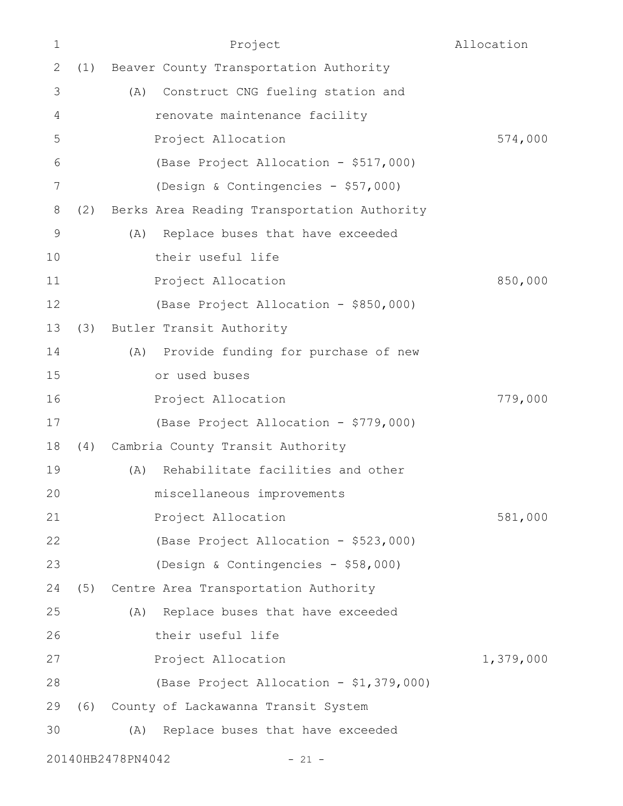| $\mathbf 1$  |     | Project                                     | Allocation |
|--------------|-----|---------------------------------------------|------------|
| $\mathbf{2}$ | (1) | Beaver County Transportation Authority      |            |
| 3            |     | (A) Construct CNG fueling station and       |            |
| 4            |     | renovate maintenance facility               |            |
| 5            |     | Project Allocation                          | 574,000    |
| 6            |     | (Base Project Allocation - \$517,000)       |            |
| 7            |     | (Design & Contingencies - \$57,000)         |            |
| 8            | (2) | Berks Area Reading Transportation Authority |            |
| $\mathsf 9$  |     | Replace buses that have exceeded<br>(A)     |            |
| 10           |     | their useful life                           |            |
| 11           |     | Project Allocation                          | 850,000    |
| 12           |     | (Base Project Allocation - \$850,000)       |            |
| 13           | (3) | Butler Transit Authority                    |            |
| 14           |     | Provide funding for purchase of new<br>(A)  |            |
| 15           |     | or used buses                               |            |
| 16           |     | Project Allocation                          | 779,000    |
| 17           |     | (Base Project Allocation - \$779,000)       |            |
| 18           | (4) | Cambria County Transit Authority            |            |
| 19           |     | Rehabilitate facilities and other<br>(A)    |            |
| 20           |     | miscellaneous improvements                  |            |
| 21           |     | Project Allocation                          | 581,000    |
| 22           |     | (Base Project Allocation - \$523,000)       |            |
| 23           |     | (Design & Contingencies - \$58,000)         |            |
| 24           | (5) | Centre Area Transportation Authority        |            |
| 25           |     | Replace buses that have exceeded<br>(A)     |            |
| 26           |     | their useful life                           |            |
| 27           |     | Project Allocation                          | 1,379,000  |
| 28           |     | (Base Project Allocation - \$1,379,000)     |            |
| 29           |     | (6) County of Lackawanna Transit System     |            |
| 30           |     | Replace buses that have exceeded<br>(A)     |            |
|              |     | 20140HB2478PN4042<br>$-21 -$                |            |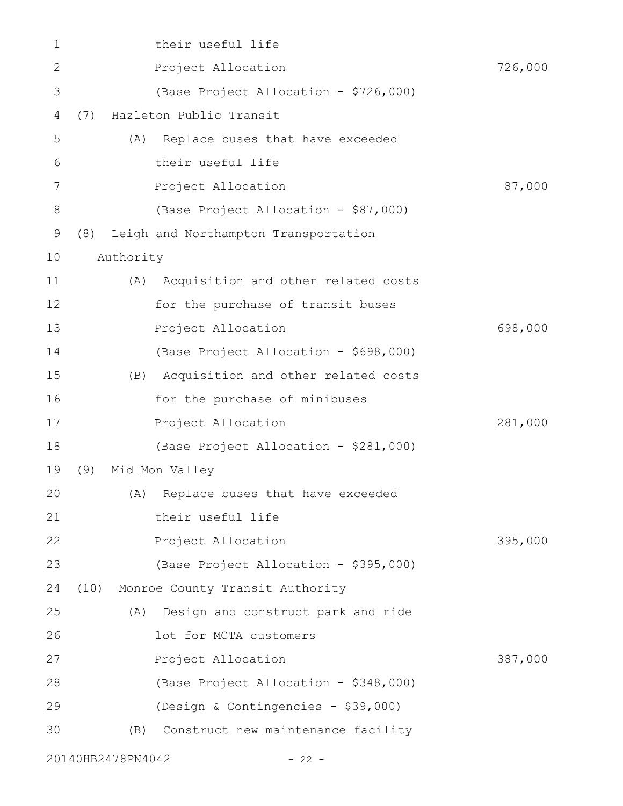| 1     |      |                   | their useful life                       |         |
|-------|------|-------------------|-----------------------------------------|---------|
| 2     |      |                   | Project Allocation                      | 726,000 |
| 3     |      |                   | (Base Project Allocation - \$726,000)   |         |
| 4     | (7)  |                   | Hazleton Public Transit                 |         |
| 5     |      | (A)               | Replace buses that have exceeded        |         |
| 6     |      |                   | their useful life                       |         |
| 7     |      |                   | Project Allocation                      | 87,000  |
| $8\,$ |      |                   | (Base Project Allocation - \$87,000)    |         |
| 9     | (8)  |                   | Leigh and Northampton Transportation    |         |
| 10    |      | Authority         |                                         |         |
| 11    |      |                   | (A) Acquisition and other related costs |         |
| 12    |      |                   | for the purchase of transit buses       |         |
| 13    |      |                   | Project Allocation                      | 698,000 |
| 14    |      |                   | (Base Project Allocation - \$698,000)   |         |
| 15    |      |                   | (B) Acquisition and other related costs |         |
| 16    |      |                   | for the purchase of minibuses           |         |
| 17    |      |                   | Project Allocation                      | 281,000 |
| 18    |      |                   | (Base Project Allocation - \$281,000)   |         |
| 19    | (9)  |                   | Mid Mon Valley                          |         |
| 20    |      |                   | (A) Replace buses that have exceeded    |         |
| 21    |      |                   | their useful life                       |         |
| 22    |      |                   | Project Allocation                      | 395,000 |
| 23    |      |                   | (Base Project Allocation - \$395,000)   |         |
| 24    | (10) |                   | Monroe County Transit Authority         |         |
| 25    |      | (A)               | Design and construct park and ride      |         |
| 26    |      |                   | lot for MCTA customers                  |         |
| 27    |      |                   | Project Allocation                      | 387,000 |
| 28    |      |                   | (Base Project Allocation - \$348,000)   |         |
| 29    |      |                   | (Design & Contingencies - \$39,000)     |         |
| 30    |      | (B)               | Construct new maintenance facility      |         |
|       |      | 20140HB2478PN4042 | $-22 -$                                 |         |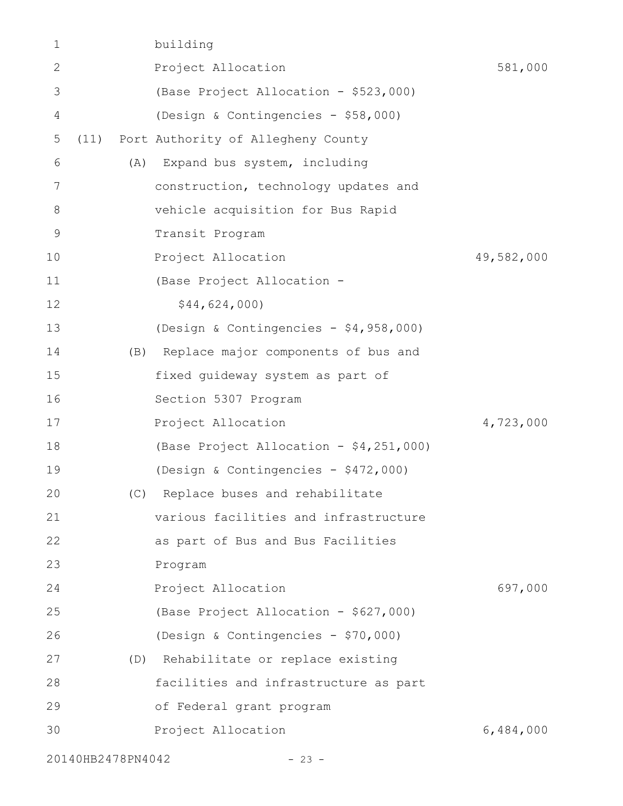| 1              |                   | building                                |            |
|----------------|-------------------|-----------------------------------------|------------|
| $\mathbf{2}$   |                   | Project Allocation                      | 581,000    |
| 3              |                   | (Base Project Allocation - \$523,000)   |            |
| $\overline{4}$ |                   | (Design & Contingencies - \$58,000)     |            |
| 5              | (11)              | Port Authority of Allegheny County      |            |
| 6              | (A)               | Expand bus system, including            |            |
| 7              |                   | construction, technology updates and    |            |
| 8              |                   | vehicle acquisition for Bus Rapid       |            |
| $\mathsf 9$    |                   | Transit Program                         |            |
| 10             |                   | Project Allocation                      | 49,582,000 |
| 11             |                   | (Base Project Allocation -              |            |
| 12             |                   | \$44,624,000                            |            |
| 13             |                   | (Design & Contingencies - \$4,958,000)  |            |
| 14             | (B)               | Replace major components of bus and     |            |
| 15             |                   | fixed guideway system as part of        |            |
| 16             |                   | Section 5307 Program                    |            |
| 17             |                   | Project Allocation                      | 4,723,000  |
| 18             |                   | (Base Project Allocation - \$4,251,000) |            |
| 19             |                   | (Design & Contingencies - \$472,000)    |            |
| 20             |                   | (C) Replace buses and rehabilitate      |            |
| 21             |                   | various facilities and infrastructure   |            |
| 22             |                   | as part of Bus and Bus Facilities       |            |
| 23             |                   | Program                                 |            |
| 24             |                   | Project Allocation                      | 697,000    |
| 25             |                   | (Base Project Allocation - \$627,000)   |            |
| 26             |                   | (Design & Contingencies - \$70,000)     |            |
| 27             |                   | (D) Rehabilitate or replace existing    |            |
| 28             |                   | facilities and infrastructure as part   |            |
| 29             |                   | of Federal grant program                |            |
| 30             |                   | Project Allocation                      | 6,484,000  |
|                | 20140HB2478PN4042 | $-23 -$                                 |            |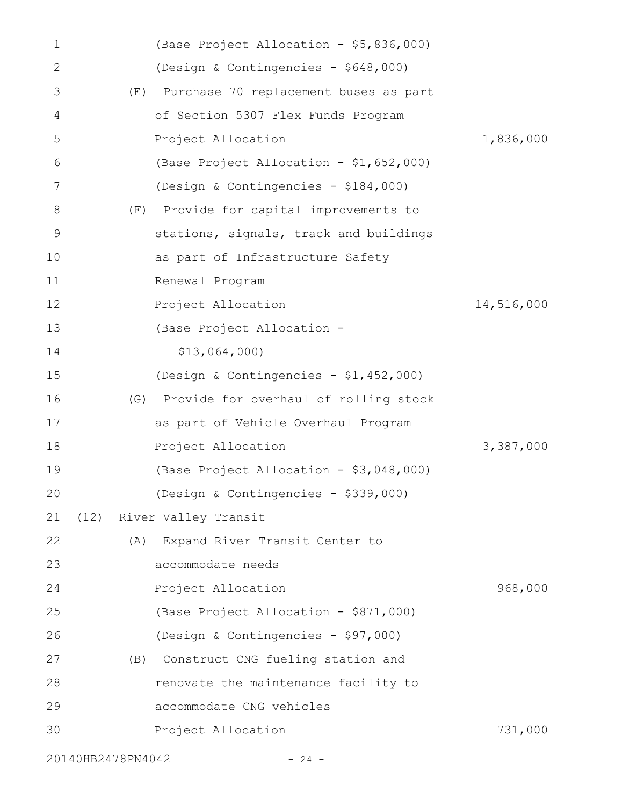| 1     |                   | (Base Project Allocation - \$5,836,000)   |            |
|-------|-------------------|-------------------------------------------|------------|
| 2     |                   | (Design & Contingencies - \$648,000)      |            |
| 3     | (E)               | Purchase 70 replacement buses as part     |            |
| 4     |                   | of Section 5307 Flex Funds Program        |            |
| 5     |                   | Project Allocation                        | 1,836,000  |
| 6     |                   | (Base Project Allocation - \$1,652,000)   |            |
| 7     |                   | (Design & Contingencies - \$184,000)      |            |
| $8\,$ | (F)               | Provide for capital improvements to       |            |
| 9     |                   | stations, signals, track and buildings    |            |
| 10    |                   | as part of Infrastructure Safety          |            |
| 11    |                   | Renewal Program                           |            |
| 12    |                   | Project Allocation                        | 14,516,000 |
| 13    |                   | (Base Project Allocation -                |            |
| 14    |                   | \$13,064,000)                             |            |
| 15    |                   | (Design & Contingencies - \$1,452,000)    |            |
| 16    |                   | (G) Provide for overhaul of rolling stock |            |
| 17    |                   | as part of Vehicle Overhaul Program       |            |
| 18    |                   | Project Allocation                        | 3,387,000  |
| 19    |                   | (Base Project Allocation - \$3,048,000)   |            |
| 20    |                   | (Design & Contingencies - \$339,000)      |            |
| 21    |                   | (12) River Valley Transit                 |            |
| 22    |                   | (A) Expand River Transit Center to        |            |
| 23    |                   | accommodate needs                         |            |
| 24    |                   | Project Allocation                        | 968,000    |
| 25    |                   | (Base Project Allocation - \$871,000)     |            |
| 26    |                   | (Design & Contingencies - \$97,000)       |            |
| 27    | (B)               | Construct CNG fueling station and         |            |
| 28    |                   | renovate the maintenance facility to      |            |
| 29    |                   | accommodate CNG vehicles                  |            |
| 30    |                   | Project Allocation                        | 731,000    |
|       | 20140HB2478PN4042 | $-24 -$                                   |            |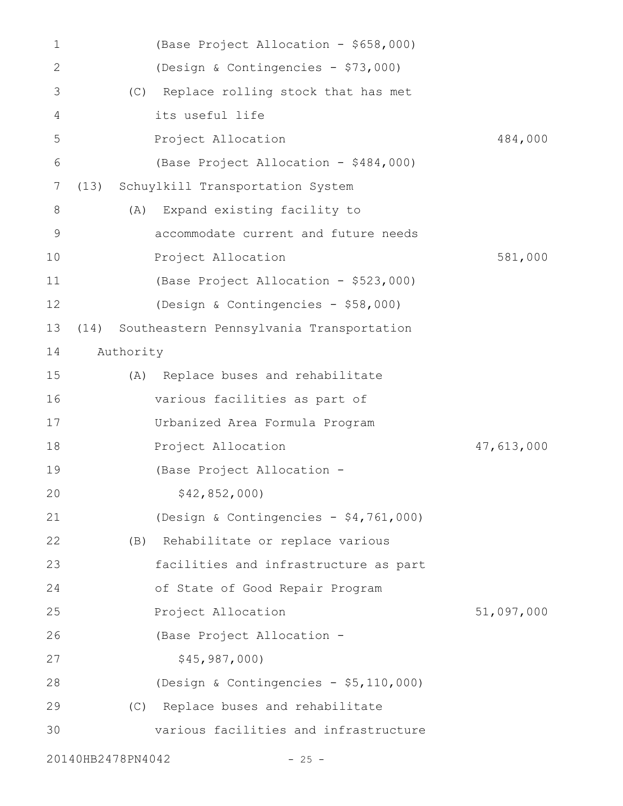| $\mathbf 1$    |      | (Base Project Allocation - \$658,000)    |            |
|----------------|------|------------------------------------------|------------|
| $\mathbf{2}$   |      | (Design & Contingencies - \$73,000)      |            |
| 3              |      | (C) Replace rolling stock that has met   |            |
| 4              |      | its useful life                          |            |
| 5              |      | Project Allocation                       | 484,000    |
| 6              |      | (Base Project Allocation - \$484,000)    |            |
| $\overline{7}$ | (13) | Schuylkill Transportation System         |            |
| 8              |      | Expand existing facility to<br>(A)       |            |
| 9              |      | accommodate current and future needs     |            |
| 10             |      | Project Allocation                       | 581,000    |
| 11             |      | (Base Project Allocation - \$523,000)    |            |
| 12             |      | (Design & Contingencies - \$58,000)      |            |
| 13             | (14) | Southeastern Pennsylvania Transportation |            |
| 14             |      | Authority                                |            |
| 15             |      | Replace buses and rehabilitate<br>(A)    |            |
| 16             |      | various facilities as part of            |            |
| 17             |      | Urbanized Area Formula Program           |            |
| 18             |      | Project Allocation                       | 47,613,000 |
| 19             |      | (Base Project Allocation -               |            |
| 20             |      | \$42,852,000                             |            |
| 21             |      | (Design & Contingencies - $$4,761,000$ ) |            |
| 22             |      | (B) Rehabilitate or replace various      |            |
| 23             |      | facilities and infrastructure as part    |            |
| 24             |      | of State of Good Repair Program          |            |
| 25             |      | Project Allocation                       | 51,097,000 |
| 26             |      | (Base Project Allocation -               |            |
| 27             |      | \$45, 987, 000)                          |            |
| 28             |      | (Design & Contingencies - \$5,110,000)   |            |
| 29             |      | Replace buses and rehabilitate<br>(C)    |            |
| 30             |      | various facilities and infrastructure    |            |
|                |      | 20140HB2478PN4042<br>$-25 -$             |            |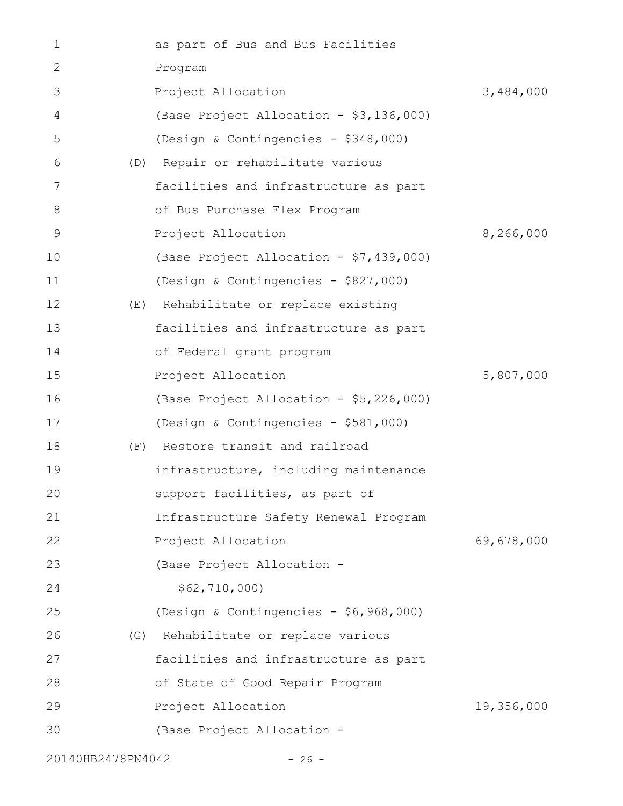| 1  | as part of Bus and Bus Facilities       |            |
|----|-----------------------------------------|------------|
| 2  | Program                                 |            |
| 3  | Project Allocation                      | 3,484,000  |
| 4  | (Base Project Allocation - \$3,136,000) |            |
| 5  | (Design & Contingencies - \$348,000)    |            |
| 6  | (D) Repair or rehabilitate various      |            |
| 7  | facilities and infrastructure as part   |            |
| 8  | of Bus Purchase Flex Program            |            |
| 9  | Project Allocation                      | 8,266,000  |
| 10 | (Base Project Allocation - \$7,439,000) |            |
| 11 | (Design & Contingencies - \$827,000)    |            |
| 12 | (E) Rehabilitate or replace existing    |            |
| 13 | facilities and infrastructure as part   |            |
| 14 | of Federal grant program                |            |
| 15 | Project Allocation                      | 5,807,000  |
| 16 | (Base Project Allocation - \$5,226,000) |            |
| 17 | (Design & Contingencies - \$581,000)    |            |
| 18 | (F) Restore transit and railroad        |            |
| 19 | infrastructure, including maintenance   |            |
| 20 | support facilities, as part of          |            |
| 21 | Infrastructure Safety Renewal Program   |            |
| 22 | Project Allocation                      | 69,678,000 |
| 23 | (Base Project Allocation -              |            |
| 24 | \$62, 710, 000)                         |            |
| 25 | (Design & Contingencies - \$6,968,000)  |            |
| 26 | (G) Rehabilitate or replace various     |            |
| 27 | facilities and infrastructure as part   |            |
| 28 | of State of Good Repair Program         |            |
| 29 | Project Allocation                      | 19,356,000 |
| 30 | (Base Project Allocation -              |            |
|    |                                         |            |

20140HB2478PN4042 - 26 -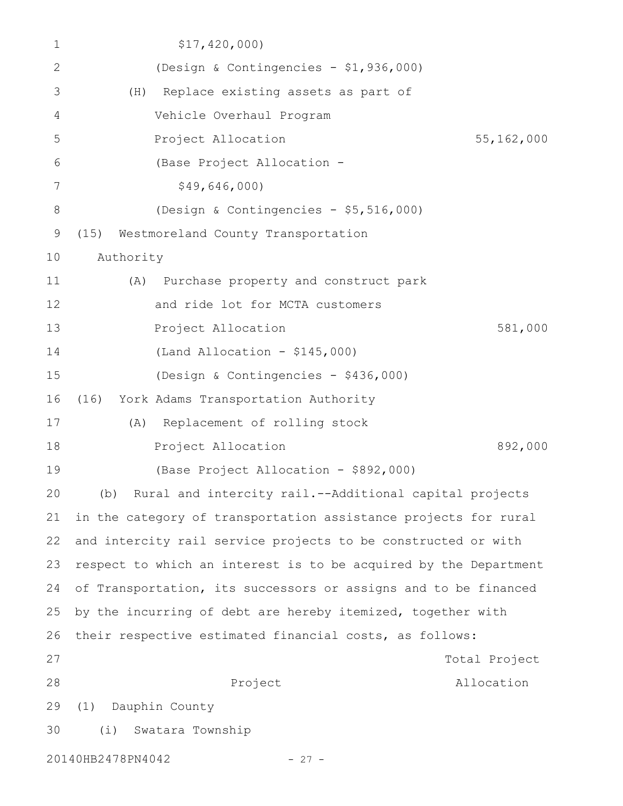| 1     |                   | \$17,420,000                         |                                                                  |               |
|-------|-------------------|--------------------------------------|------------------------------------------------------------------|---------------|
| 2     |                   |                                      | (Design & Contingencies - \$1,936,000)                           |               |
| 3     | (H)               |                                      | Replace existing assets as part of                               |               |
| 4     |                   | Vehicle Overhaul Program             |                                                                  |               |
| 5     |                   | Project Allocation                   |                                                                  | 55,162,000    |
| 6     |                   | (Base Project Allocation -           |                                                                  |               |
| 7     |                   | \$49,646,000)                        |                                                                  |               |
| $8\,$ |                   |                                      | (Design & Contingencies - \$5,516,000)                           |               |
| 9     | (15)              | Westmoreland County Transportation   |                                                                  |               |
| 10    | Authority         |                                      |                                                                  |               |
| 11    | (A)               |                                      | Purchase property and construct park                             |               |
| 12    |                   | and ride lot for MCTA customers      |                                                                  |               |
| 13    |                   | Project Allocation                   |                                                                  | 581,000       |
| 14    |                   | $(Land Allocation - $145,000)$       |                                                                  |               |
| 15    |                   | (Design & Contingencies - \$436,000) |                                                                  |               |
| 16    | (16)              | York Adams Transportation Authority  |                                                                  |               |
| 17    | (A)               | Replacement of rolling stock         |                                                                  |               |
| 18    |                   | Project Allocation                   |                                                                  | 892,000       |
| 19    |                   |                                      | (Base Project Allocation - \$892,000)                            |               |
| 20    |                   |                                      | (b) Rural and intercity rail.--Additional capital projects       |               |
| 21    |                   |                                      | in the category of transportation assistance projects for rural  |               |
| 22    |                   |                                      | and intercity rail service projects to be constructed or with    |               |
| 23    |                   |                                      | respect to which an interest is to be acquired by the Department |               |
| 24    |                   |                                      | of Transportation, its successors or assigns and to be financed  |               |
| 25    |                   |                                      | by the incurring of debt are hereby itemized, together with      |               |
| 26    |                   |                                      | their respective estimated financial costs, as follows:          |               |
| 27    |                   |                                      |                                                                  | Total Project |
| 28    |                   | Project                              |                                                                  | Allocation    |
| 29    | (1)               | Dauphin County                       |                                                                  |               |
| 30    |                   | (i) Swatara Township                 |                                                                  |               |
|       | 20140HB2478PN4042 |                                      | $-27 -$                                                          |               |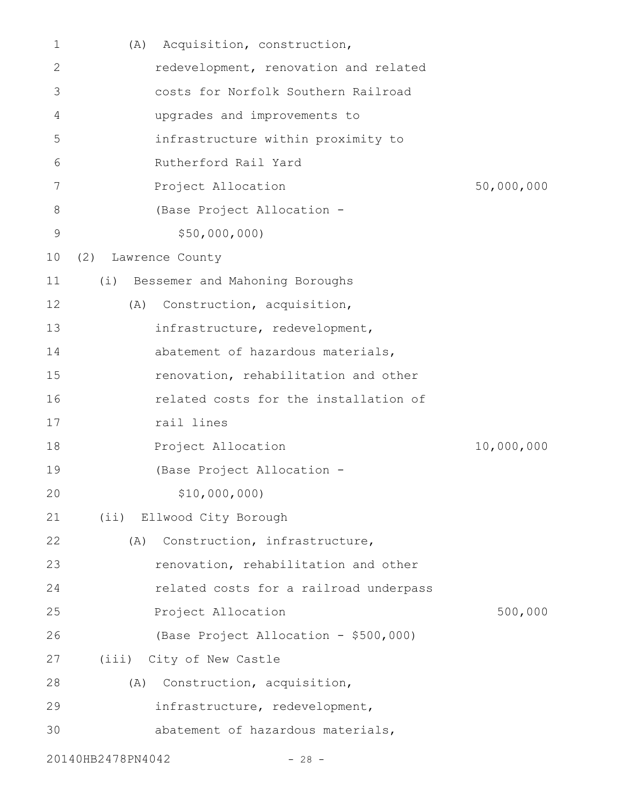| 1            | Acquisition, construction,<br>(A)      |            |
|--------------|----------------------------------------|------------|
| $\mathbf{2}$ | redevelopment, renovation and related  |            |
| 3            | costs for Norfolk Southern Railroad    |            |
| 4            | upgrades and improvements to           |            |
| 5            | infrastructure within proximity to     |            |
| 6            | Rutherford Rail Yard                   |            |
| 7            | Project Allocation                     | 50,000,000 |
| 8            | (Base Project Allocation -             |            |
| $\mathsf 9$  | \$50,000,000                           |            |
| 10           | (2)<br>Lawrence County                 |            |
| 11           | (i) Bessemer and Mahoning Boroughs     |            |
| 12           | Construction, acquisition,<br>(A)      |            |
| 13           | infrastructure, redevelopment,         |            |
| 14           | abatement of hazardous materials,      |            |
| 15           | renovation, rehabilitation and other   |            |
| 16           | related costs for the installation of  |            |
| 17           | rail lines                             |            |
| 18           | Project Allocation                     | 10,000,000 |
| 19           | (Base Project Allocation -             |            |
| 20           | \$10,000,000)                          |            |
| 21           | (ii) Ellwood City Borough              |            |
| 22           | Construction, infrastructure,<br>(A)   |            |
| 23           | renovation, rehabilitation and other   |            |
| 24           | related costs for a railroad underpass |            |
| 25           | Project Allocation                     | 500,000    |
| 26           | (Base Project Allocation - \$500,000)  |            |
| 27           | (iii) City of New Castle               |            |
| 28           | Construction, acquisition,<br>(A)      |            |
| 29           | infrastructure, redevelopment,         |            |
| 30           | abatement of hazardous materials,      |            |
|              | 20140HB2478PN4042<br>$-28 -$           |            |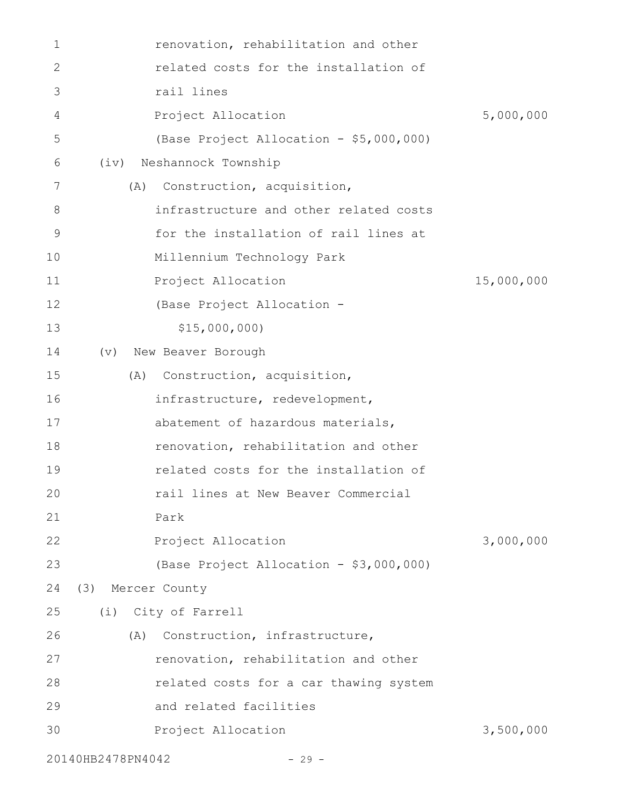| 1  |                   | renovation, rehabilitation and other    |            |
|----|-------------------|-----------------------------------------|------------|
| 2  |                   | related costs for the installation of   |            |
| 3  |                   | rail lines                              |            |
| 4  |                   | Project Allocation                      | 5,000,000  |
| 5  |                   | (Base Project Allocation - \$5,000,000) |            |
| 6  | (iv)              | Neshannock Township                     |            |
| 7  | (A)               | Construction, acquisition,              |            |
| 8  |                   | infrastructure and other related costs  |            |
| 9  |                   | for the installation of rail lines at   |            |
| 10 |                   | Millennium Technology Park              |            |
| 11 |                   | Project Allocation                      | 15,000,000 |
| 12 |                   | (Base Project Allocation -              |            |
| 13 |                   | \$15,000,000                            |            |
| 14 | $(\triangledown)$ | New Beaver Borough                      |            |
| 15 | (A)               | Construction, acquisition,              |            |
| 16 |                   | infrastructure, redevelopment,          |            |
| 17 |                   | abatement of hazardous materials,       |            |
| 18 |                   | renovation, rehabilitation and other    |            |
| 19 |                   | related costs for the installation of   |            |
| 20 |                   | rail lines at New Beaver Commercial     |            |
| 21 |                   | Park                                    |            |
| 22 |                   | Project Allocation                      | 3,000,000  |
| 23 |                   | (Base Project Allocation - \$3,000,000) |            |
| 24 | (3)               | Mercer County                           |            |
| 25 | (i)               | City of Farrell                         |            |
| 26 | (A)               | Construction, infrastructure,           |            |
| 27 |                   | renovation, rehabilitation and other    |            |
| 28 |                   | related costs for a car thawing system  |            |
| 29 |                   | and related facilities                  |            |
| 30 |                   | Project Allocation                      | 3,500,000  |
|    |                   |                                         |            |

20140HB2478PN4042 - 29 -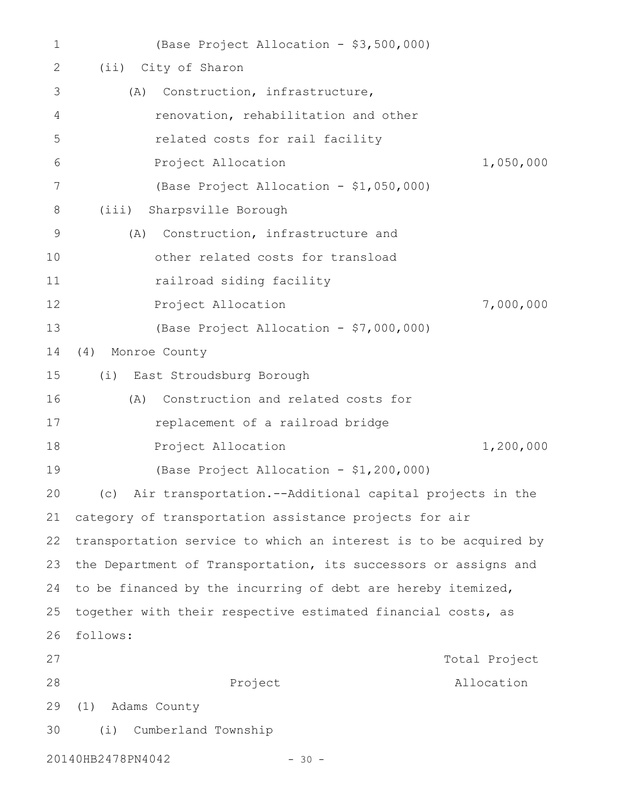| 1  | (Base Project Allocation - \$3,500,000)                          |               |
|----|------------------------------------------------------------------|---------------|
| 2  | City of Sharon<br>(iii)                                          |               |
| 3  | Construction, infrastructure,<br>(A)                             |               |
| 4  | renovation, rehabilitation and other                             |               |
| 5  | related costs for rail facility                                  |               |
| 6  | Project Allocation                                               | 1,050,000     |
| 7  | (Base Project Allocation - \$1,050,000)                          |               |
| 8  | Sharpsville Borough<br>(iii)                                     |               |
| 9  | Construction, infrastructure and<br>(A)                          |               |
| 10 | other related costs for transload                                |               |
| 11 | railroad siding facility                                         |               |
| 12 | Project Allocation                                               | 7,000,000     |
| 13 | (Base Project Allocation - \$7,000,000)                          |               |
| 14 | (4)<br>Monroe County                                             |               |
| 15 | (i) East Stroudsburg Borough                                     |               |
| 16 | Construction and related costs for<br>(A)                        |               |
| 17 | replacement of a railroad bridge                                 |               |
| 18 | Project Allocation                                               | 1,200,000     |
| 19 | (Base Project Allocation - \$1,200,000)                          |               |
| 20 | (c) Air transportation.--Additional capital projects in the      |               |
| 21 | category of transportation assistance projects for air           |               |
| 22 | transportation service to which an interest is to be acquired by |               |
| 23 | the Department of Transportation, its successors or assigns and  |               |
| 24 | to be financed by the incurring of debt are hereby itemized,     |               |
| 25 | together with their respective estimated financial costs, as     |               |
| 26 | follows:                                                         |               |
| 27 |                                                                  | Total Project |
| 28 | Project                                                          | Allocation    |
| 29 | Adams County<br>(1)                                              |               |
| 30 | (i)<br>Cumberland Township                                       |               |
|    | 20140HB2478PN4042<br>$-30 -$                                     |               |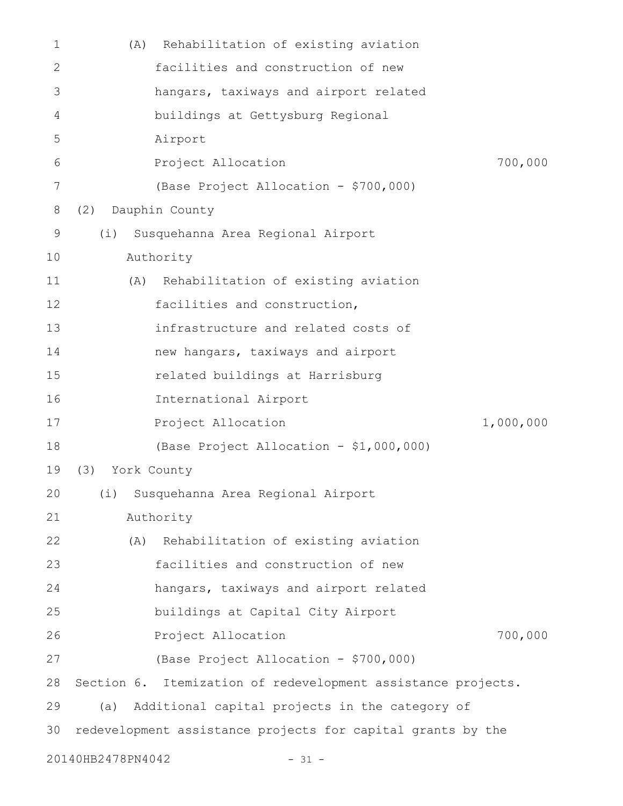| $\mathbf{1}$ | (A)                          | Rehabilitation of existing aviation                          |           |  |
|--------------|------------------------------|--------------------------------------------------------------|-----------|--|
| 2            |                              | facilities and construction of new                           |           |  |
| 3            |                              | hangars, taxiways and airport related                        |           |  |
| 4            |                              | buildings at Gettysburg Regional                             |           |  |
| 5            |                              | Airport                                                      |           |  |
| 6            |                              | Project Allocation                                           | 700,000   |  |
| 7            |                              | (Base Project Allocation - \$700,000)                        |           |  |
| 8            | (2)                          | Dauphin County                                               |           |  |
| 9            | (i)                          | Susquehanna Area Regional Airport                            |           |  |
| 10           |                              | Authority                                                    |           |  |
| 11           | (A)                          | Rehabilitation of existing aviation                          |           |  |
| 12           |                              | facilities and construction,                                 |           |  |
| 13           |                              | infrastructure and related costs of                          |           |  |
| 14           |                              | new hangars, taxiways and airport                            |           |  |
| 15           |                              | related buildings at Harrisburg                              |           |  |
| 16           |                              | International Airport                                        |           |  |
| 17           |                              | Project Allocation                                           | 1,000,000 |  |
| 18           |                              | (Base Project Allocation - \$1,000,000)                      |           |  |
| 19           | (3) York County              |                                                              |           |  |
| 20           |                              | (i) Susquehanna Area Regional Airport                        |           |  |
| 21           |                              | Authority                                                    |           |  |
| 22           | (A)                          | Rehabilitation of existing aviation                          |           |  |
| 23           |                              | facilities and construction of new                           |           |  |
| 24           |                              | hangars, taxiways and airport related                        |           |  |
| 25           |                              | buildings at Capital City Airport                            |           |  |
| 26           |                              | Project Allocation                                           | 700,000   |  |
| 27           |                              | (Base Project Allocation - \$700,000)                        |           |  |
| 28           |                              | Section 6. Itemization of redevelopment assistance projects. |           |  |
| 29           | (a)                          | Additional capital projects in the category of               |           |  |
| 30           |                              | redevelopment assistance projects for capital grants by the  |           |  |
|              | 20140HB2478PN4042<br>$-31 -$ |                                                              |           |  |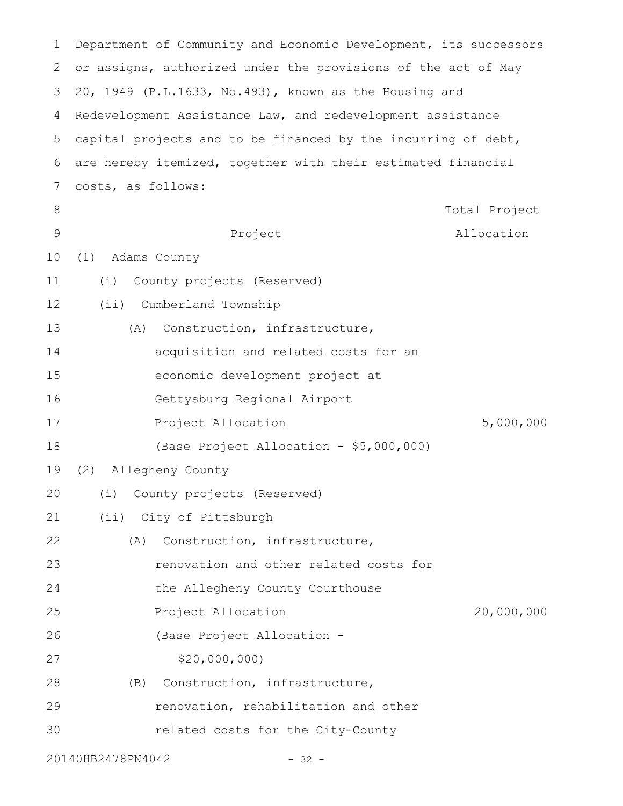| $\mathbf 1$ | Department of Community and Economic Development, its successors |  |  |  |
|-------------|------------------------------------------------------------------|--|--|--|
| 2           | or assigns, authorized under the provisions of the act of May    |  |  |  |
| 3           | 20, 1949 (P.L.1633, No.493), known as the Housing and            |  |  |  |
| 4           | Redevelopment Assistance Law, and redevelopment assistance       |  |  |  |
| 5           | capital projects and to be financed by the incurring of debt,    |  |  |  |
| 6           | are hereby itemized, together with their estimated financial     |  |  |  |
| 7           | costs, as follows:                                               |  |  |  |
| 8           | Total Project                                                    |  |  |  |
| 9           | Project<br>Allocation                                            |  |  |  |
| 10          | Adams County<br>(1)                                              |  |  |  |
| 11          | County projects (Reserved)<br>(i)                                |  |  |  |
| 12          | (ii) Cumberland Township                                         |  |  |  |
| 13          | Construction, infrastructure,<br>(A)                             |  |  |  |
| 14          | acquisition and related costs for an                             |  |  |  |
| 15          | economic development project at                                  |  |  |  |
| 16          | Gettysburg Regional Airport                                      |  |  |  |
| 17          | 5,000,000<br>Project Allocation                                  |  |  |  |
| 18          | (Base Project Allocation - \$5,000,000)                          |  |  |  |
| 19          | (2)<br>Allegheny County                                          |  |  |  |
| 20          | (i) County projects (Reserved)                                   |  |  |  |
| 21          | (ii) City of Pittsburgh                                          |  |  |  |
| 22          | Construction, infrastructure,<br>(A)                             |  |  |  |
| 23          | renovation and other related costs for                           |  |  |  |
| 24          | the Allegheny County Courthouse                                  |  |  |  |
| 25          | 20,000,000<br>Project Allocation                                 |  |  |  |
| 26          | (Base Project Allocation -                                       |  |  |  |
| 27          | \$20,000,000                                                     |  |  |  |
| 28          | Construction, infrastructure,<br>(B)                             |  |  |  |
| 29          | renovation, rehabilitation and other                             |  |  |  |
| 30          | related costs for the City-County                                |  |  |  |
|             | 20140HB2478PN4042<br>$-32 -$                                     |  |  |  |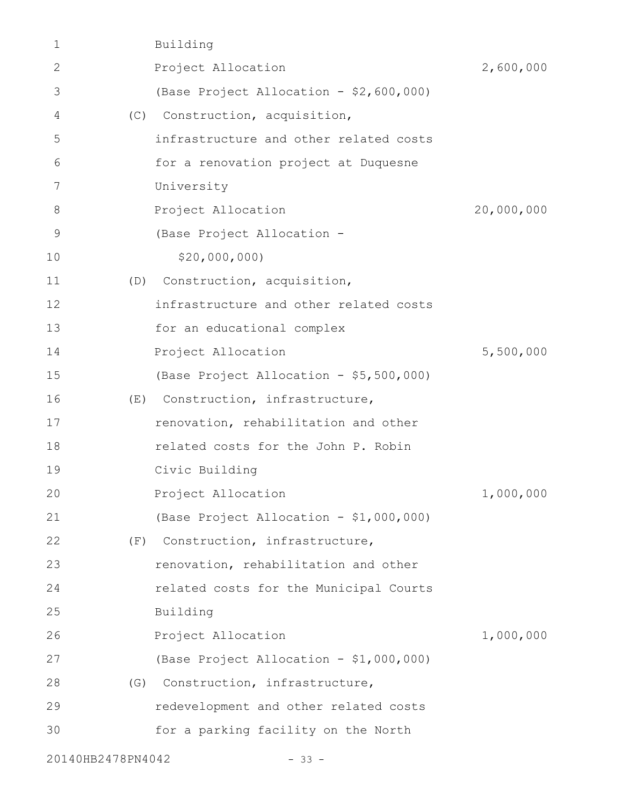| 1                 |     | Building                                |            |
|-------------------|-----|-----------------------------------------|------------|
| $\mathbf{2}$      |     | Project Allocation                      | 2,600,000  |
| 3                 |     | (Base Project Allocation - \$2,600,000) |            |
| 4                 | (C) | Construction, acquisition,              |            |
| 5                 |     | infrastructure and other related costs  |            |
| 6                 |     | for a renovation project at Duquesne    |            |
| 7                 |     | University                              |            |
| 8                 |     | Project Allocation                      | 20,000,000 |
| $\mathcal{G}$     |     | (Base Project Allocation -              |            |
| 10                |     | \$20,000,000                            |            |
| 11                | (D) | Construction, acquisition,              |            |
| 12                |     | infrastructure and other related costs  |            |
| 13                |     | for an educational complex              |            |
| 14                |     | Project Allocation                      | 5,500,000  |
| 15                |     | (Base Project Allocation - \$5,500,000) |            |
| 16                | (E) | Construction, infrastructure,           |            |
| 17                |     | renovation, rehabilitation and other    |            |
| 18                |     | related costs for the John P. Robin     |            |
| 19                |     | Civic Building                          |            |
| 20                |     | Project Allocation                      | 1,000,000  |
| 21                |     | (Base Project Allocation - \$1,000,000) |            |
| 22                | (F) | Construction, infrastructure,           |            |
| 23                |     | renovation, rehabilitation and other    |            |
| 24                |     | related costs for the Municipal Courts  |            |
| 25                |     | Building                                |            |
| 26                |     | Project Allocation                      | 1,000,000  |
| 27                |     | (Base Project Allocation - \$1,000,000) |            |
| 28                | (G) | Construction, infrastructure,           |            |
| 29                |     | redevelopment and other related costs   |            |
| 30                |     | for a parking facility on the North     |            |
| 20140HB2478PN4042 |     | $-33 -$                                 |            |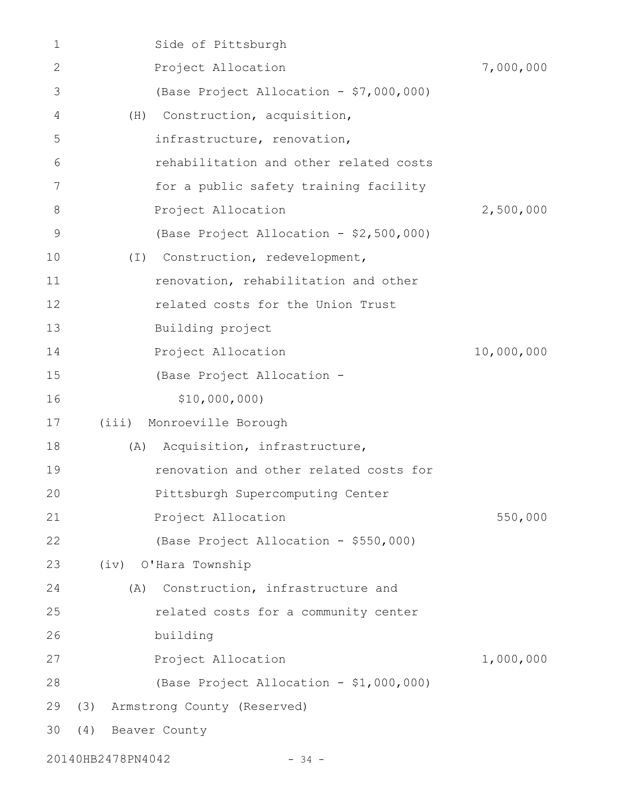| 1           | Side of Pittsburgh                       |            |
|-------------|------------------------------------------|------------|
| 2           | Project Allocation                       | 7,000,000  |
| 3           | (Base Project Allocation - \$7,000,000)  |            |
| 4           | Construction, acquisition,<br>(H)        |            |
| 5           | infrastructure, renovation,              |            |
| 6           | rehabilitation and other related costs   |            |
| 7           | for a public safety training facility    |            |
| 8           | Project Allocation                       | 2,500,000  |
| $\mathsf 9$ | (Base Project Allocation - \$2,500,000)  |            |
| 10          | Construction, redevelopment,<br>$(\top)$ |            |
| 11          | renovation, rehabilitation and other     |            |
| 12          | related costs for the Union Trust        |            |
| 13          | Building project                         |            |
| 14          | Project Allocation                       | 10,000,000 |
| 15          | (Base Project Allocation -               |            |
| 16          | \$10,000,000)                            |            |
| 17          | Monroeville Borough<br>(iii)             |            |
| 18          | Acquisition, infrastructure,<br>(A)      |            |
| 19          | renovation and other related costs for   |            |
| 20          | Pittsburgh Supercomputing Center         |            |
| 21          | Project Allocation                       | 550,000    |
| 22          | (Base Project Allocation - \$550,000)    |            |
| 23          | (iv) O'Hara Township                     |            |
| 24          | Construction, infrastructure and<br>(A)  |            |
| 25          | related costs for a community center     |            |
| 26          | building                                 |            |
| 27          | Project Allocation                       | 1,000,000  |
| 28          | (Base Project Allocation - \$1,000,000)  |            |
| 29          | Armstrong County (Reserved)<br>(3)       |            |
| 30          | (4)<br>Beaver County                     |            |
|             | 20140HB2478PN4042<br>$-34 -$             |            |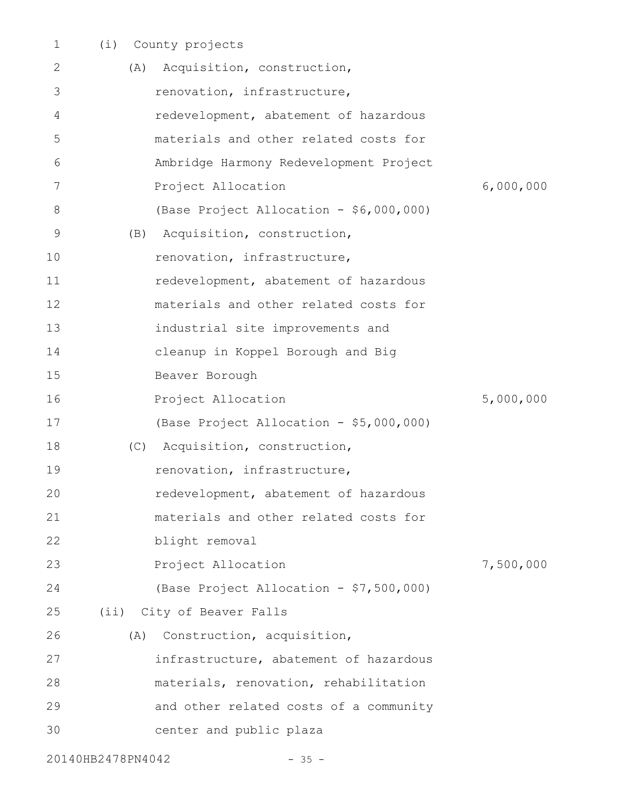| 1                            | (i) |     | County projects                         |           |
|------------------------------|-----|-----|-----------------------------------------|-----------|
| 2                            |     | (A) | Acquisition, construction,              |           |
| 3                            |     |     | renovation, infrastructure,             |           |
| 4                            |     |     | redevelopment, abatement of hazardous   |           |
| 5                            |     |     | materials and other related costs for   |           |
| 6                            |     |     | Ambridge Harmony Redevelopment Project  |           |
| 7                            |     |     | Project Allocation                      | 6,000,000 |
| 8                            |     |     | (Base Project Allocation - \$6,000,000) |           |
| 9                            |     | (B) | Acquisition, construction,              |           |
| 10                           |     |     | renovation, infrastructure,             |           |
| 11                           |     |     | redevelopment, abatement of hazardous   |           |
| 12                           |     |     | materials and other related costs for   |           |
| 13                           |     |     | industrial site improvements and        |           |
| 14                           |     |     | cleanup in Koppel Borough and Big       |           |
| 15                           |     |     | Beaver Borough                          |           |
| 16                           |     |     | Project Allocation                      | 5,000,000 |
| 17                           |     |     | (Base Project Allocation - \$5,000,000) |           |
| 18                           |     | (C) | Acquisition, construction,              |           |
| 19                           |     |     | renovation, infrastructure,             |           |
| 20                           |     |     | redevelopment, abatement of hazardous   |           |
| 21                           |     |     | materials and other related costs for   |           |
| 22                           |     |     | blight removal                          |           |
| 23                           |     |     | Project Allocation                      | 7,500,000 |
| 24                           |     |     | (Base Project Allocation - \$7,500,000) |           |
| 25                           |     |     | (ii) City of Beaver Falls               |           |
| 26                           |     | (A) | Construction, acquisition,              |           |
| 27                           |     |     | infrastructure, abatement of hazardous  |           |
| 28                           |     |     | materials, renovation, rehabilitation   |           |
| 29                           |     |     | and other related costs of a community  |           |
| 30                           |     |     | center and public plaza                 |           |
| 20140HB2478PN4042<br>$-35 -$ |     |     |                                         |           |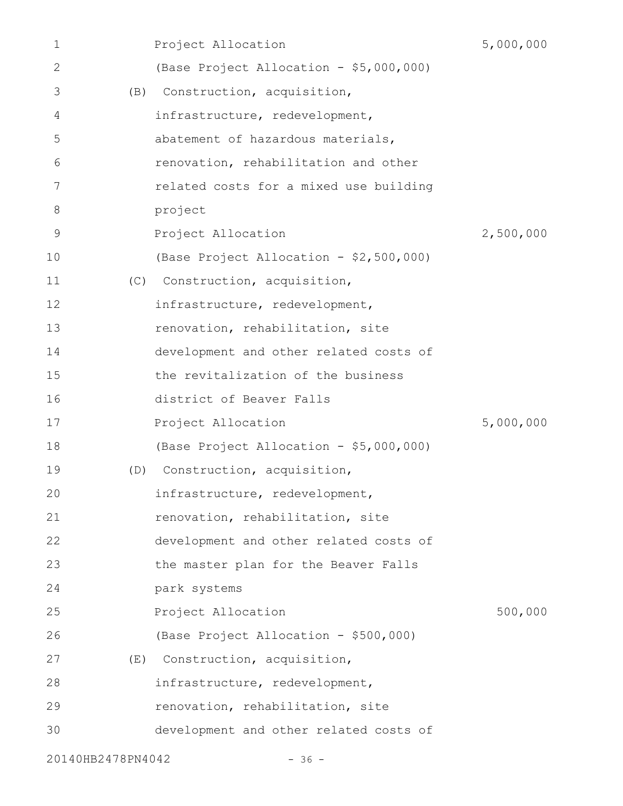| 1                 |     | Project Allocation                      | 5,000,000 |
|-------------------|-----|-----------------------------------------|-----------|
| 2                 |     | (Base Project Allocation - \$5,000,000) |           |
| 3                 | (B) | Construction, acquisition,              |           |
| 4                 |     | infrastructure, redevelopment,          |           |
| 5                 |     | abatement of hazardous materials,       |           |
| 6                 |     | renovation, rehabilitation and other    |           |
| 7                 |     | related costs for a mixed use building  |           |
| 8                 |     | project                                 |           |
| 9                 |     | Project Allocation                      | 2,500,000 |
| 10                |     | (Base Project Allocation - \$2,500,000) |           |
| 11                | (C) | Construction, acquisition,              |           |
| 12                |     | infrastructure, redevelopment,          |           |
| 13                |     | renovation, rehabilitation, site        |           |
| 14                |     | development and other related costs of  |           |
| 15                |     | the revitalization of the business      |           |
| 16                |     | district of Beaver Falls                |           |
| 17                |     | Project Allocation                      | 5,000,000 |
| 18                |     | (Base Project Allocation - \$5,000,000) |           |
| 19                | (D) | Construction, acquisition,              |           |
| 20                |     | infrastructure, redevelopment,          |           |
| 21                |     | renovation, rehabilitation, site        |           |
| 22                |     | development and other related costs of  |           |
| 23                |     | the master plan for the Beaver Falls    |           |
| 24                |     | park systems                            |           |
| 25                |     | Project Allocation                      | 500,000   |
| 26                |     | (Base Project Allocation - \$500,000)   |           |
| 27                |     | (E) Construction, acquisition,          |           |
| 28                |     | infrastructure, redevelopment,          |           |
| 29                |     | renovation, rehabilitation, site        |           |
| 30                |     | development and other related costs of  |           |
| 20140HB2478PN4042 |     | $-36 -$                                 |           |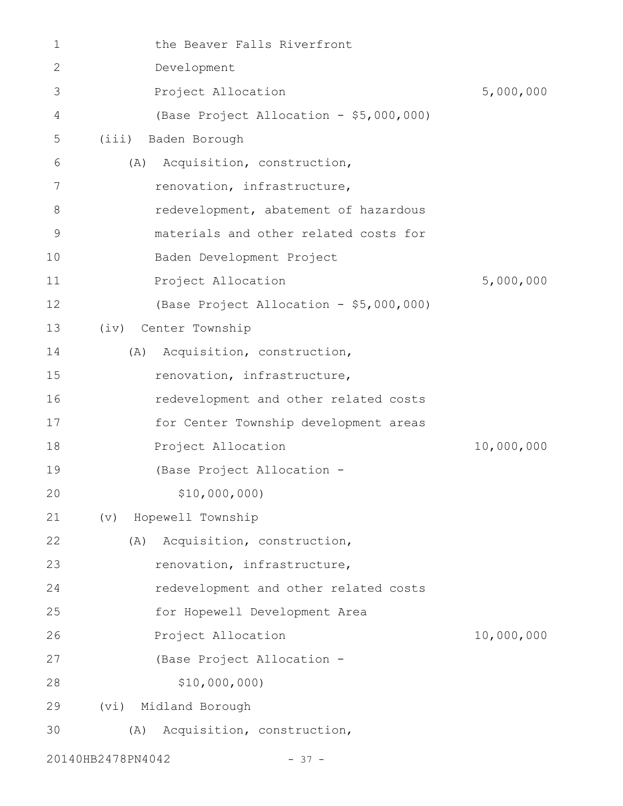| 1            |                   | the Beaver Falls Riverfront             |            |
|--------------|-------------------|-----------------------------------------|------------|
| $\mathbf{2}$ |                   | Development                             |            |
| 3            |                   | Project Allocation                      | 5,000,000  |
| 4            |                   | (Base Project Allocation - \$5,000,000) |            |
| 5            |                   | (iii) Baden Borough                     |            |
| 6            | (A)               | Acquisition, construction,              |            |
| 7            |                   | renovation, infrastructure,             |            |
| 8            |                   | redevelopment, abatement of hazardous   |            |
| 9            |                   | materials and other related costs for   |            |
| 10           |                   | Baden Development Project               |            |
| 11           |                   | Project Allocation                      | 5,000,000  |
| 12           |                   | (Base Project Allocation - \$5,000,000) |            |
| 13           |                   | (iv) Center Township                    |            |
| 14           |                   | (A) Acquisition, construction,          |            |
| 15           |                   | renovation, infrastructure,             |            |
| 16           |                   | redevelopment and other related costs   |            |
| 17           |                   | for Center Township development areas   |            |
| 18           |                   | Project Allocation                      | 10,000,000 |
| 19           |                   | (Base Project Allocation -              |            |
| 20           |                   | \$10,000,000)                           |            |
| 21           | (v)               | Hopewell Township                       |            |
| 22           | (A)               | Acquisition, construction,              |            |
| 23           |                   | renovation, infrastructure,             |            |
| 24           |                   | redevelopment and other related costs   |            |
| 25           |                   | for Hopewell Development Area           |            |
| 26           |                   | Project Allocation                      | 10,000,000 |
| 27           |                   | (Base Project Allocation -              |            |
| 28           |                   | \$10,000,000                            |            |
| 29           | (vi)              | Midland Borough                         |            |
| 30           | (A)               | Acquisition, construction,              |            |
|              | 20140HB2478PN4042 | $-37 -$                                 |            |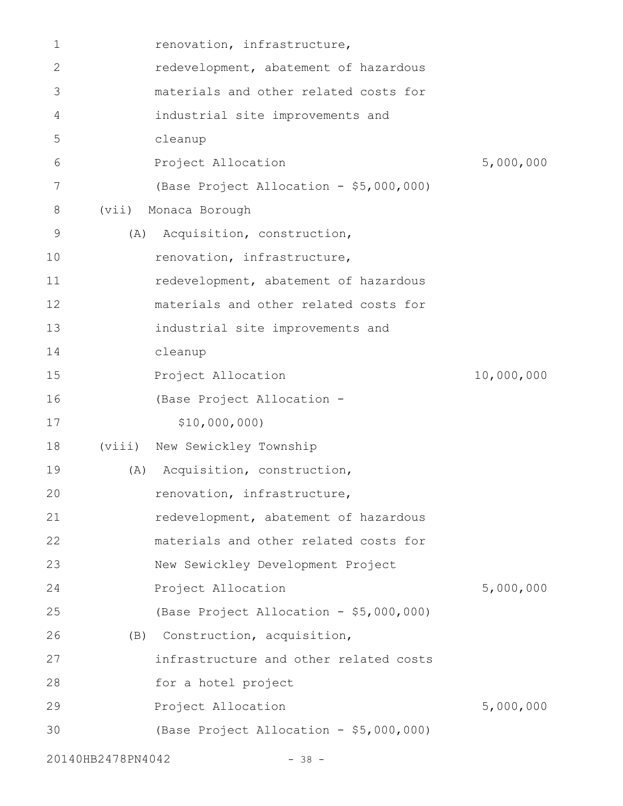| 1  |                   | renovation, infrastructure,             |            |
|----|-------------------|-----------------------------------------|------------|
| 2  |                   | redevelopment, abatement of hazardous   |            |
| 3  |                   | materials and other related costs for   |            |
| 4  |                   | industrial site improvements and        |            |
| 5  |                   | cleanup                                 |            |
| 6  |                   | Project Allocation                      | 5,000,000  |
| 7  |                   | (Base Project Allocation - \$5,000,000) |            |
| 8  | (vii)             | Monaca Borough                          |            |
| 9  | (A)               | Acquisition, construction,              |            |
| 10 |                   | renovation, infrastructure,             |            |
| 11 |                   | redevelopment, abatement of hazardous   |            |
| 12 |                   | materials and other related costs for   |            |
| 13 |                   | industrial site improvements and        |            |
| 14 |                   | cleanup                                 |            |
| 15 |                   | Project Allocation                      | 10,000,000 |
| 16 |                   | (Base Project Allocation -              |            |
| 17 |                   | \$10,000,000)                           |            |
| 18 | (viii)            | New Sewickley Township                  |            |
| 19 | (A)               | Acquisition, construction,              |            |
| 20 |                   | renovation, infrastructure,             |            |
| 21 |                   | redevelopment, abatement of hazardous   |            |
| 22 |                   | materials and other related costs for   |            |
| 23 |                   | New Sewickley Development Project       |            |
| 24 |                   | Project Allocation                      | 5,000,000  |
| 25 |                   | (Base Project Allocation - \$5,000,000) |            |
| 26 |                   | (B) Construction, acquisition,          |            |
| 27 |                   | infrastructure and other related costs  |            |
| 28 |                   | for a hotel project                     |            |
| 29 |                   | Project Allocation                      | 5,000,000  |
| 30 |                   | (Base Project Allocation - \$5,000,000) |            |
|    | 20140HB2478PN4042 | $-38 -$                                 |            |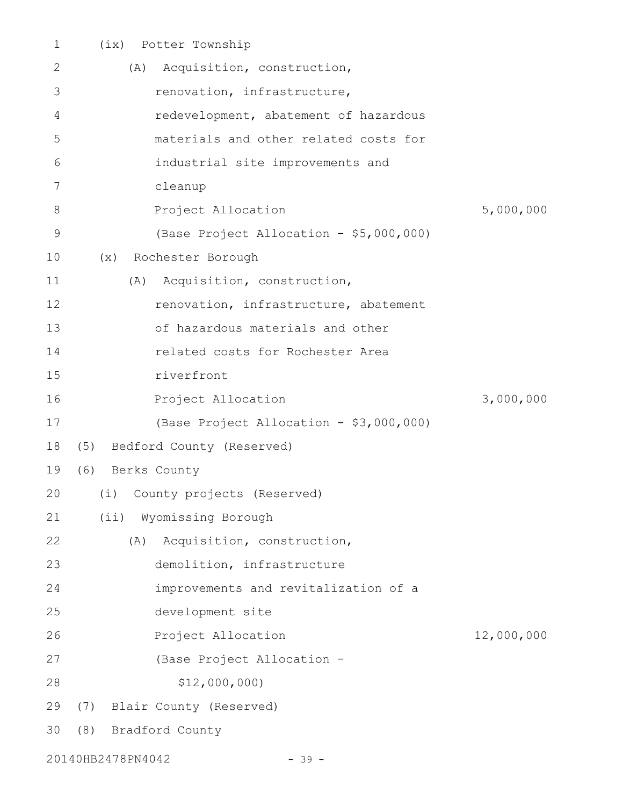| 1           |                   | (ix) Potter Township                    |            |
|-------------|-------------------|-----------------------------------------|------------|
| 2           | (A)               | Acquisition, construction,              |            |
| 3           |                   | renovation, infrastructure,             |            |
| 4           |                   | redevelopment, abatement of hazardous   |            |
| 5           |                   | materials and other related costs for   |            |
| 6           |                   | industrial site improvements and        |            |
| 7           |                   | cleanup                                 |            |
| 8           |                   | Project Allocation                      | 5,000,000  |
| $\mathsf 9$ |                   | (Base Project Allocation - \$5,000,000) |            |
| 10          | (x)               | Rochester Borough                       |            |
| 11          |                   | (A) Acquisition, construction,          |            |
| 12          |                   | renovation, infrastructure, abatement   |            |
| 13          |                   | of hazardous materials and other        |            |
| 14          |                   | related costs for Rochester Area        |            |
| 15          |                   | riverfront                              |            |
| 16          |                   | Project Allocation                      | 3,000,000  |
| 17          |                   | (Base Project Allocation - \$3,000,000) |            |
| 18          |                   | (5) Bedford County (Reserved)           |            |
| 19          | (6) Berks County  |                                         |            |
|             |                   | 20 (i) County projects (Reserved)       |            |
| 21          |                   | (ii) Wyomissing Borough                 |            |
| 22          | (A)               | Acquisition, construction,              |            |
| 23          |                   | demolition, infrastructure              |            |
| 24          |                   | improvements and revitalization of a    |            |
| 25          |                   | development site                        |            |
| 26          |                   | Project Allocation                      | 12,000,000 |
| 27          |                   | (Base Project Allocation -              |            |
| 28          |                   | \$12,000,000                            |            |
| 29          |                   | (7) Blair County (Reserved)             |            |
| 30          | (8)               | Bradford County                         |            |
|             | 20140HB2478PN4042 | $-39 -$                                 |            |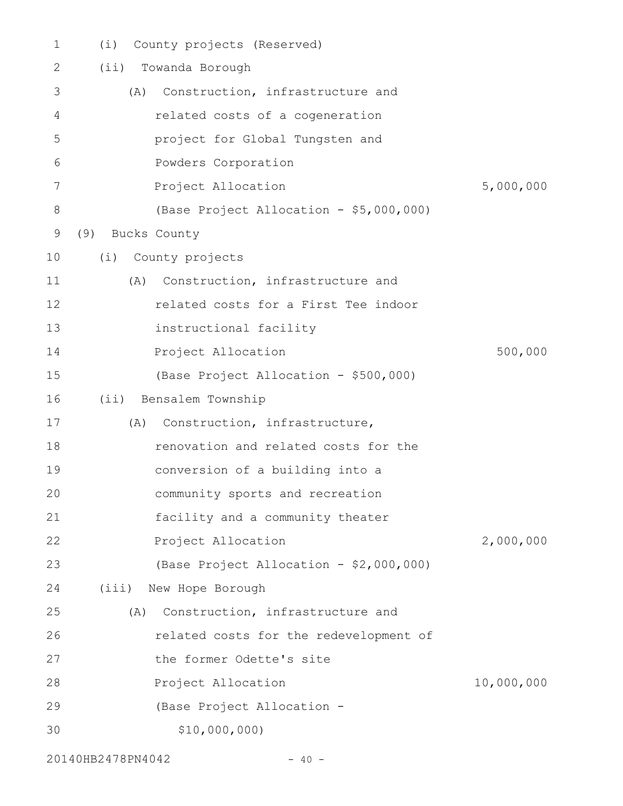| $\mathbf 1$ | County projects (Reserved)<br>(i)       |            |
|-------------|-----------------------------------------|------------|
| 2           | Towanda Borough<br>(i <sub>i</sub> )    |            |
| 3           | Construction, infrastructure and<br>(A) |            |
| 4           | related costs of a cogeneration         |            |
| 5           | project for Global Tungsten and         |            |
| 6           | Powders Corporation                     |            |
| 7           | Project Allocation                      | 5,000,000  |
| 8           | (Base Project Allocation - \$5,000,000) |            |
| 9           | (9)<br>Bucks County                     |            |
| 10          | (i)<br>County projects                  |            |
| 11          | Construction, infrastructure and<br>(A) |            |
| 12          | related costs for a First Tee indoor    |            |
| 13          | instructional facility                  |            |
| 14          | Project Allocation                      | 500,000    |
| 15          | (Base Project Allocation - \$500,000)   |            |
| 16          | Bensalem Township<br>$(i$ i)            |            |
| 17          | Construction, infrastructure,<br>(A)    |            |
| 18          | renovation and related costs for the    |            |
| 19          | conversion of a building into a         |            |
| 20          | community sports and recreation         |            |
| 21          | facility and a community theater        |            |
| 22          | Project Allocation                      | 2,000,000  |
| 23          | (Base Project Allocation - \$2,000,000) |            |
| 24          | (iii)<br>New Hope Borough               |            |
| 25          | Construction, infrastructure and<br>(A) |            |
| 26          | related costs for the redevelopment of  |            |
| 27          | the former Odette's site                |            |
| 28          | Project Allocation                      | 10,000,000 |
| 29          | (Base Project Allocation -              |            |
| 30          | \$10,000,000)                           |            |
|             |                                         |            |

20140HB2478PN4042 - 40 -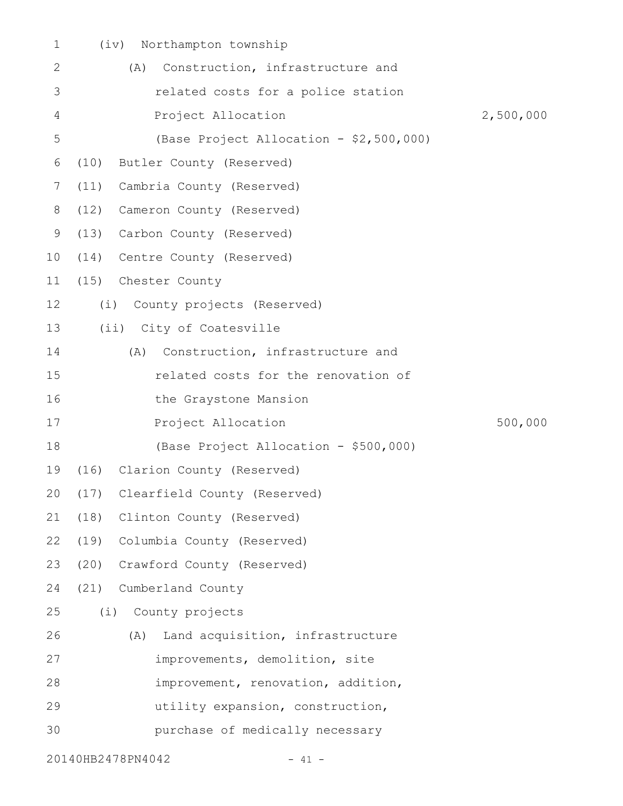| $\mathbf 1$ | Northampton township<br>(iv)            |           |
|-------------|-----------------------------------------|-----------|
| 2           | Construction, infrastructure and<br>(A) |           |
| 3           | related costs for a police station      |           |
| 4           | Project Allocation                      | 2,500,000 |
| 5           | (Base Project Allocation - \$2,500,000) |           |
| 6           | Butler County (Reserved)<br>(10)        |           |
| 7           | (11)<br>Cambria County (Reserved)       |           |
| 8           | (12)<br>Cameron County (Reserved)       |           |
| 9           | (13)<br>Carbon County (Reserved)        |           |
| 10          | (14)<br>Centre County (Reserved)        |           |
| 11          | (15) Chester County                     |           |
| 12          | (i) County projects (Reserved)          |           |
| 13          | (ii) City of Coatesville                |           |
| 14          | Construction, infrastructure and<br>(A) |           |
| 15          | related costs for the renovation of     |           |
| 16          | the Graystone Mansion                   |           |
| 17          | Project Allocation                      | 500,000   |
| 18          | (Base Project Allocation - \$500,000)   |           |
| 19          | (16)<br>Clarion County (Reserved)       |           |
|             | 20 (17) Clearfield County (Reserved)    |           |
| 21          | (18) Clinton County (Reserved)          |           |
| 22          | (19) Columbia County (Reserved)         |           |
| 23          | (20) Crawford County (Reserved)         |           |
| 24          | (21) Cumberland County                  |           |
| 25          | (i) County projects                     |           |
| 26          | Land acquisition, infrastructure<br>(A) |           |
| 27          | improvements, demolition, site          |           |
| 28          | improvement, renovation, addition,      |           |
| 29          | utility expansion, construction,        |           |
| 30          | purchase of medically necessary         |           |
|             | 20140HB2478PN4042<br>- 41 -             |           |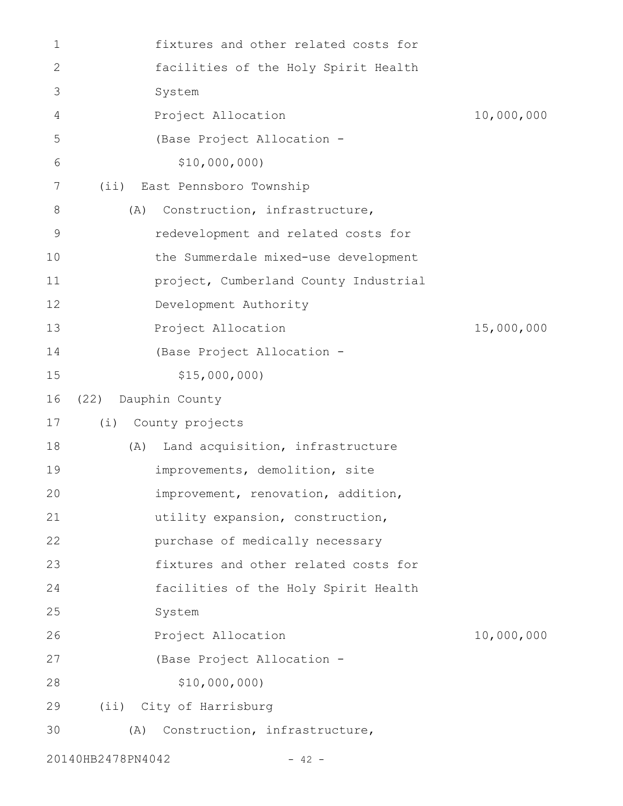| $\mathbf 1$  |      | fixtures and other related costs for  |            |
|--------------|------|---------------------------------------|------------|
| $\mathbf{2}$ |      | facilities of the Holy Spirit Health  |            |
| 3            |      | System                                |            |
| 4            |      | Project Allocation                    | 10,000,000 |
| 5            |      | (Base Project Allocation -            |            |
| 6            |      | \$10,000,000                          |            |
| 7            |      | (ii) East Pennsboro Township          |            |
| 8            | (A)  | Construction, infrastructure,         |            |
| $\mathsf 9$  |      | redevelopment and related costs for   |            |
| 10           |      | the Summerdale mixed-use development  |            |
| 11           |      | project, Cumberland County Industrial |            |
| 12           |      | Development Authority                 |            |
| 13           |      | Project Allocation                    | 15,000,000 |
| 14           |      | (Base Project Allocation -            |            |
| 15           |      | \$15,000,000                          |            |
| 16           | (22) | Dauphin County                        |            |
| 17           |      | (i) County projects                   |            |
| 18           | (A)  | Land acquisition, infrastructure      |            |
| 19           |      | improvements, demolition, site        |            |
| 20           |      | improvement, renovation, addition,    |            |
| 21           |      | utility expansion, construction,      |            |
| 22           |      | purchase of medically necessary       |            |
| 23           |      | fixtures and other related costs for  |            |
| 24           |      | facilities of the Holy Spirit Health  |            |
| 25           |      | System                                |            |
| 26           |      | Project Allocation                    | 10,000,000 |
| 27           |      | (Base Project Allocation -            |            |
| 28           |      | \$10,000,000)                         |            |
| 29           |      | (ii) City of Harrisburg               |            |
| 30           | (A)  | Construction, infrastructure,         |            |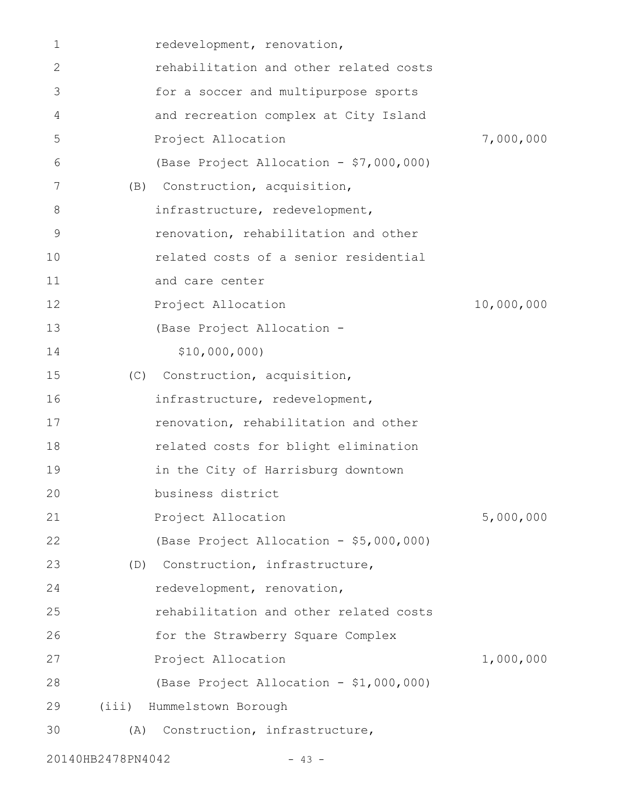| 1           |                   | redevelopment, renovation,              |            |
|-------------|-------------------|-----------------------------------------|------------|
| 2           |                   | rehabilitation and other related costs  |            |
| 3           |                   | for a soccer and multipurpose sports    |            |
| 4           |                   | and recreation complex at City Island   |            |
| 5           |                   | Project Allocation                      | 7,000,000  |
| 6           |                   | (Base Project Allocation - \$7,000,000) |            |
| 7           | (B)               | Construction, acquisition,              |            |
| 8           |                   | infrastructure, redevelopment,          |            |
| $\mathsf 9$ |                   | renovation, rehabilitation and other    |            |
| 10          |                   | related costs of a senior residential   |            |
| 11          |                   | and care center                         |            |
| 12          |                   | Project Allocation                      | 10,000,000 |
| 13          |                   | (Base Project Allocation -              |            |
| 14          |                   | \$10,000,000)                           |            |
| 15          |                   | (C) Construction, acquisition,          |            |
| 16          |                   | infrastructure, redevelopment,          |            |
| 17          |                   | renovation, rehabilitation and other    |            |
| 18          |                   | related costs for blight elimination    |            |
| 19          |                   | in the City of Harrisburg downtown      |            |
| 20          |                   | business district                       |            |
| 21          |                   | Project Allocation                      | 5,000,000  |
| 22          |                   | (Base Project Allocation - \$5,000,000) |            |
| 23          |                   | (D) Construction, infrastructure,       |            |
| 24          |                   | redevelopment, renovation,              |            |
| 25          |                   | rehabilitation and other related costs  |            |
| 26          |                   | for the Strawberry Square Complex       |            |
| 27          |                   | Project Allocation                      | 1,000,000  |
| 28          |                   | (Base Project Allocation - \$1,000,000) |            |
| 29          |                   | (iii) Hummelstown Borough               |            |
| 30          | (A)               | Construction, infrastructure,           |            |
|             | 20140HB2478PN4042 | $-43 -$                                 |            |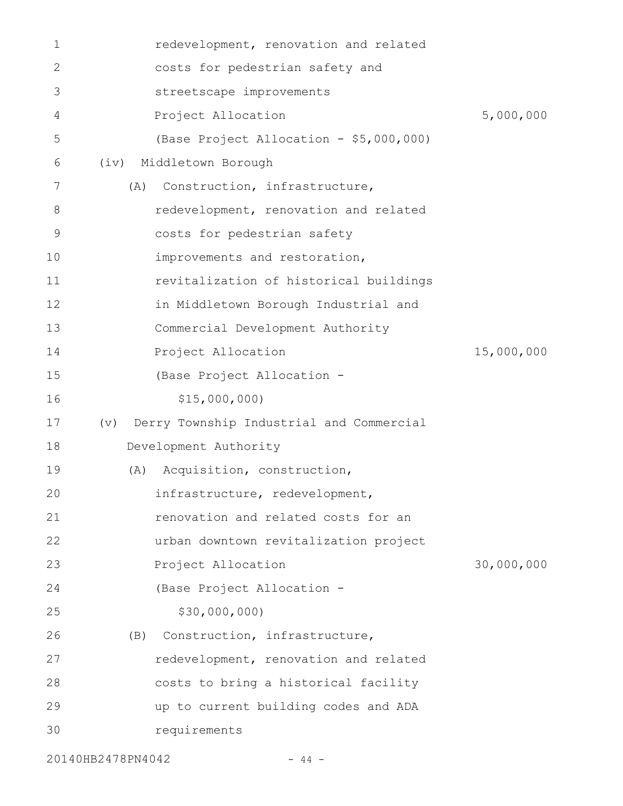| 1  | redevelopment, renovation and related           |            |
|----|-------------------------------------------------|------------|
| 2  | costs for pedestrian safety and                 |            |
| 3  | streetscape improvements                        |            |
| 4  | Project Allocation                              | 5,000,000  |
| 5  | (Base Project Allocation - \$5,000,000)         |            |
| 6  | Middletown Borough<br>(iv)                      |            |
| 7  | Construction, infrastructure,<br>(A)            |            |
| 8  | redevelopment, renovation and related           |            |
| 9  | costs for pedestrian safety                     |            |
| 10 | improvements and restoration,                   |            |
| 11 | revitalization of historical buildings          |            |
| 12 | in Middletown Borough Industrial and            |            |
| 13 | Commercial Development Authority                |            |
| 14 | Project Allocation                              | 15,000,000 |
| 15 | (Base Project Allocation -                      |            |
| 16 | \$15,000,000                                    |            |
| 17 | Derry Township Industrial and Commercial<br>(v) |            |
| 18 | Development Authority                           |            |
| 19 | Acquisition, construction,<br>(A)               |            |
| 20 | infrastructure, redevelopment,                  |            |
| 21 | renovation and related costs for an             |            |
| 22 | urban downtown revitalization project           |            |
| 23 | Project Allocation                              | 30,000,000 |
| 24 | (Base Project Allocation -                      |            |
| 25 | \$30,000,000)                                   |            |
| 26 | Construction, infrastructure,<br>(B)            |            |
| 27 | redevelopment, renovation and related           |            |
| 28 | costs to bring a historical facility            |            |
| 29 | up to current building codes and ADA            |            |
| 30 | requirements                                    |            |
|    |                                                 |            |

20140HB2478PN4042 - 44 -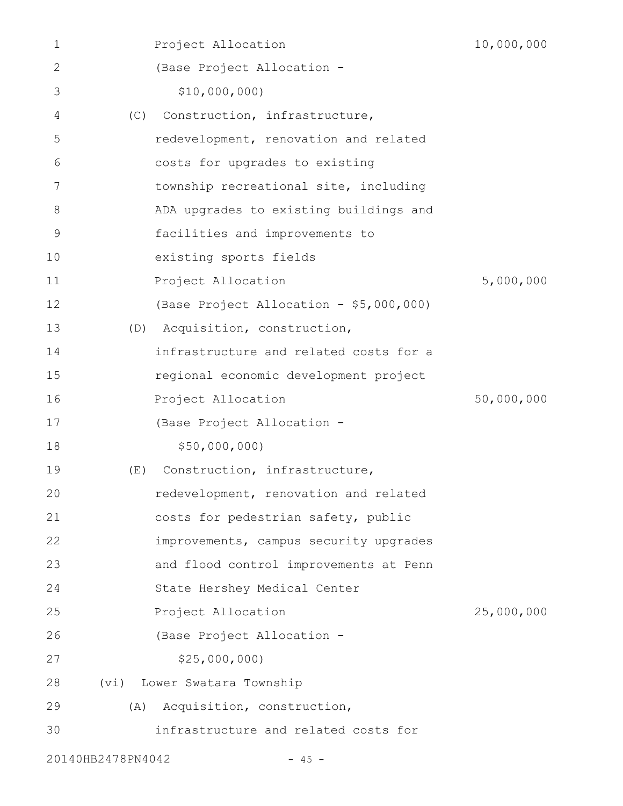| 1                 |     | Project Allocation                      | 10,000,000 |
|-------------------|-----|-----------------------------------------|------------|
| 2                 |     | (Base Project Allocation -              |            |
| 3                 |     | \$10,000,000)                           |            |
| 4                 | (C) | Construction, infrastructure,           |            |
| 5                 |     | redevelopment, renovation and related   |            |
| 6                 |     | costs for upgrades to existing          |            |
| 7                 |     | township recreational site, including   |            |
| 8                 |     | ADA upgrades to existing buildings and  |            |
| 9                 |     | facilities and improvements to          |            |
| 10                |     | existing sports fields                  |            |
| 11                |     | Project Allocation                      | 5,000,000  |
| 12                |     | (Base Project Allocation - \$5,000,000) |            |
| 13                | (D) | Acquisition, construction,              |            |
| 14                |     | infrastructure and related costs for a  |            |
| 15                |     | regional economic development project   |            |
| 16                |     | Project Allocation                      | 50,000,000 |
| 17                |     | (Base Project Allocation -              |            |
| 18                |     | \$50,000,000)                           |            |
| 19                | (E) | Construction, infrastructure,           |            |
| 20                |     | redevelopment, renovation and related   |            |
| 21                |     | costs for pedestrian safety, public     |            |
| 22                |     | improvements, campus security upgrades  |            |
| 23                |     | and flood control improvements at Penn  |            |
| 24                |     | State Hershey Medical Center            |            |
| 25                |     | Project Allocation                      | 25,000,000 |
| 26                |     | (Base Project Allocation -              |            |
| 27                |     | \$25,000,000                            |            |
| 28                |     | (vi) Lower Swatara Township             |            |
| 29                | (A) | Acquisition, construction,              |            |
| 30                |     | infrastructure and related costs for    |            |
| 20140HB2478PN4042 |     | $-45 -$                                 |            |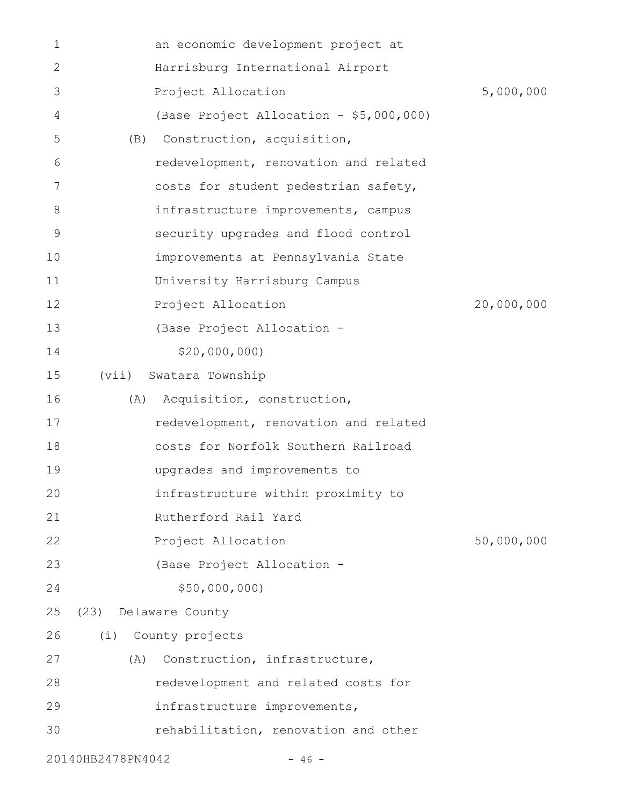| 1            |                   | an economic development project at      |            |
|--------------|-------------------|-----------------------------------------|------------|
| $\mathbf{2}$ |                   | Harrisburg International Airport        |            |
| 3            |                   | Project Allocation                      | 5,000,000  |
| 4            |                   | (Base Project Allocation - \$5,000,000) |            |
| 5            | (B)               | Construction, acquisition,              |            |
| 6            |                   | redevelopment, renovation and related   |            |
| 7            |                   | costs for student pedestrian safety,    |            |
| 8            |                   | infrastructure improvements, campus     |            |
| 9            |                   | security upgrades and flood control     |            |
| 10           |                   | improvements at Pennsylvania State      |            |
| 11           |                   | University Harrisburg Campus            |            |
| 12           |                   | Project Allocation                      | 20,000,000 |
| 13           |                   | (Base Project Allocation -              |            |
| 14           |                   | \$20,000,000)                           |            |
| 15           | (vii)             | Swatara Township                        |            |
| 16           | (A)               | Acquisition, construction,              |            |
| 17           |                   | redevelopment, renovation and related   |            |
| 18           |                   | costs for Norfolk Southern Railroad     |            |
| 19           |                   | upgrades and improvements to            |            |
| 20           |                   | infrastructure within proximity to      |            |
| 21           |                   | Rutherford Rail Yard                    |            |
| 22           |                   | Project Allocation                      | 50,000,000 |
| 23           |                   | (Base Project Allocation -              |            |
| 24           |                   | \$50,000,000                            |            |
| 25           | (23)              | Delaware County                         |            |
| 26           | (i)               | County projects                         |            |
| 27           | (A)               | Construction, infrastructure,           |            |
| 28           |                   | redevelopment and related costs for     |            |
| 29           |                   | infrastructure improvements,            |            |
| 30           |                   | rehabilitation, renovation and other    |            |
|              | 20140HB2478PN4042 | $-46 -$                                 |            |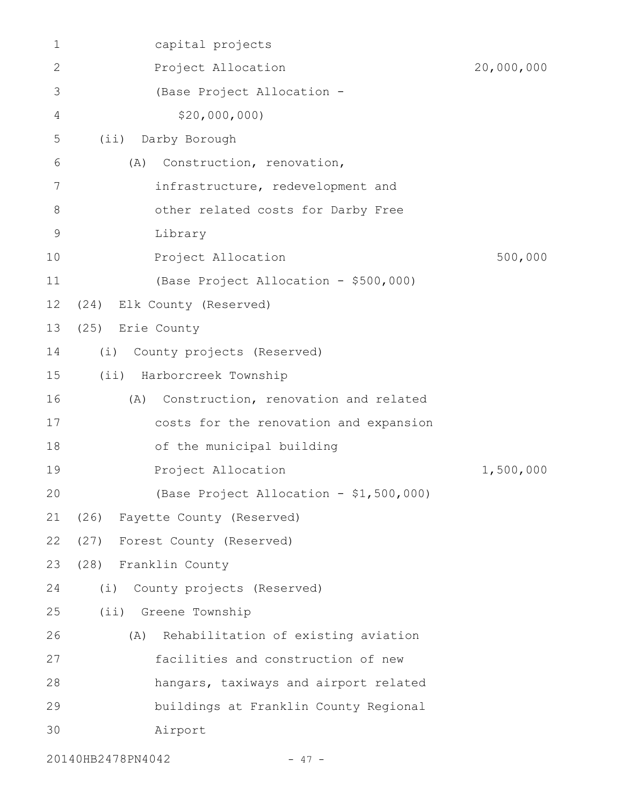| $\mathbf 1$   | capital projects                            |            |
|---------------|---------------------------------------------|------------|
| 2             | Project Allocation                          | 20,000,000 |
| 3             | (Base Project Allocation -                  |            |
| 4             | \$20,000,000                                |            |
| 5             | Darby Borough<br>(i)                        |            |
| 6             | Construction, renovation,<br>(A)            |            |
| 7             | infrastructure, redevelopment and           |            |
| $8\,$         | other related costs for Darby Free          |            |
| $\mathcal{G}$ | Library                                     |            |
| 10            | Project Allocation                          | 500,000    |
| 11            | (Base Project Allocation - \$500,000)       |            |
| 12            | Elk County (Reserved)<br>(24)               |            |
| 13            | (25)<br>Erie County                         |            |
| 14            | (i)<br>County projects (Reserved)           |            |
| 15            | $(i$ i)<br>Harborcreek Township             |            |
| 16            | Construction, renovation and related<br>(A) |            |
| 17            | costs for the renovation and expansion      |            |
| 18            | of the municipal building                   |            |
| 19            | Project Allocation                          | 1,500,000  |
| 20            | (Base Project Allocation - \$1,500,000)     |            |
| 21            | (26) Fayette County (Reserved)              |            |
| 22            | (27) Forest County (Reserved)               |            |
| 23            | (28) Franklin County                        |            |
| 24            | (i)<br>County projects (Reserved)           |            |
| 25            | (ii) Greene Township                        |            |
| 26            | Rehabilitation of existing aviation<br>(A)  |            |
| 27            | facilities and construction of new          |            |
| 28            | hangars, taxiways and airport related       |            |
| 29            | buildings at Franklin County Regional       |            |
| 30            | Airport                                     |            |
|               |                                             |            |

20140HB2478PN4042 - 47 -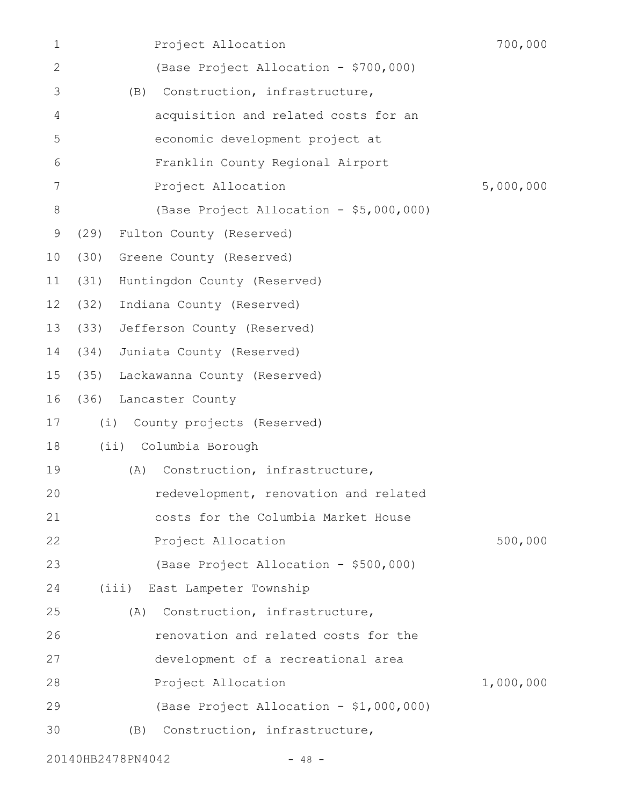| $\mathbf 1$ | Project Allocation                      | 700,000   |
|-------------|-----------------------------------------|-----------|
| 2           | (Base Project Allocation - \$700,000)   |           |
| 3           | Construction, infrastructure,<br>(B)    |           |
| 4           | acquisition and related costs for an    |           |
| 5           | economic development project at         |           |
| 6           | Franklin County Regional Airport        |           |
| 7           | Project Allocation                      | 5,000,000 |
| $8\,$       | (Base Project Allocation - \$5,000,000) |           |
| 9           | (29)<br>Fulton County (Reserved)        |           |
| 10          | (30)<br>Greene County (Reserved)        |           |
| 11          | (31)<br>Huntingdon County (Reserved)    |           |
| 12          | (32)<br>Indiana County (Reserved)       |           |
| 13          | (33)<br>Jefferson County (Reserved)     |           |
| 14          | (34)<br>Juniata County (Reserved)       |           |
| 15          | (35)<br>Lackawanna County (Reserved)    |           |
| 16          | (36) Lancaster County                   |           |
| 17          | (i)<br>County projects (Reserved)       |           |
| 18          | (ii) Columbia Borough                   |           |
| 19          | Construction, infrastructure,<br>(A)    |           |
| 20          | redevelopment, renovation and related   |           |
| 21          | costs for the Columbia Market House     |           |
| 22          | Project Allocation                      | 500,000   |
| 23          | (Base Project Allocation - \$500,000)   |           |
| 24          | (iii) East Lampeter Township            |           |
| 25          | Construction, infrastructure,<br>(A)    |           |
| 26          | renovation and related costs for the    |           |
| 27          | development of a recreational area      |           |
| 28          | Project Allocation                      | 1,000,000 |
| 29          | (Base Project Allocation - \$1,000,000) |           |
| 30          | Construction, infrastructure,<br>(B)    |           |
|             |                                         |           |

20140HB2478PN4042 - 48 -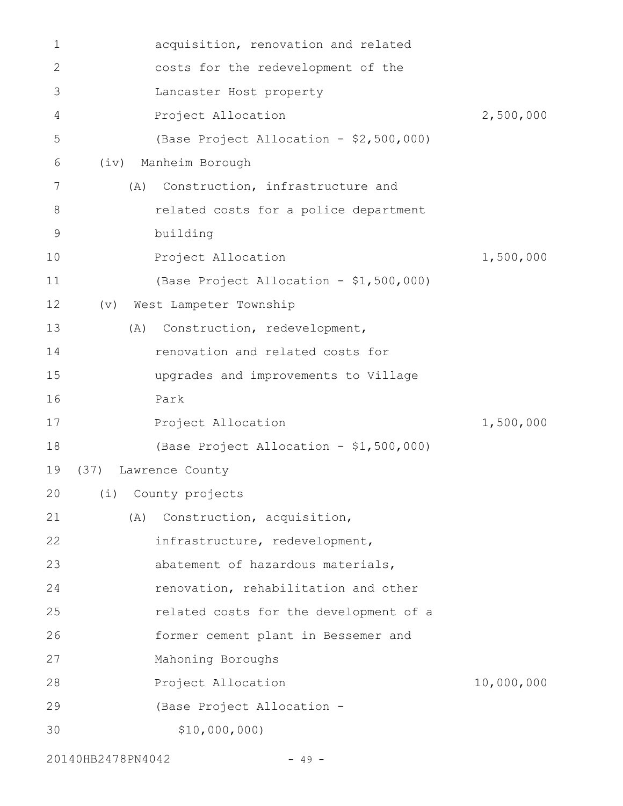| 1           |      | acquisition, renovation and related     |            |
|-------------|------|-----------------------------------------|------------|
| 2           |      | costs for the redevelopment of the      |            |
| 3           |      | Lancaster Host property                 |            |
| 4           |      | Project Allocation                      | 2,500,000  |
| 5           |      | (Base Project Allocation - \$2,500,000) |            |
| 6           | (iv) | Manheim Borough                         |            |
| 7           | (A)  | Construction, infrastructure and        |            |
| 8           |      | related costs for a police department   |            |
| $\mathsf 9$ |      | building                                |            |
| 10          |      | Project Allocation                      | 1,500,000  |
| 11          |      | (Base Project Allocation - \$1,500,000) |            |
| 12          | (v)  | West Lampeter Township                  |            |
| 13          | (A)  | Construction, redevelopment,            |            |
| 14          |      | renovation and related costs for        |            |
| 15          |      | upgrades and improvements to Village    |            |
| 16          |      | Park                                    |            |
| 17          |      | Project Allocation                      | 1,500,000  |
| 18          |      | (Base Project Allocation - \$1,500,000) |            |
| 19          |      | (37) Lawrence County                    |            |
| 20          |      | (i) County projects                     |            |
| 21          | (A)  | Construction, acquisition,              |            |
| 22          |      | infrastructure, redevelopment,          |            |
| 23          |      | abatement of hazardous materials,       |            |
| 24          |      | renovation, rehabilitation and other    |            |
| 25          |      | related costs for the development of a  |            |
| 26          |      | former cement plant in Bessemer and     |            |
| 27          |      | Mahoning Boroughs                       |            |
| 28          |      | Project Allocation                      | 10,000,000 |
| 29          |      | (Base Project Allocation -              |            |
| 30          |      | \$10,000,000)                           |            |
|             |      |                                         |            |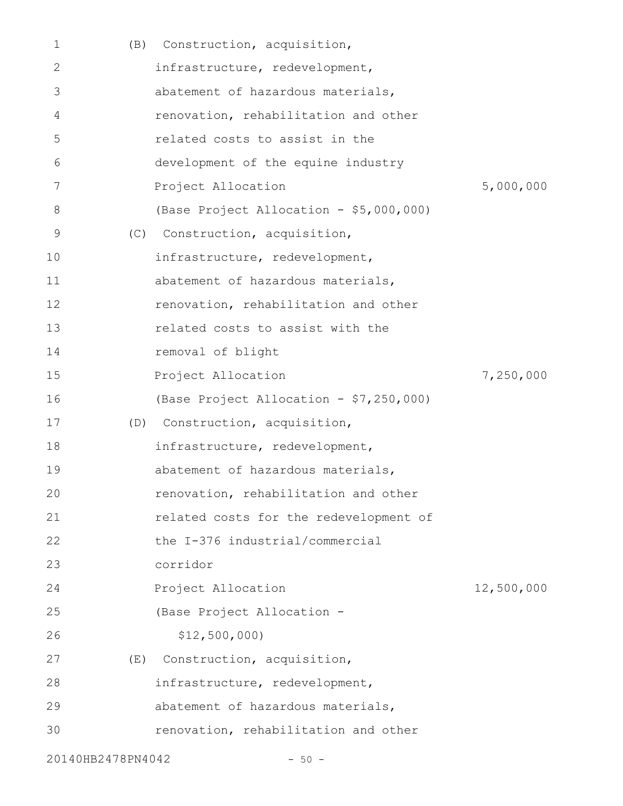| 1                 | (B) | Construction, acquisition,              |            |
|-------------------|-----|-----------------------------------------|------------|
| 2                 |     | infrastructure, redevelopment,          |            |
| 3                 |     | abatement of hazardous materials,       |            |
| 4                 |     | renovation, rehabilitation and other    |            |
| 5                 |     | related costs to assist in the          |            |
| 6                 |     | development of the equine industry      |            |
| 7                 |     | Project Allocation                      | 5,000,000  |
| 8                 |     | (Base Project Allocation - \$5,000,000) |            |
| 9                 | (C) | Construction, acquisition,              |            |
| 10                |     | infrastructure, redevelopment,          |            |
| 11                |     | abatement of hazardous materials,       |            |
| 12                |     | renovation, rehabilitation and other    |            |
| 13                |     | related costs to assist with the        |            |
| 14                |     | removal of blight                       |            |
| 15                |     | Project Allocation                      | 7,250,000  |
| 16                |     | (Base Project Allocation - \$7,250,000) |            |
| 17                |     | (D) Construction, acquisition,          |            |
| 18                |     | infrastructure, redevelopment,          |            |
| 19                |     | abatement of hazardous materials,       |            |
| 20                |     | renovation, rehabilitation and other    |            |
| 21                |     | related costs for the redevelopment of  |            |
| 22                |     | the I-376 industrial/commercial         |            |
| 23                |     | corridor                                |            |
| 24                |     | Project Allocation                      | 12,500,000 |
| 25                |     | (Base Project Allocation -              |            |
| 26                |     | \$12,500,000                            |            |
| 27                | (E) | Construction, acquisition,              |            |
| 28                |     | infrastructure, redevelopment,          |            |
| 29                |     | abatement of hazardous materials,       |            |
| 30                |     | renovation, rehabilitation and other    |            |
| 20140HB2478PN4042 |     | $-50 -$                                 |            |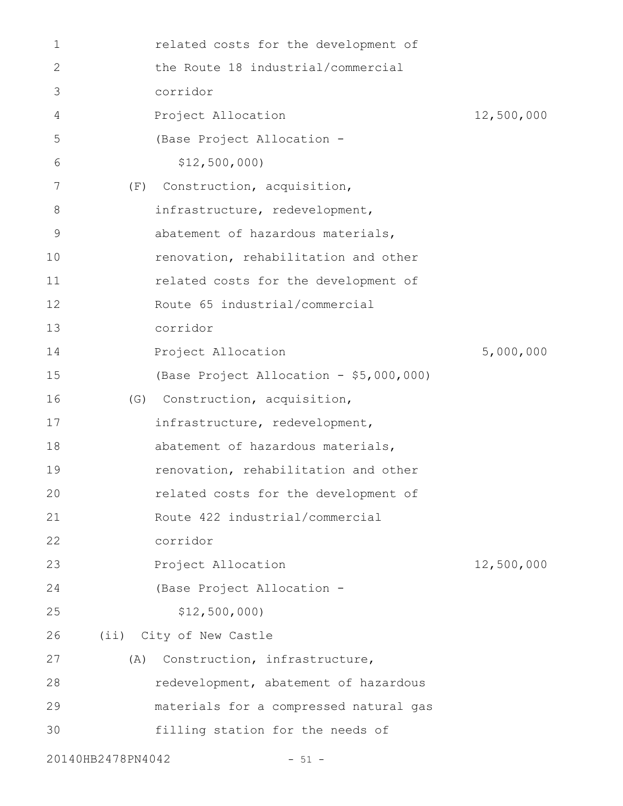| 1                 |     | related costs for the development of    |            |
|-------------------|-----|-----------------------------------------|------------|
| 2                 |     | the Route 18 industrial/commercial      |            |
| 3                 |     | corridor                                |            |
| 4                 |     | Project Allocation                      | 12,500,000 |
| 5                 |     | (Base Project Allocation -              |            |
| 6                 |     | \$12,500,000                            |            |
| 7                 | (F) | Construction, acquisition,              |            |
| 8                 |     | infrastructure, redevelopment,          |            |
| 9                 |     | abatement of hazardous materials,       |            |
| 10                |     | renovation, rehabilitation and other    |            |
| 11                |     | related costs for the development of    |            |
| 12                |     | Route 65 industrial/commercial          |            |
| 13                |     | corridor                                |            |
| 14                |     | Project Allocation                      | 5,000,000  |
| 15                |     | (Base Project Allocation - \$5,000,000) |            |
| 16                |     | (G) Construction, acquisition,          |            |
| 17                |     | infrastructure, redevelopment,          |            |
| 18                |     | abatement of hazardous materials,       |            |
| 19                |     | renovation, rehabilitation and other    |            |
| 20                |     | related costs for the development of    |            |
| 21                |     | Route 422 industrial/commercial         |            |
| 22                |     | corridor                                |            |
| 23                |     | Project Allocation                      | 12,500,000 |
| 24                |     | (Base Project Allocation -              |            |
| 25                |     | \$12,500,000                            |            |
| 26                |     | (ii) City of New Castle                 |            |
| 27                | (A) | Construction, infrastructure,           |            |
| 28                |     | redevelopment, abatement of hazardous   |            |
| 29                |     | materials for a compressed natural gas  |            |
| 30                |     | filling station for the needs of        |            |
| 20140HB2478PN4042 |     | $-51 -$                                 |            |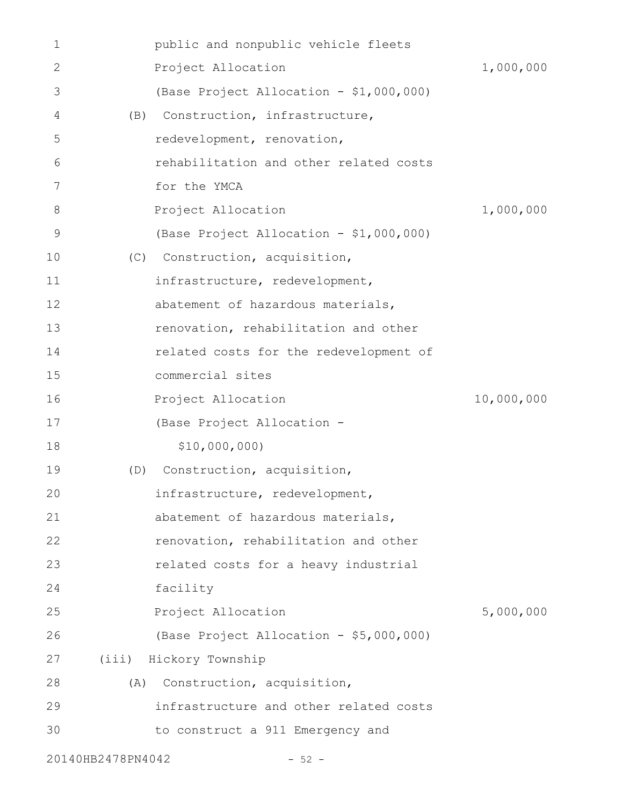| 1            |                   | public and nonpublic vehicle fleets     |            |
|--------------|-------------------|-----------------------------------------|------------|
| $\mathbf{2}$ |                   | Project Allocation                      | 1,000,000  |
| 3            |                   | (Base Project Allocation - \$1,000,000) |            |
| 4            | (B)               | Construction, infrastructure,           |            |
| 5            |                   | redevelopment, renovation,              |            |
| 6            |                   | rehabilitation and other related costs  |            |
| 7            |                   | for the YMCA                            |            |
| 8            |                   | Project Allocation                      | 1,000,000  |
| 9            |                   | (Base Project Allocation - \$1,000,000) |            |
| 10           | (C)               | Construction, acquisition,              |            |
| 11           |                   | infrastructure, redevelopment,          |            |
| 12           |                   | abatement of hazardous materials,       |            |
| 13           |                   | renovation, rehabilitation and other    |            |
| 14           |                   | related costs for the redevelopment of  |            |
| 15           |                   | commercial sites                        |            |
| 16           |                   | Project Allocation                      | 10,000,000 |
| 17           |                   | (Base Project Allocation -              |            |
| 18           |                   | \$10,000,000)                           |            |
| 19           | (D)               | Construction, acquisition,              |            |
| 20           |                   | infrastructure, redevelopment,          |            |
| 21           |                   | abatement of hazardous materials,       |            |
| 22           |                   | renovation, rehabilitation and other    |            |
| 23           |                   | related costs for a heavy industrial    |            |
| 24           |                   | facility                                |            |
| 25           |                   | Project Allocation                      | 5,000,000  |
| 26           |                   | (Base Project Allocation - \$5,000,000) |            |
| 27           |                   | (iii) Hickory Township                  |            |
| 28           | (A)               | Construction, acquisition,              |            |
| 29           |                   | infrastructure and other related costs  |            |
| 30           |                   | to construct a 911 Emergency and        |            |
|              | 20140HB2478PN4042 | $-52 -$                                 |            |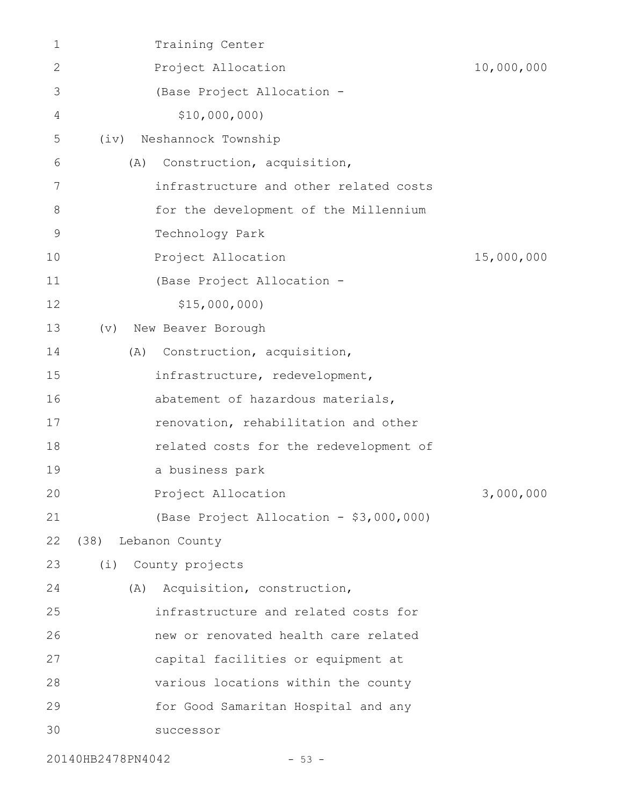| $\mathbf 1$ |                     | Training Center                         |            |
|-------------|---------------------|-----------------------------------------|------------|
| 2           |                     | Project Allocation                      | 10,000,000 |
| 3           |                     | (Base Project Allocation -              |            |
| 4           |                     | \$10,000,000)                           |            |
| 5           | (iv)                | Neshannock Township                     |            |
| 6           | (A)                 | Construction, acquisition,              |            |
| 7           |                     | infrastructure and other related costs  |            |
| 8           |                     | for the development of the Millennium   |            |
| 9           |                     | Technology Park                         |            |
| 10          |                     | Project Allocation                      | 15,000,000 |
| 11          |                     | (Base Project Allocation -              |            |
| 12          |                     | \$15,000,000                            |            |
| 13          | (v)                 | New Beaver Borough                      |            |
| 14          | (A)                 | Construction, acquisition,              |            |
| 15          |                     | infrastructure, redevelopment,          |            |
| 16          |                     | abatement of hazardous materials,       |            |
| 17          |                     | renovation, rehabilitation and other    |            |
| 18          |                     | related costs for the redevelopment of  |            |
| 19          |                     | a business park                         |            |
| 20          |                     | Project Allocation                      | 3,000,000  |
| 21          |                     | (Base Project Allocation - \$3,000,000) |            |
| 22          | (38) Lebanon County |                                         |            |
| 23          |                     | (i) County projects                     |            |
| 24          | (A)                 | Acquisition, construction,              |            |
| 25          |                     | infrastructure and related costs for    |            |
| 26          |                     | new or renovated health care related    |            |
| 27          |                     | capital facilities or equipment at      |            |
| 28          |                     | various locations within the county     |            |
| 29          |                     | for Good Samaritan Hospital and any     |            |
| 30          |                     | successor                               |            |
|             |                     |                                         |            |

20140HB2478PN4042 - 53 -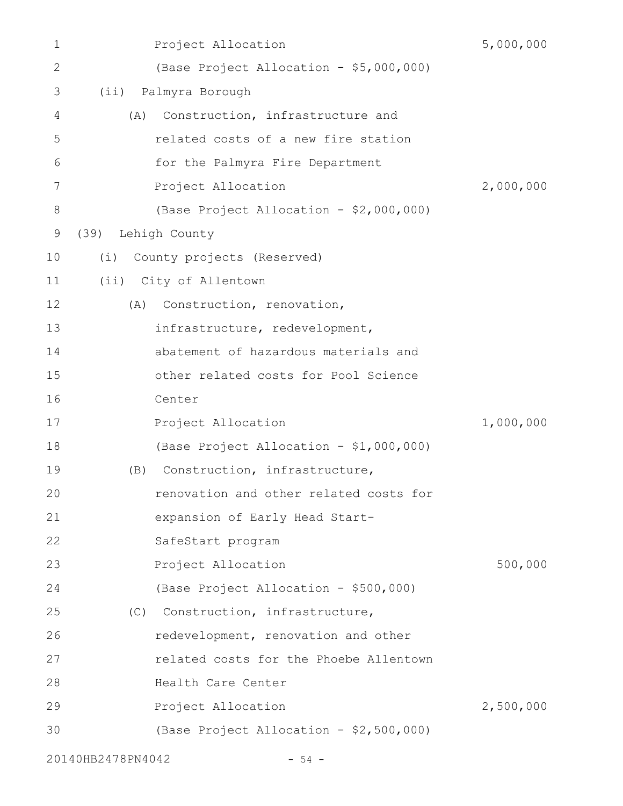| 1            |                   | Project Allocation                      | 5,000,000 |
|--------------|-------------------|-----------------------------------------|-----------|
| $\mathbf{2}$ |                   | (Base Project Allocation - \$5,000,000) |           |
| 3            | (i)               | Palmyra Borough                         |           |
| 4            | (A)               | Construction, infrastructure and        |           |
| 5            |                   | related costs of a new fire station     |           |
| 6            |                   | for the Palmyra Fire Department         |           |
| 7            |                   | Project Allocation                      | 2,000,000 |
| 8            |                   | (Base Project Allocation - \$2,000,000) |           |
| 9            | (39)              | Lehigh County                           |           |
| 10           | (i)               | County projects (Reserved)              |           |
| 11           |                   | (ii) City of Allentown                  |           |
| 12           | (A)               | Construction, renovation,               |           |
| 13           |                   | infrastructure, redevelopment,          |           |
| 14           |                   | abatement of hazardous materials and    |           |
| 15           |                   | other related costs for Pool Science    |           |
| 16           |                   | Center                                  |           |
| 17           |                   | Project Allocation                      | 1,000,000 |
| 18           |                   | (Base Project Allocation - \$1,000,000) |           |
| 19           | (B)               | Construction, infrastructure,           |           |
| 20           |                   | renovation and other related costs for  |           |
| 21           |                   | expansion of Early Head Start-          |           |
| 22           |                   | SafeStart program                       |           |
| 23           |                   | Project Allocation                      | 500,000   |
| 24           |                   | (Base Project Allocation - \$500,000)   |           |
| 25           |                   | (C) Construction, infrastructure,       |           |
| 26           |                   | redevelopment, renovation and other     |           |
| 27           |                   | related costs for the Phoebe Allentown  |           |
| 28           |                   | Health Care Center                      |           |
| 29           |                   | Project Allocation                      | 2,500,000 |
| 30           |                   | (Base Project Allocation - \$2,500,000) |           |
|              | 20140HB2478PN4042 | $-54 -$                                 |           |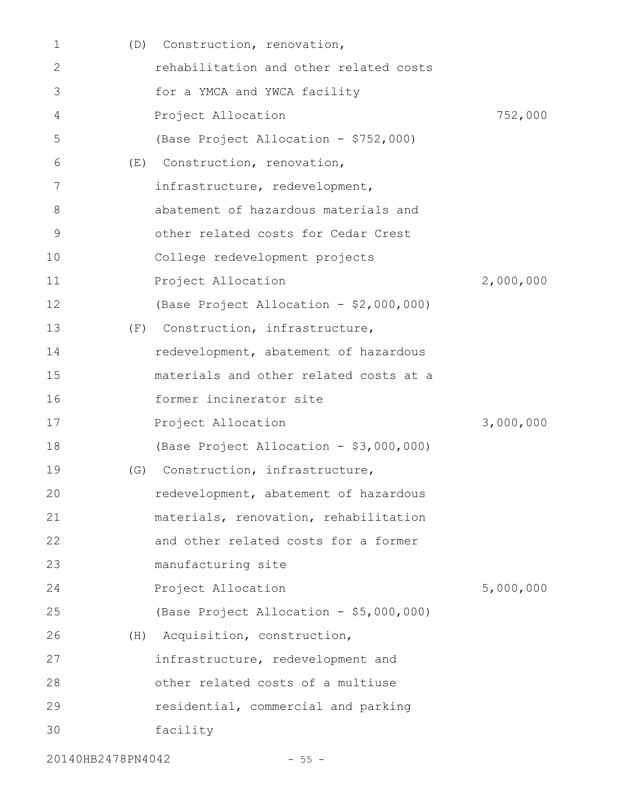| 1  | (D) | Construction, renovation,               |           |
|----|-----|-----------------------------------------|-----------|
| 2  |     | rehabilitation and other related costs  |           |
| 3  |     | for a YMCA and YWCA facility            |           |
| 4  |     | Project Allocation                      | 752,000   |
| 5  |     | (Base Project Allocation - \$752,000)   |           |
| 6  | (E) | Construction, renovation,               |           |
| 7  |     | infrastructure, redevelopment,          |           |
| 8  |     | abatement of hazardous materials and    |           |
| 9  |     | other related costs for Cedar Crest     |           |
| 10 |     | College redevelopment projects          |           |
| 11 |     | Project Allocation                      | 2,000,000 |
| 12 |     | (Base Project Allocation - \$2,000,000) |           |
| 13 | (F) | Construction, infrastructure,           |           |
| 14 |     | redevelopment, abatement of hazardous   |           |
| 15 |     | materials and other related costs at a  |           |
| 16 |     | former incinerator site                 |           |
| 17 |     | Project Allocation                      | 3,000,000 |
| 18 |     | (Base Project Allocation - \$3,000,000) |           |
| 19 | (G) | Construction, infrastructure,           |           |
| 20 |     | redevelopment, abatement of hazardous   |           |
| 21 |     | materials, renovation, rehabilitation   |           |
| 22 |     | and other related costs for a former    |           |
| 23 |     | manufacturing site                      |           |
| 24 |     | Project Allocation                      | 5,000,000 |
| 25 |     | (Base Project Allocation - \$5,000,000) |           |
| 26 | (H) | Acquisition, construction,              |           |
| 27 |     | infrastructure, redevelopment and       |           |
| 28 |     | other related costs of a multiuse       |           |
| 29 |     | residential, commercial and parking     |           |
| 30 |     | facility                                |           |
|    |     |                                         |           |

20140HB2478PN4042 - 55 -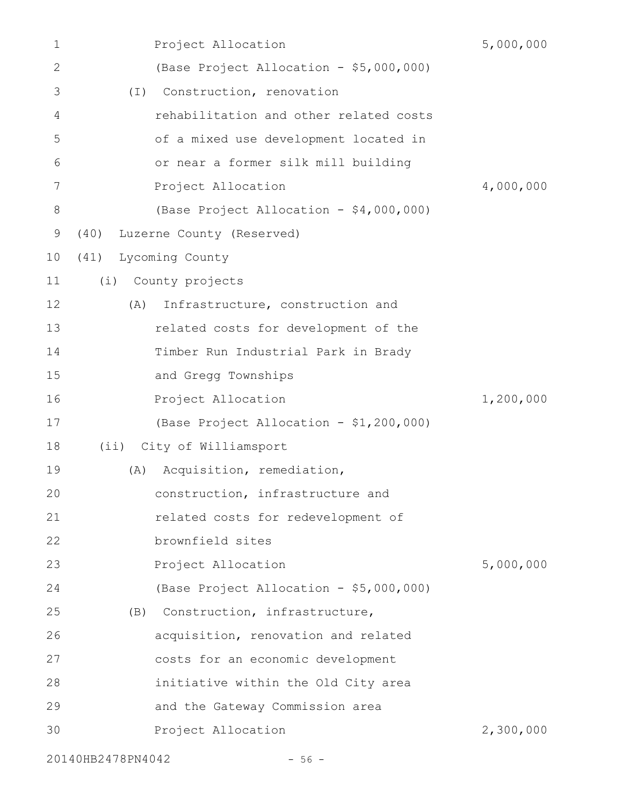| 1            | Project Allocation                      | 5,000,000 |
|--------------|-----------------------------------------|-----------|
| $\mathbf{2}$ | (Base Project Allocation - \$5,000,000) |           |
| 3            | Construction, renovation<br>$(\top)$    |           |
| 4            | rehabilitation and other related costs  |           |
| 5            | of a mixed use development located in   |           |
| 6            | or near a former silk mill building     |           |
| 7            | Project Allocation                      | 4,000,000 |
| 8            | (Base Project Allocation - \$4,000,000) |           |
| 9            | Luzerne County (Reserved)<br>(40)       |           |
| 10           | (41) Lycoming County                    |           |
| 11           | (i)<br>County projects                  |           |
| 12           | (A)<br>Infrastructure, construction and |           |
| 13           | related costs for development of the    |           |
| 14           | Timber Run Industrial Park in Brady     |           |
| 15           | and Gregg Townships                     |           |
| 16           | Project Allocation                      | 1,200,000 |
| 17           | (Base Project Allocation - \$1,200,000) |           |
| 18           | (ii) City of Williamsport               |           |
| 19           | Acquisition, remediation,<br>(A)        |           |
| 20           | construction, infrastructure and        |           |
| 21           | related costs for redevelopment of      |           |
| 22           | brownfield sites                        |           |
| 23           | Project Allocation                      | 5,000,000 |
| 24           | (Base Project Allocation - \$5,000,000) |           |
| 25           | (B) Construction, infrastructure,       |           |
| 26           | acquisition, renovation and related     |           |
| 27           | costs for an economic development       |           |
| 28           | initiative within the Old City area     |           |
| 29           | and the Gateway Commission area         |           |
| 30           | Project Allocation                      | 2,300,000 |
|              | 20140HB2478PN4042<br>$-56 -$            |           |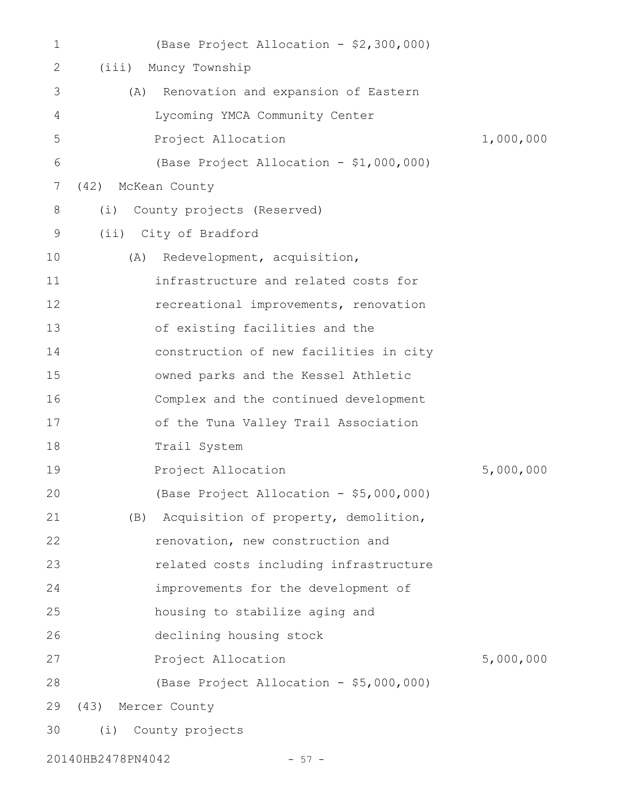| $\mathbf 1$ | (Base Project Allocation - \$2,300,000)    |           |
|-------------|--------------------------------------------|-----------|
| 2           | (iii)<br>Muncy Township                    |           |
| 3           | Renovation and expansion of Eastern<br>(A) |           |
| 4           | Lycoming YMCA Community Center             |           |
| 5           | Project Allocation                         | 1,000,000 |
| 6           | (Base Project Allocation - \$1,000,000)    |           |
| 7           | McKean County<br>(42)                      |           |
| 8           | County projects (Reserved)<br>(i)          |           |
| 9           | (ii) City of Bradford                      |           |
| 10          | Redevelopment, acquisition,<br>(A)         |           |
| 11          | infrastructure and related costs for       |           |
| 12          | recreational improvements, renovation      |           |
| 13          | of existing facilities and the             |           |
| 14          | construction of new facilities in city     |           |
| 15          | owned parks and the Kessel Athletic        |           |
| 16          | Complex and the continued development      |           |
| 17          | of the Tuna Valley Trail Association       |           |
| 18          | Trail System                               |           |
| 19          | Project Allocation                         | 5,000,000 |
| 20          | (Base Project Allocation - \$5,000,000)    |           |
| 21          | (B) Acquisition of property, demolition,   |           |
| 22          | renovation, new construction and           |           |
| 23          | related costs including infrastructure     |           |
| 24          | improvements for the development of        |           |
| 25          | housing to stabilize aging and             |           |
| 26          | declining housing stock                    |           |
| 27          | Project Allocation                         | 5,000,000 |
| 28          | (Base Project Allocation - \$5,000,000)    |           |
| 29          | (43) Mercer County                         |           |
| 30          | (i) County projects                        |           |

20140HB2478PN4042 - 57 -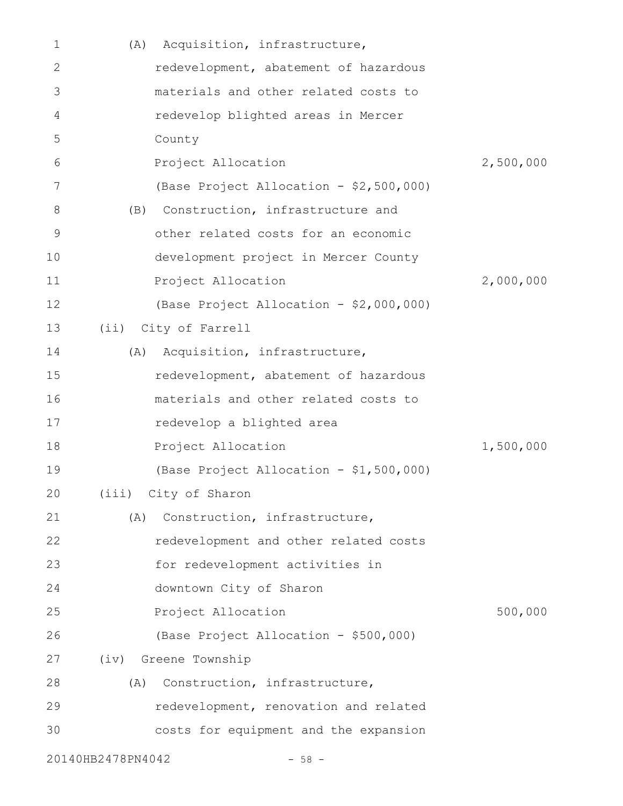| 1  | (A)               | Acquisition, infrastructure,            |           |
|----|-------------------|-----------------------------------------|-----------|
| 2  |                   | redevelopment, abatement of hazardous   |           |
| 3  |                   | materials and other related costs to    |           |
| 4  |                   | redevelop blighted areas in Mercer      |           |
| 5  |                   | County                                  |           |
| 6  |                   | Project Allocation                      | 2,500,000 |
| 7  |                   | (Base Project Allocation - \$2,500,000) |           |
| 8  | (B)               | Construction, infrastructure and        |           |
| 9  |                   | other related costs for an economic     |           |
| 10 |                   | development project in Mercer County    |           |
| 11 |                   | Project Allocation                      | 2,000,000 |
| 12 |                   | (Base Project Allocation - \$2,000,000) |           |
| 13 |                   | (ii) City of Farrell                    |           |
| 14 | (A)               | Acquisition, infrastructure,            |           |
| 15 |                   | redevelopment, abatement of hazardous   |           |
| 16 |                   | materials and other related costs to    |           |
| 17 |                   | redevelop a blighted area               |           |
| 18 |                   | Project Allocation                      | 1,500,000 |
| 19 |                   | (Base Project Allocation - \$1,500,000) |           |
| 20 |                   | (iii) City of Sharon                    |           |
| 21 | (A)               | Construction, infrastructure,           |           |
| 22 |                   | redevelopment and other related costs   |           |
| 23 |                   | for redevelopment activities in         |           |
| 24 |                   | downtown City of Sharon                 |           |
| 25 |                   | Project Allocation                      | 500,000   |
| 26 |                   | (Base Project Allocation - \$500,000)   |           |
| 27 |                   | (iv) Greene Township                    |           |
| 28 | (A)               | Construction, infrastructure,           |           |
| 29 |                   | redevelopment, renovation and related   |           |
| 30 |                   | costs for equipment and the expansion   |           |
|    | 20140HB2478PN4042 | $-58 -$                                 |           |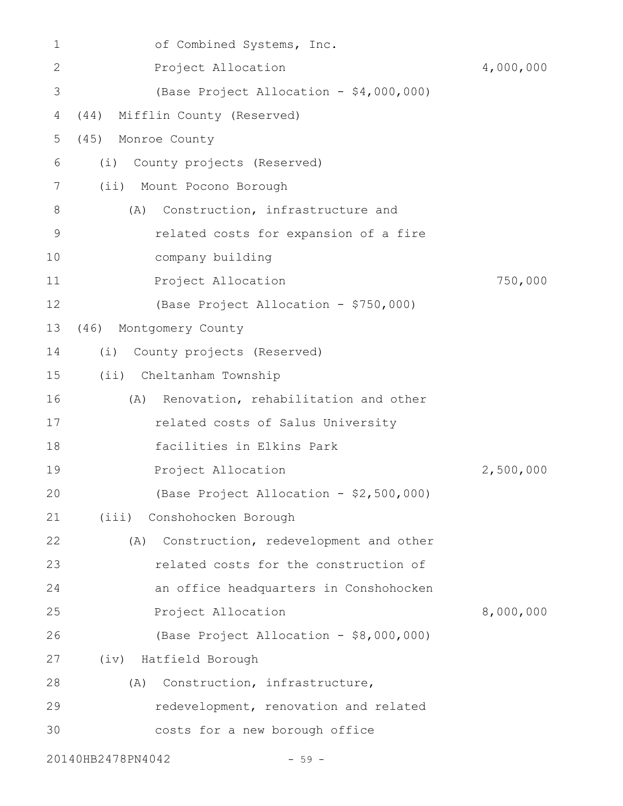| 1            | of Combined Systems, Inc.                    |           |
|--------------|----------------------------------------------|-----------|
| $\mathbf{2}$ | Project Allocation                           | 4,000,000 |
| 3            | (Base Project Allocation - \$4,000,000)      |           |
| 4            | Mifflin County (Reserved)<br>(44)            |           |
| 5            | (45)<br>Monroe County                        |           |
| 6            | County projects (Reserved)<br>(i)            |           |
| 7            | (ii) Mount Pocono Borough                    |           |
| 8            | Construction, infrastructure and<br>(A)      |           |
| $\mathsf 9$  | related costs for expansion of a fire        |           |
| 10           | company building                             |           |
| 11           | Project Allocation                           | 750,000   |
| 12           | (Base Project Allocation - \$750,000)        |           |
| 13           | (46) Montgomery County                       |           |
| 14           | County projects (Reserved)<br>(i)            |           |
| 15           | (ii) Cheltanham Township                     |           |
| 16           | Renovation, rehabilitation and other<br>(A)  |           |
| 17           | related costs of Salus University            |           |
| 18           | facilities in Elkins Park                    |           |
| 19           | Project Allocation                           | 2,500,000 |
| 20           | (Base Project Allocation - \$2,500,000)      |           |
| 21           | (iii) Conshohocken Borough                   |           |
| 22           | Construction, redevelopment and other<br>(A) |           |
| 23           | related costs for the construction of        |           |
| 24           | an office headquarters in Conshohocken       |           |
| 25           | Project Allocation                           | 8,000,000 |
| 26           | (Base Project Allocation - \$8,000,000)      |           |
| 27           | (iv) Hatfield Borough                        |           |
| 28           | Construction, infrastructure,<br>(A)         |           |
| 29           | redevelopment, renovation and related        |           |
| 30           | costs for a new borough office               |           |
|              | 20140HB2478PN4042<br>$-59 -$                 |           |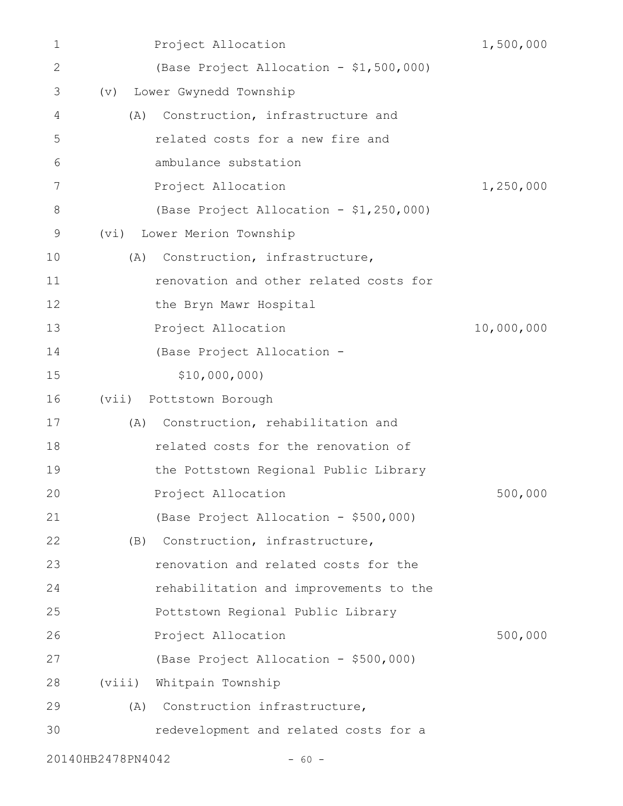| 1            | Project Allocation                      | 1,500,000  |
|--------------|-----------------------------------------|------------|
| $\mathbf{2}$ | (Base Project Allocation - \$1,500,000) |            |
| 3            | Lower Gwynedd Township<br>(v)           |            |
| 4            | Construction, infrastructure and<br>(A) |            |
| 5            | related costs for a new fire and        |            |
| 6            | ambulance substation                    |            |
| 7            | Project Allocation                      | 1,250,000  |
| 8            | (Base Project Allocation - \$1,250,000) |            |
| 9            | Lower Merion Township<br>(vi)           |            |
| 10           | Construction, infrastructure,<br>(A)    |            |
| 11           | renovation and other related costs for  |            |
| 12           | the Bryn Mawr Hospital                  |            |
| 13           | Project Allocation                      | 10,000,000 |
| 14           | (Base Project Allocation -              |            |
| 15           | \$10,000,000)                           |            |
| 16           | Pottstown Borough<br>(vii)              |            |
| 17           | Construction, rehabilitation and<br>(A) |            |
| 18           | related costs for the renovation of     |            |
| 19           | the Pottstown Regional Public Library   |            |
| 20           | Project Allocation                      | 500,000    |
| 21           | (Base Project Allocation - \$500,000)   |            |
| 22           | (B) Construction, infrastructure,       |            |
| 23           | renovation and related costs for the    |            |
| 24           | rehabilitation and improvements to the  |            |
| 25           | Pottstown Regional Public Library       |            |
| 26           | Project Allocation                      | 500,000    |
| 27           | (Base Project Allocation - \$500,000)   |            |
| 28           | (viii) Whitpain Township                |            |
| 29           | Construction infrastructure,<br>(A)     |            |
| 30           | redevelopment and related costs for a   |            |
|              | 20140HB2478PN4042<br>$-60 -$            |            |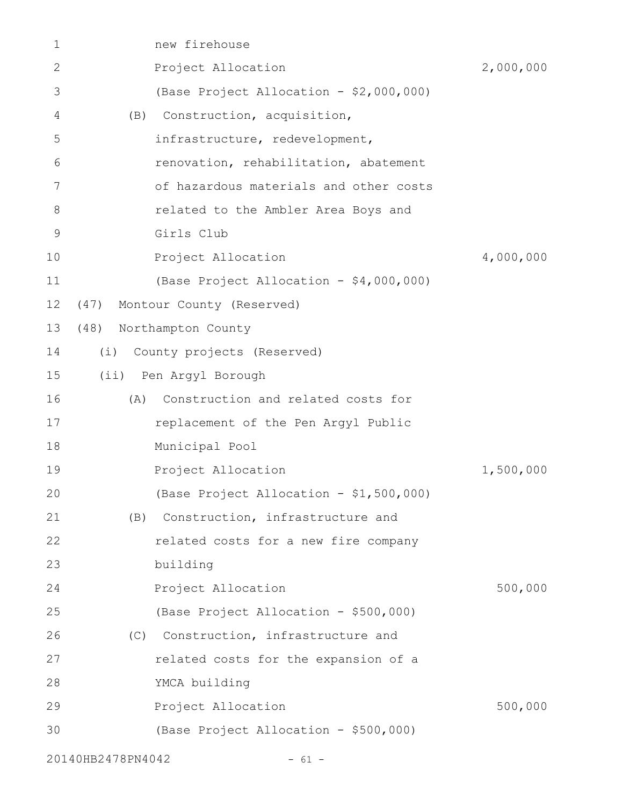| 1           | new firehouse                             |           |
|-------------|-------------------------------------------|-----------|
| 2           | Project Allocation                        | 2,000,000 |
| 3           | (Base Project Allocation - \$2,000,000)   |           |
| 4           | Construction, acquisition,<br>(B)         |           |
| 5           | infrastructure, redevelopment,            |           |
| 6           | renovation, rehabilitation, abatement     |           |
| 7           | of hazardous materials and other costs    |           |
| 8           | related to the Ambler Area Boys and       |           |
| $\mathsf 9$ | Girls Club                                |           |
| 10          | Project Allocation                        | 4,000,000 |
| 11          | (Base Project Allocation - \$4,000,000)   |           |
| 12          | Montour County (Reserved)<br>(47)         |           |
| 13          | (48)<br>Northampton County                |           |
| 14          | (i)<br>County projects (Reserved)         |           |
| 15          | (ii) Pen Argyl Borough                    |           |
| 16          | Construction and related costs for<br>(A) |           |
| 17          | replacement of the Pen Argyl Public       |           |
| 18          | Municipal Pool                            |           |
| 19          | Project Allocation                        | 1,500,000 |
| 20          | (Base Project Allocation - \$1,500,000)   |           |
| 21          | Construction, infrastructure and<br>(B)   |           |
| 22          | related costs for a new fire company      |           |
| 23          | building                                  |           |
| 24          | Project Allocation                        | 500,000   |
| 25          | (Base Project Allocation - \$500,000)     |           |
| 26          | (C) Construction, infrastructure and      |           |
| 27          | related costs for the expansion of a      |           |
| 28          | YMCA building                             |           |
| 29          | Project Allocation                        | 500,000   |
| 30          | (Base Project Allocation - \$500,000)     |           |
|             |                                           |           |

20140HB2478PN4042 - 61 -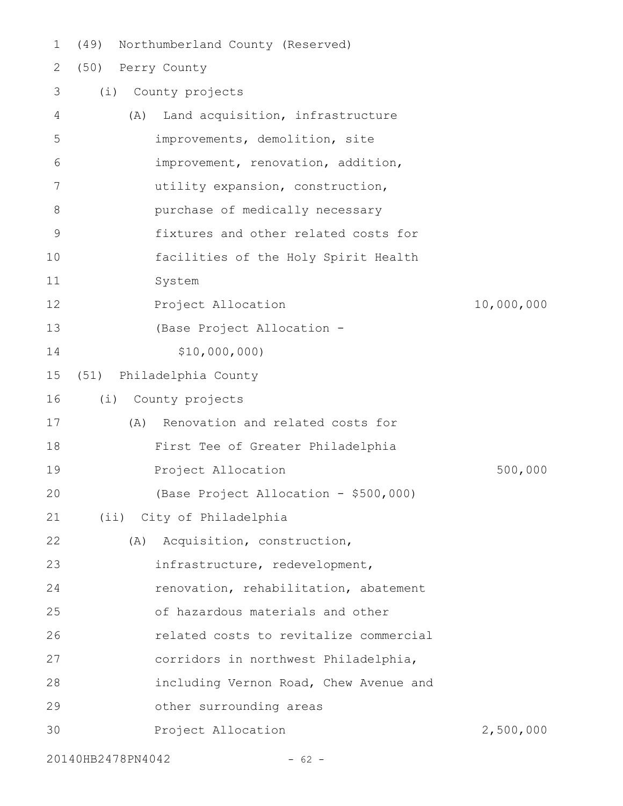(49) Northumberland County (Reserved) 1

## (50) Perry County (i) County projects (A) Land acquisition, infrastructure improvements, demolition, site improvement, renovation, addition, utility expansion, construction, purchase of medically necessary fixtures and other related costs for facilities of the Holy Spirit Health System Project Allocation 10,000,000 (Base Project Allocation - \$10,000,000) (51) Philadelphia County (i) County projects (A) Renovation and related costs for First Tee of Greater Philadelphia Project Allocation 500,000 (Base Project Allocation - \$500,000) (ii) City of Philadelphia (A) Acquisition, construction, infrastructure, redevelopment, renovation, rehabilitation, abatement of hazardous materials and other related costs to revitalize commercial corridors in northwest Philadelphia, including Vernon Road, Chew Avenue and other surrounding areas Project Allocation 2,500,000 2 3 4 5 6 7 8 9 10 11 12 13 14 15 16 17 18 19 20 21 22 23 24 25 26 27 28 29 30

20140HB2478PN4042 - 62 -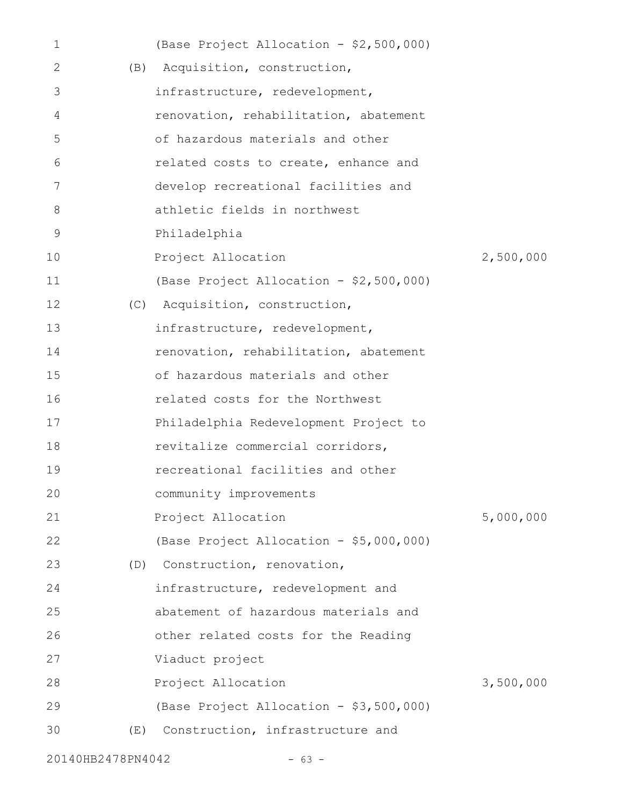| 1                 |     | (Base Project Allocation - \$2,500,000) |           |
|-------------------|-----|-----------------------------------------|-----------|
| 2                 |     | (B) Acquisition, construction,          |           |
| 3                 |     | infrastructure, redevelopment,          |           |
| 4                 |     | renovation, rehabilitation, abatement   |           |
| 5                 |     | of hazardous materials and other        |           |
| 6                 |     | related costs to create, enhance and    |           |
| 7                 |     | develop recreational facilities and     |           |
| 8                 |     | athletic fields in northwest            |           |
| 9                 |     | Philadelphia                            |           |
| 10                |     | Project Allocation                      | 2,500,000 |
| 11                |     | (Base Project Allocation - \$2,500,000) |           |
| 12                |     | (C) Acquisition, construction,          |           |
| 13                |     | infrastructure, redevelopment,          |           |
| 14                |     | renovation, rehabilitation, abatement   |           |
| 15                |     | of hazardous materials and other        |           |
| 16                |     | related costs for the Northwest         |           |
| 17                |     | Philadelphia Redevelopment Project to   |           |
| 18                |     | revitalize commercial corridors,        |           |
| 19                |     | recreational facilities and other       |           |
| 20                |     | community improvements                  |           |
| 21                |     | Project Allocation                      | 5,000,000 |
| 22                |     | (Base Project Allocation - \$5,000,000) |           |
| 23                |     | (D) Construction, renovation,           |           |
| 24                |     | infrastructure, redevelopment and       |           |
| 25                |     | abatement of hazardous materials and    |           |
| 26                |     | other related costs for the Reading     |           |
| 27                |     | Viaduct project                         |           |
| 28                |     | Project Allocation                      | 3,500,000 |
| 29                |     | (Base Project Allocation - \$3,500,000) |           |
| 30                | (E) | Construction, infrastructure and        |           |
| 20140HB2478PN4042 |     | $-63 -$                                 |           |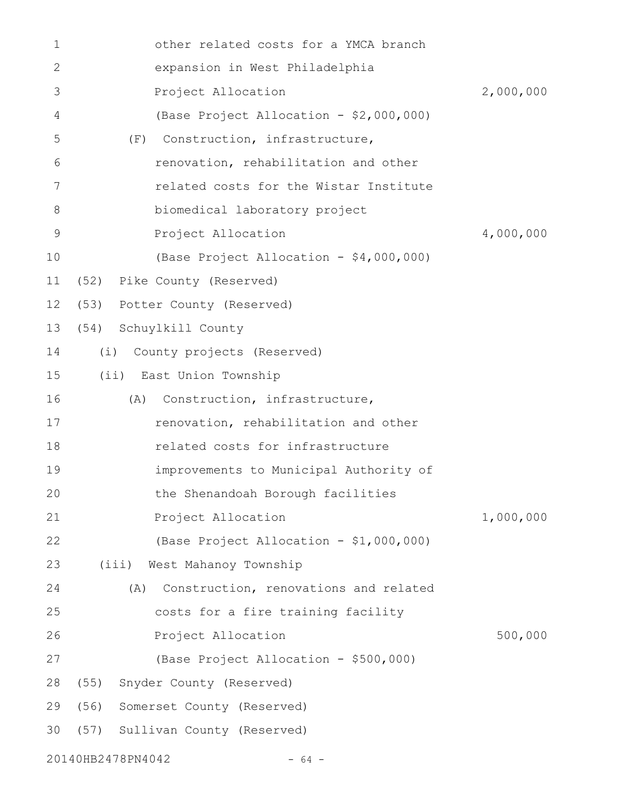| 1            | other related costs for a YMCA branch        |           |
|--------------|----------------------------------------------|-----------|
| $\mathbf{2}$ | expansion in West Philadelphia               |           |
| 3            | Project Allocation                           | 2,000,000 |
| 4            | (Base Project Allocation - \$2,000,000)      |           |
| 5            | Construction, infrastructure,<br>(F)         |           |
| 6            | renovation, rehabilitation and other         |           |
| 7            | related costs for the Wistar Institute       |           |
| 8            | biomedical laboratory project                |           |
| 9            | Project Allocation                           | 4,000,000 |
| 10           | (Base Project Allocation - \$4,000,000)      |           |
| 11           | (52) Pike County (Reserved)                  |           |
| 12           | (53) Potter County (Reserved)                |           |
| 13           | (54) Schuylkill County                       |           |
| 14           | (i) County projects (Reserved)               |           |
| 15           | (ii) East Union Township                     |           |
| 16           | Construction, infrastructure,<br>(A)         |           |
| 17           | renovation, rehabilitation and other         |           |
| 18           | related costs for infrastructure             |           |
| 19           | improvements to Municipal Authority of       |           |
| 20           | the Shenandoah Borough facilities            |           |
| 21           | Project Allocation                           | 1,000,000 |
| 22           | (Base Project Allocation - \$1,000,000)      |           |
| 23           | (iii) West Mahanoy Township                  |           |
| 24           | Construction, renovations and related<br>(A) |           |
| 25           | costs for a fire training facility           |           |
| 26           | Project Allocation                           | 500,000   |
| 27           | (Base Project Allocation - \$500,000)        |           |
| 28           | (55) Snyder County (Reserved)                |           |
| 29           | (56) Somerset County (Reserved)              |           |
| 30           | (57) Sullivan County (Reserved)              |           |
|              | 20140HB2478PN4042<br>$-64 -$                 |           |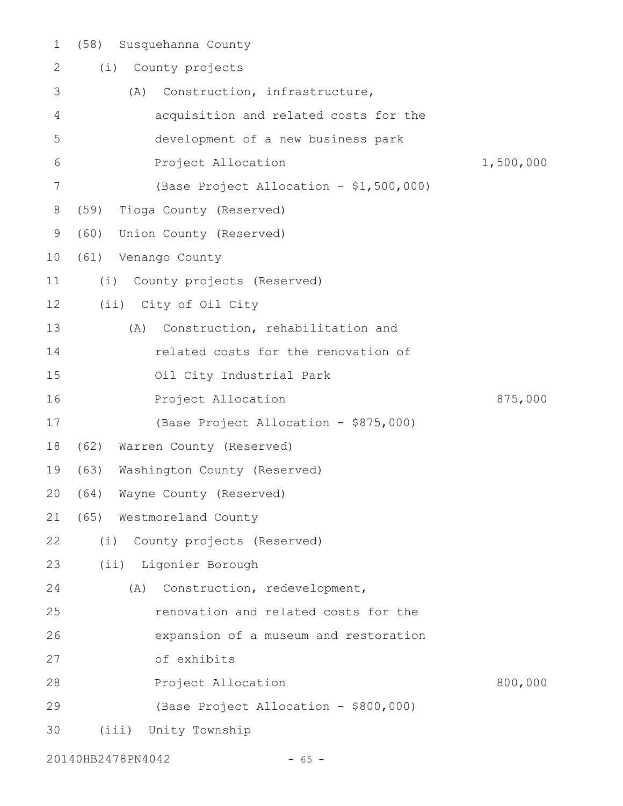| $\mathbf 1$ | Susquehanna County<br>(58)              |           |
|-------------|-----------------------------------------|-----------|
| 2           | County projects<br>(i)                  |           |
| 3           | Construction, infrastructure,<br>(A)    |           |
| 4           | acquisition and related costs for the   |           |
| 5           | development of a new business park      |           |
| 6           | Project Allocation                      | 1,500,000 |
| 7           | (Base Project Allocation - \$1,500,000) |           |
| 8           | (59) Tioga County (Reserved)            |           |
| 9           | (60)<br>Union County (Reserved)         |           |
| 10          | Venango County<br>(61)                  |           |
| 11          | (i)<br>County projects (Reserved)       |           |
| 12          | (ii) City of Oil City                   |           |
| 13          | Construction, rehabilitation and<br>(A) |           |
| 14          | related costs for the renovation of     |           |
| 15          | Oil City Industrial Park                |           |
| 16          | Project Allocation                      | 875,000   |
| 17          | (Base Project Allocation - \$875,000)   |           |
| 18          | (62)<br>Warren County (Reserved)        |           |
| 19          | (63)<br>Washington County (Reserved)    |           |
| 20          | (64)<br>Wayne County (Reserved)         |           |
| 21          | (65) Westmoreland County                |           |
| 22          | (i) County projects (Reserved)          |           |
| 23          | (ii) Ligonier Borough                   |           |
| 24          | Construction, redevelopment,<br>(A)     |           |
| 25          | renovation and related costs for the    |           |
| 26          | expansion of a museum and restoration   |           |
| 27          | of exhibits                             |           |
| 28          | Project Allocation                      | 800,000   |
| 29          | (Base Project Allocation - \$800,000)   |           |
| 30          | (iii)<br>Unity Township                 |           |

20140HB2478PN4042 - 65 -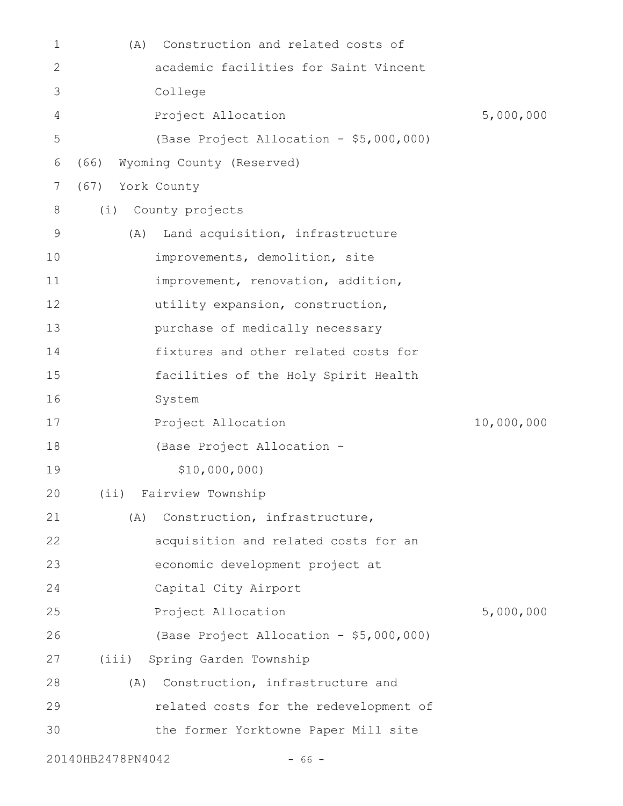| 1  | (A)  | Construction and related costs of       |            |
|----|------|-----------------------------------------|------------|
| 2  |      | academic facilities for Saint Vincent   |            |
| 3  |      | College                                 |            |
| 4  |      | Project Allocation                      | 5,000,000  |
| 5  |      | (Base Project Allocation - \$5,000,000) |            |
| 6  | (66) | Wyoming County (Reserved)               |            |
| 7  | (67) | York County                             |            |
| 8  | (i)  | County projects                         |            |
| 9  | (A)  | Land acquisition, infrastructure        |            |
| 10 |      | improvements, demolition, site          |            |
| 11 |      | improvement, renovation, addition,      |            |
| 12 |      | utility expansion, construction,        |            |
| 13 |      | purchase of medically necessary         |            |
| 14 |      | fixtures and other related costs for    |            |
| 15 |      | facilities of the Holy Spirit Health    |            |
| 16 |      | System                                  |            |
| 17 |      | Project Allocation                      | 10,000,000 |
| 18 |      | (Base Project Allocation -              |            |
| 19 |      | \$10,000,000)                           |            |
| 20 |      | (ii) Fairview Township                  |            |
| 21 | (A)  | Construction, infrastructure,           |            |
| 22 |      | acquisition and related costs for an    |            |
| 23 |      | economic development project at         |            |
| 24 |      | Capital City Airport                    |            |
| 25 |      | Project Allocation                      | 5,000,000  |
| 26 |      | (Base Project Allocation - \$5,000,000) |            |
|    |      | (iii) Spring Garden Township            |            |
| 27 |      |                                         |            |
| 28 | (A)  | Construction, infrastructure and        |            |
| 29 |      | related costs for the redevelopment of  |            |
| 30 |      | the former Yorktowne Paper Mill site    |            |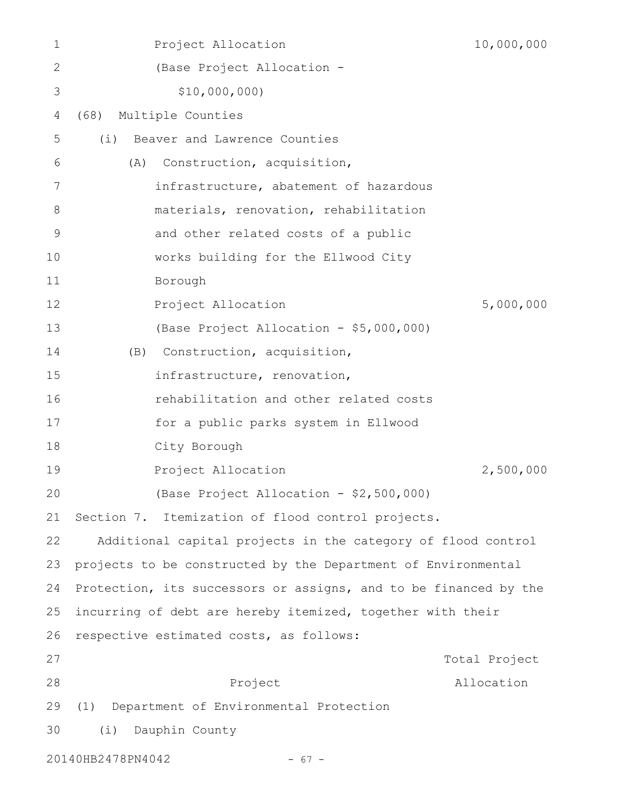| 1           | Project Allocation                                               | 10,000,000    |
|-------------|------------------------------------------------------------------|---------------|
| 2           | (Base Project Allocation -                                       |               |
| 3           | \$10,000,000                                                     |               |
| 4           | Multiple Counties<br>(68)                                        |               |
| 5           | Beaver and Lawrence Counties<br>(i)                              |               |
| 6           | Construction, acquisition,<br>(A)                                |               |
| 7           | infrastructure, abatement of hazardous                           |               |
| 8           | materials, renovation, rehabilitation                            |               |
| $\mathsf 9$ | and other related costs of a public                              |               |
| 10          | works building for the Ellwood City                              |               |
| 11          | Borough                                                          |               |
| 12          | Project Allocation                                               | 5,000,000     |
| 13          | (Base Project Allocation - \$5,000,000)                          |               |
| 14          | Construction, acquisition,<br>(B)                                |               |
| 15          | infrastructure, renovation,                                      |               |
| 16          | rehabilitation and other related costs                           |               |
| 17          | for a public parks system in Ellwood                             |               |
| 18          | City Borough                                                     |               |
| 19          | Project Allocation                                               | 2,500,000     |
| 20          | (Base Project Allocation - \$2,500,000)                          |               |
| 21          | Section 7. Itemization of flood control projects.                |               |
| 22          | Additional capital projects in the category of flood control     |               |
| 23          | projects to be constructed by the Department of Environmental    |               |
| 24          | Protection, its successors or assigns, and to be financed by the |               |
| 25          | incurring of debt are hereby itemized, together with their       |               |
| 26          | respective estimated costs, as follows:                          |               |
| 27          |                                                                  | Total Project |
| 28          | Project                                                          | Allocation    |
| 29          | Department of Environmental Protection<br>(1)                    |               |
| 30          | (i)<br>Dauphin County                                            |               |
|             | 20140HB2478PN4042<br>$-67 -$                                     |               |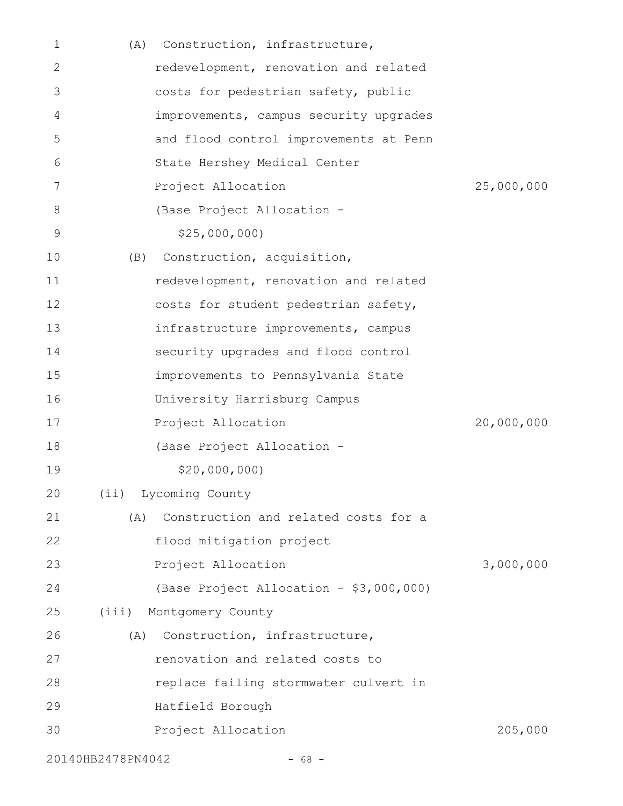| 1  | (A)               | Construction, infrastructure,           |            |
|----|-------------------|-----------------------------------------|------------|
| 2  |                   | redevelopment, renovation and related   |            |
| 3  |                   | costs for pedestrian safety, public     |            |
| 4  |                   | improvements, campus security upgrades  |            |
| 5  |                   | and flood control improvements at Penn  |            |
| 6  |                   | State Hershey Medical Center            |            |
| 7  |                   | Project Allocation                      | 25,000,000 |
| 8  |                   | (Base Project Allocation -              |            |
| 9  |                   | \$25,000,000                            |            |
| 10 | (B)               | Construction, acquisition,              |            |
| 11 |                   | redevelopment, renovation and related   |            |
| 12 |                   | costs for student pedestrian safety,    |            |
| 13 |                   | infrastructure improvements, campus     |            |
| 14 |                   | security upgrades and flood control     |            |
| 15 |                   | improvements to Pennsylvania State      |            |
| 16 |                   | University Harrisburg Campus            |            |
| 17 |                   | Project Allocation                      | 20,000,000 |
| 18 |                   | (Base Project Allocation -              |            |
| 19 |                   | \$20,000,000                            |            |
| 20 |                   | (ii) Lycoming County                    |            |
| 21 | (A)               | Construction and related costs for a    |            |
| 22 |                   | flood mitigation project                |            |
| 23 |                   | Project Allocation                      | 3,000,000  |
| 24 |                   | (Base Project Allocation - \$3,000,000) |            |
| 25 |                   | (iii) Montgomery County                 |            |
| 26 | (A)               | Construction, infrastructure,           |            |
| 27 |                   | renovation and related costs to         |            |
| 28 |                   | replace failing stormwater culvert in   |            |
| 29 |                   | Hatfield Borough                        |            |
| 30 |                   | Project Allocation                      | 205,000    |
|    | 20140HB2478PN4042 | $-68 -$                                 |            |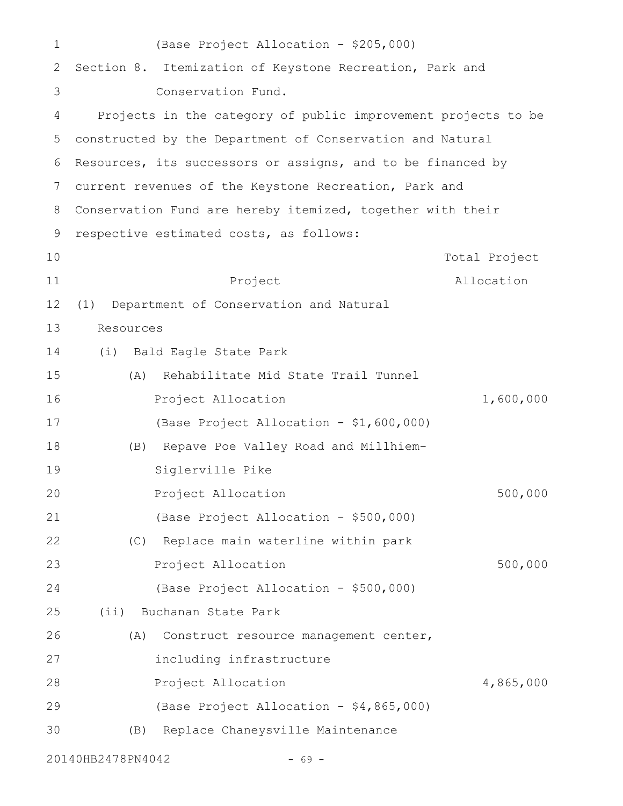| $\mathbf 1$  | (Base Project Allocation - \$205,000)                         |               |
|--------------|---------------------------------------------------------------|---------------|
| $\mathbf{2}$ | Section 8. Itemization of Keystone Recreation, Park and       |               |
| 3            | Conservation Fund.                                            |               |
| 4            | Projects in the category of public improvement projects to be |               |
| 5            | constructed by the Department of Conservation and Natural     |               |
| 6            | Resources, its successors or assigns, and to be financed by   |               |
| 7            | current revenues of the Keystone Recreation, Park and         |               |
| 8            | Conservation Fund are hereby itemized, together with their    |               |
| 9            | respective estimated costs, as follows:                       |               |
| 10           |                                                               | Total Project |
| 11           | Project                                                       | Allocation    |
| 12           | Department of Conservation and Natural<br>(1)                 |               |
| 13           | Resources                                                     |               |
| 14           | (i)<br>Bald Eagle State Park                                  |               |
| 15           | Rehabilitate Mid State Trail Tunnel<br>(A)                    |               |
| 16           | Project Allocation                                            | 1,600,000     |
| 17           | (Base Project Allocation - \$1,600,000)                       |               |
| 18           | Repave Poe Valley Road and Millhiem-<br>(B)                   |               |
| 19           | Siglerville Pike                                              |               |
| 20           | Project Allocation                                            | 500,000       |
| 21           | (Base Project Allocation - \$500,000)                         |               |
| 22           | (C) Replace main waterline within park                        |               |
| 23           | Project Allocation                                            | 500,000       |
| 24           | (Base Project Allocation - \$500,000)                         |               |
| 25           | (ii) Buchanan State Park                                      |               |
| 26           | (A)<br>Construct resource management center,                  |               |
| 27           | including infrastructure                                      |               |
| 28           | Project Allocation                                            | 4,865,000     |
| 29           | (Base Project Allocation - \$4,865,000)                       |               |
| 30           | Replace Chaneysville Maintenance<br>(B)                       |               |
|              | 20140HB2478PN4042<br>69 -                                     |               |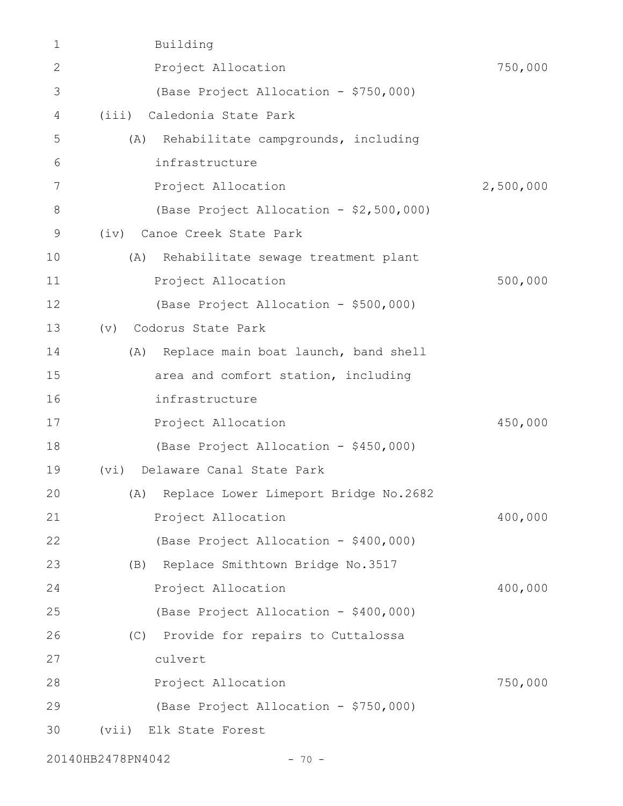| 1  | Building                                   |           |
|----|--------------------------------------------|-----------|
| 2  | Project Allocation                         | 750,000   |
| 3  | (Base Project Allocation - \$750,000)      |           |
| 4  | (iii) Caledonia State Park                 |           |
| 5  | Rehabilitate campgrounds, including<br>(A) |           |
| 6  | infrastructure                             |           |
| 7  | Project Allocation                         | 2,500,000 |
| 8  | (Base Project Allocation - \$2,500,000)    |           |
| 9  | (iv) Canoe Creek State Park                |           |
| 10 | (A)<br>Rehabilitate sewage treatment plant |           |
| 11 | Project Allocation                         | 500,000   |
| 12 | (Base Project Allocation - \$500,000)      |           |
| 13 | Codorus State Park<br>(v)                  |           |
| 14 | (A) Replace main boat launch, band shell   |           |
| 15 | area and comfort station, including        |           |
| 16 | infrastructure                             |           |
| 17 | Project Allocation                         | 450,000   |
| 18 | (Base Project Allocation - \$450,000)      |           |
| 19 | Delaware Canal State Park<br>(vi)          |           |
| 20 | (A) Replace Lower Limeport Bridge No.2682  |           |
| 21 | Project Allocation                         | 400,000   |
| 22 | (Base Project Allocation - \$400,000)      |           |
| 23 | Replace Smithtown Bridge No.3517<br>(B)    |           |
| 24 | Project Allocation                         | 400,000   |
| 25 | (Base Project Allocation - \$400,000)      |           |
| 26 | (C) Provide for repairs to Cuttalossa      |           |
| 27 | culvert                                    |           |
| 28 | Project Allocation                         | 750,000   |
| 29 | (Base Project Allocation - \$750,000)      |           |
| 30 | (vii) Elk State Forest                     |           |
|    |                                            |           |

20140HB2478PN4042 - 70 -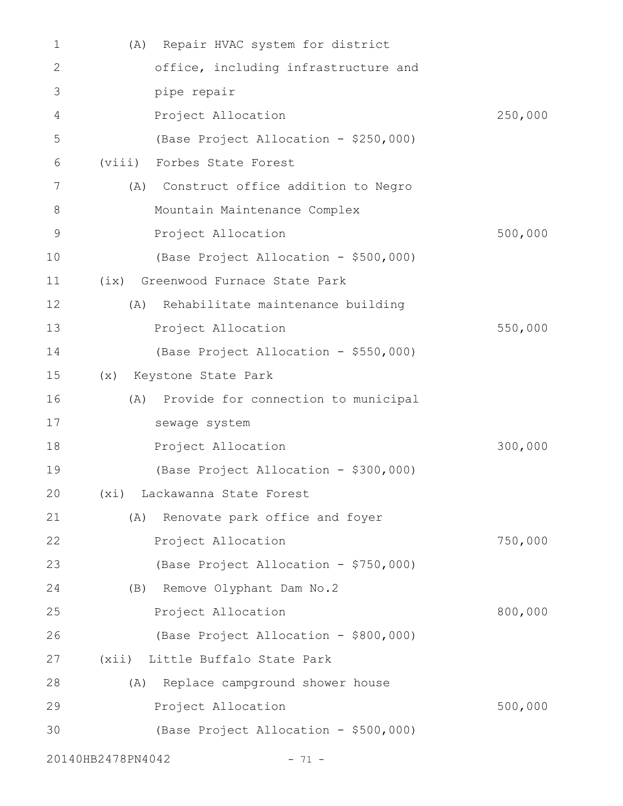| 1            | Repair HVAC system for district<br>(A)     |         |
|--------------|--------------------------------------------|---------|
| $\mathbf{2}$ | office, including infrastructure and       |         |
| 3            | pipe repair                                |         |
| 4            | Project Allocation                         | 250,000 |
| 5            | (Base Project Allocation - \$250,000)      |         |
| 6            | (viii)<br>Forbes State Forest              |         |
| 7            | Construct office addition to Negro<br>(A)  |         |
| 8            | Mountain Maintenance Complex               |         |
| $\mathsf 9$  | Project Allocation                         | 500,000 |
| 10           | (Base Project Allocation - \$500,000)      |         |
| 11           | (ix) Greenwood Furnace State Park          |         |
| 12           | Rehabilitate maintenance building<br>(A)   |         |
| 13           | Project Allocation                         | 550,000 |
| 14           | (Base Project Allocation - \$550,000)      |         |
| 15           | Keystone State Park<br>(x)                 |         |
| 16           | Provide for connection to municipal<br>(A) |         |
| 17           | sewage system                              |         |
| 18           | Project Allocation                         | 300,000 |
| 19           | (Base Project Allocation - \$300,000)      |         |
| 20           | (xi) Lackawanna State Forest               |         |
| 21           | Renovate park office and foyer<br>(A)      |         |
| 22           | Project Allocation                         | 750,000 |
| 23           | (Base Project Allocation - \$750,000)      |         |
| 24           | Remove Olyphant Dam No.2<br>(B)            |         |
| 25           | Project Allocation                         | 800,000 |
| 26           | (Base Project Allocation - \$800,000)      |         |
| 27           | (xii) Little Buffalo State Park            |         |
| 28           | Replace campground shower house<br>(A)     |         |
| 29           | Project Allocation                         | 500,000 |
| 30           | (Base Project Allocation - \$500,000)      |         |
|              |                                            |         |

20140HB2478PN4042 - 71 -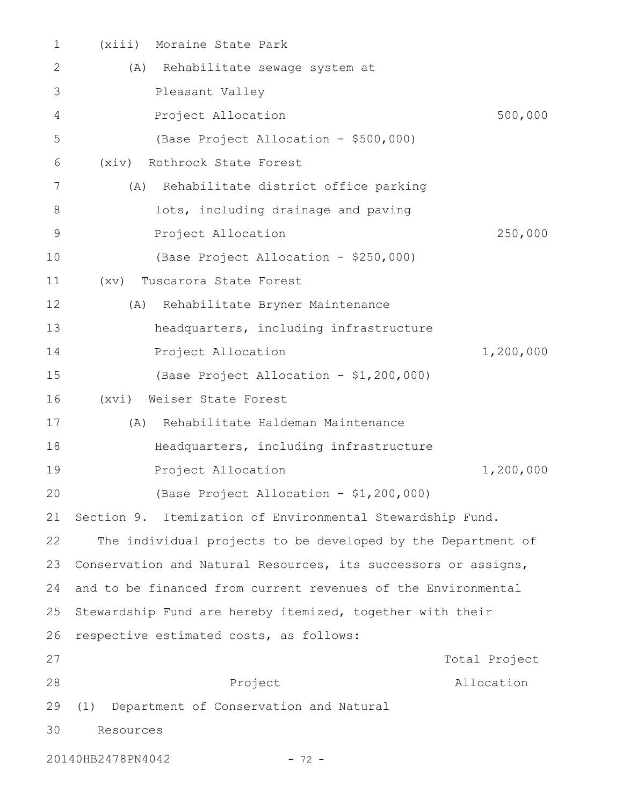| 1  | (xiii)<br>Moraine State Park                                   |
|----|----------------------------------------------------------------|
| 2  | Rehabilitate sewage system at<br>(A)                           |
| 3  | Pleasant Valley                                                |
| 4  | 500,000<br>Project Allocation                                  |
| 5  | (Base Project Allocation - \$500,000)                          |
| 6  | Rothrock State Forest<br>(xiv)                                 |
| 7  | (A) Rehabilitate district office parking                       |
| 8  | lots, including drainage and paving                            |
| 9  | 250,000<br>Project Allocation                                  |
| 10 | (Base Project Allocation - \$250,000)                          |
| 11 | Tuscarora State Forest<br>(xv)                                 |
| 12 | Rehabilitate Bryner Maintenance<br>(A)                         |
| 13 | headquarters, including infrastructure                         |
| 14 | Project Allocation<br>1,200,000                                |
| 15 | (Base Project Allocation - \$1,200,000)                        |
| 16 | Weiser State Forest<br>(xvi)                                   |
| 17 | Rehabilitate Haldeman Maintenance<br>(A)                       |
| 18 | Headquarters, including infrastructure                         |
| 19 | Project Allocation<br>1,200,000                                |
| 20 | (Base Project Allocation - \$1,200,000)                        |
| 21 | Section 9. Itemization of Environmental Stewardship Fund.      |
| 22 | The individual projects to be developed by the Department of   |
| 23 | Conservation and Natural Resources, its successors or assigns, |
| 24 | and to be financed from current revenues of the Environmental  |
| 25 | Stewardship Fund are hereby itemized, together with their      |
| 26 | respective estimated costs, as follows:                        |
| 27 | Total Project                                                  |
| 28 | Project<br>Allocation                                          |
| 29 | Department of Conservation and Natural<br>(1)                  |
| 30 | Resources                                                      |
|    |                                                                |

20140HB2478PN4042 - 72 -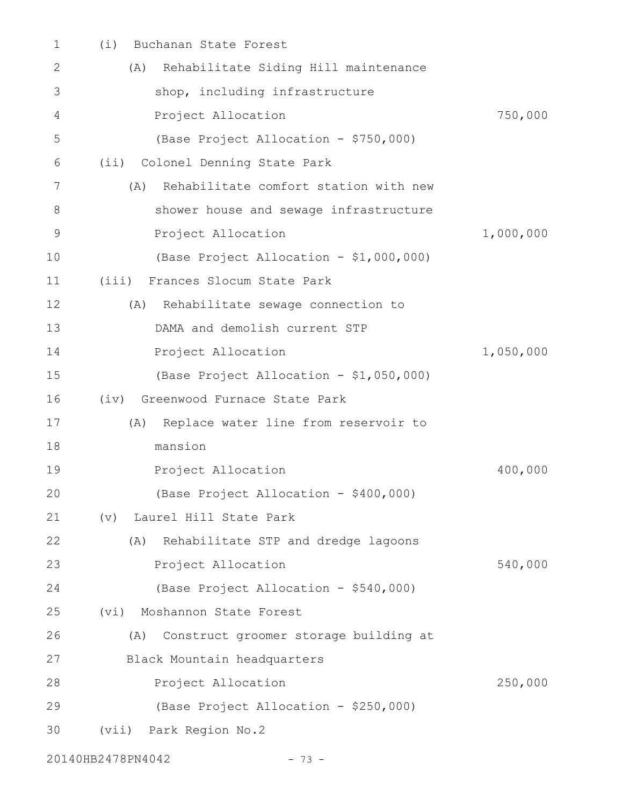| 1  | (i)<br>Buchanan State Forest                 |           |
|----|----------------------------------------------|-----------|
| 2  | (A) Rehabilitate Siding Hill maintenance     |           |
| 3  | shop, including infrastructure               |           |
| 4  | Project Allocation                           | 750,000   |
| 5  | (Base Project Allocation - \$750,000)        |           |
| 6  | Colonel Denning State Park<br>$(i$ i)        |           |
| 7  | Rehabilitate comfort station with new<br>(A) |           |
| 8  | shower house and sewage infrastructure       |           |
| 9  | Project Allocation                           | 1,000,000 |
| 10 | (Base Project Allocation - \$1,000,000)      |           |
| 11 | Frances Slocum State Park<br>(iii)           |           |
| 12 | Rehabilitate sewage connection to<br>(A)     |           |
| 13 | DAMA and demolish current STP                |           |
| 14 | Project Allocation                           | 1,050,000 |
| 15 | (Base Project Allocation - \$1,050,000)      |           |
| 16 | (iv) Greenwood Furnace State Park            |           |
| 17 | Replace water line from reservoir to<br>(A)  |           |
| 18 | mansion                                      |           |
| 19 | Project Allocation                           | 400,000   |
| 20 | (Base Project Allocation - \$400,000)        |           |
| 21 | Laurel Hill State Park<br>(v)                |           |
| 22 | Rehabilitate STP and dredge lagoons<br>(A)   |           |
| 23 | Project Allocation                           | 540,000   |
| 24 | (Base Project Allocation - \$540,000)        |           |
| 25 | (vi) Moshannon State Forest                  |           |
| 26 | Construct groomer storage building at<br>(A) |           |
| 27 | Black Mountain headquarters                  |           |
| 28 | Project Allocation                           | 250,000   |
| 29 | (Base Project Allocation - \$250,000)        |           |
| 30 | (vii) Park Region No.2                       |           |
|    |                                              |           |

20140HB2478PN4042 - 73 -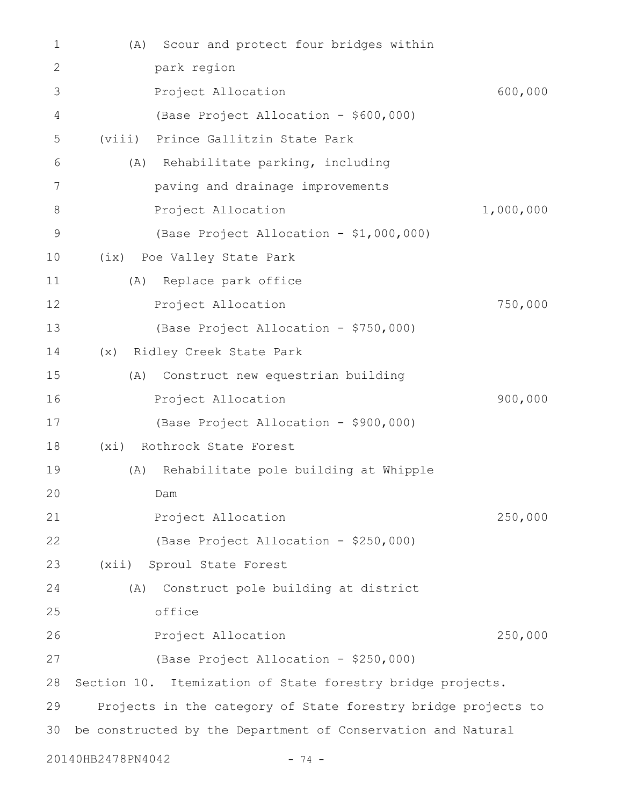| 1            | Scour and protect four bridges within<br>(A)                  |  |
|--------------|---------------------------------------------------------------|--|
| $\mathbf{2}$ | park region                                                   |  |
| 3            | 600,000<br>Project Allocation                                 |  |
| 4            | (Base Project Allocation - \$600,000)                         |  |
| 5            | (viii) Prince Gallitzin State Park                            |  |
| 6            | (A) Rehabilitate parking, including                           |  |
| 7            | paving and drainage improvements                              |  |
| 8            | 1,000,000<br>Project Allocation                               |  |
| 9            | (Base Project Allocation - \$1,000,000)                       |  |
| 10           | (ix) Poe Valley State Park                                    |  |
| 11           | Replace park office<br>(A)                                    |  |
| 12           | 750,000<br>Project Allocation                                 |  |
| 13           | (Base Project Allocation - \$750,000)                         |  |
| 14           | (x) Ridley Creek State Park                                   |  |
| 15           | Construct new equestrian building<br>(A)                      |  |
| 16           | 900,000<br>Project Allocation                                 |  |
| 17           | (Base Project Allocation - \$900,000)                         |  |
| 18           | (xi) Rothrock State Forest                                    |  |
| 19           | Rehabilitate pole building at Whipple<br>(A)                  |  |
| 20           | Dam                                                           |  |
| 21           | Project Allocation<br>250,000                                 |  |
| 22           | (Base Project Allocation - \$250,000)                         |  |
| 23           | (xii)<br>Sproul State Forest                                  |  |
| 24           | Construct pole building at district<br>(A)                    |  |
| 25           | office                                                        |  |
| 26           | 250,000<br>Project Allocation                                 |  |
| 27           | (Base Project Allocation - \$250,000)                         |  |
| 28           | Section 10. Itemization of State forestry bridge projects.    |  |
| 29           | Projects in the category of State forestry bridge projects to |  |
| 30           | be constructed by the Department of Conservation and Natural  |  |
|              | 20140HB2478PN4042<br>$-74 -$                                  |  |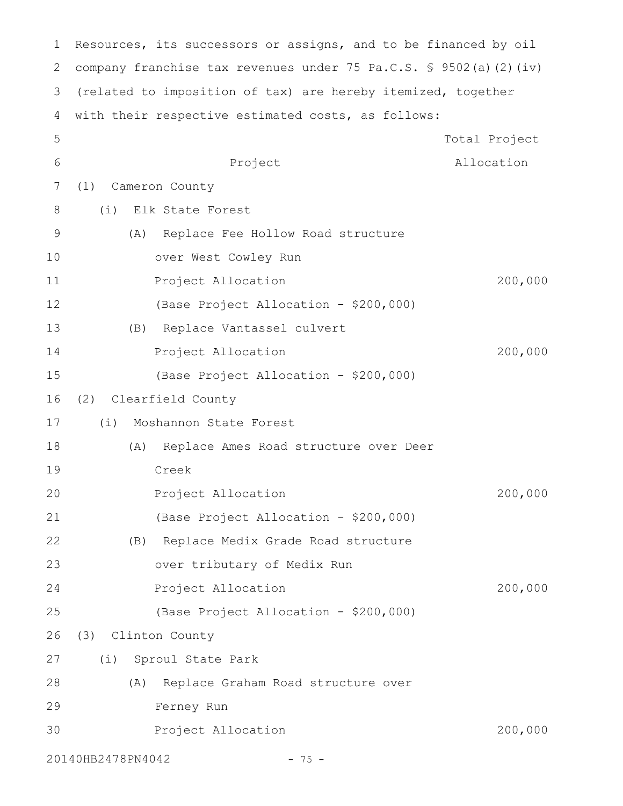| 1           | Resources, its successors or assigns, and to be financed by oil              |               |
|-------------|------------------------------------------------------------------------------|---------------|
| 2           | company franchise tax revenues under 75 Pa.C.S. $\frac{6}{5}$ 9502(a)(2)(iv) |               |
| 3           | (related to imposition of tax) are hereby itemized, together                 |               |
| 4           | with their respective estimated costs, as follows:                           |               |
| 5           |                                                                              | Total Project |
| 6           | Project                                                                      | Allocation    |
| 7           | (1)<br>Cameron County                                                        |               |
| $8\,$       | (i)<br>Elk State Forest                                                      |               |
| $\mathsf 9$ | Replace Fee Hollow Road structure<br>(A)                                     |               |
| 10          | over West Cowley Run                                                         |               |
| 11          | Project Allocation                                                           | 200,000       |
| 12          | (Base Project Allocation - \$200,000)                                        |               |
| 13          | Replace Vantassel culvert<br>(B)                                             |               |
| 14          | Project Allocation                                                           | 200,000       |
| 15          | (Base Project Allocation - \$200,000)                                        |               |
| 16          | Clearfield County<br>(2)                                                     |               |
| 17          | (i)<br>Moshannon State Forest                                                |               |
| 18          | Replace Ames Road structure over Deer<br>(A)                                 |               |
| 19          | Creek                                                                        |               |
| 20          | Project Allocation                                                           | 200,000       |
| 21          | (Base Project Allocation - \$200,000)                                        |               |
| 22          | (B) Replace Medix Grade Road structure                                       |               |
| 23          | over tributary of Medix Run                                                  |               |
| 24          | Project Allocation                                                           | 200,000       |
| 25          | (Base Project Allocation - \$200,000)                                        |               |
| 26          | (3) Clinton County                                                           |               |
| 27          | (i)<br>Sproul State Park                                                     |               |
| 28          | Replace Graham Road structure over<br>(A)                                    |               |
| 29          | Ferney Run                                                                   |               |
| 30          | Project Allocation                                                           | 200,000       |
|             | 20140HB2478PN4042<br>$-75 -$                                                 |               |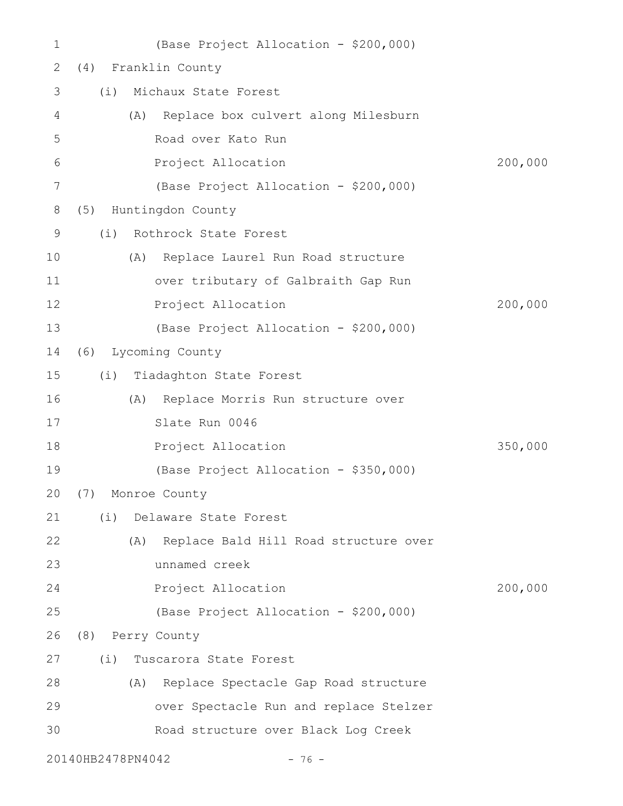| 1               |                   | (Base Project Allocation - \$200,000)     |         |
|-----------------|-------------------|-------------------------------------------|---------|
| 2               | (4)               | Franklin County                           |         |
| 3               | (i)               | Michaux State Forest                      |         |
| 4               | (A)               | Replace box culvert along Milesburn       |         |
| 5               |                   | Road over Kato Run                        |         |
| 6               |                   | Project Allocation                        | 200,000 |
| $7\phantom{.0}$ |                   | (Base Project Allocation - \$200,000)     |         |
| 8               | (5)               | Huntingdon County                         |         |
| 9               | (i)               | Rothrock State Forest                     |         |
| 10              | (A)               | Replace Laurel Run Road structure         |         |
| 11              |                   | over tributary of Galbraith Gap Run       |         |
| 12              |                   | Project Allocation                        | 200,000 |
| 13              |                   | (Base Project Allocation - \$200,000)     |         |
| 14              |                   | (6) Lycoming County                       |         |
| 15              |                   | (i) Tiadaghton State Forest               |         |
| 16              |                   | (A) Replace Morris Run structure over     |         |
| 17              |                   | Slate Run 0046                            |         |
| 18              |                   | Project Allocation                        | 350,000 |
| 19              |                   | (Base Project Allocation - \$350,000)     |         |
| 20              | (7) Monroe County |                                           |         |
| 21              | (i)               | Delaware State Forest                     |         |
| 22              |                   | (A) Replace Bald Hill Road structure over |         |
| 23              |                   | unnamed creek                             |         |
| 24              |                   | Project Allocation                        | 200,000 |
| 25              |                   | (Base Project Allocation - \$200,000)     |         |
| 26              | (8) Perry County  |                                           |         |
| 27              | (i)               | Tuscarora State Forest                    |         |
| 28              | (A)               | Replace Spectacle Gap Road structure      |         |
| 29              |                   | over Spectacle Run and replace Stelzer    |         |
| 30              |                   | Road structure over Black Log Creek       |         |
|                 | 20140HB2478PN4042 | $-76 -$                                   |         |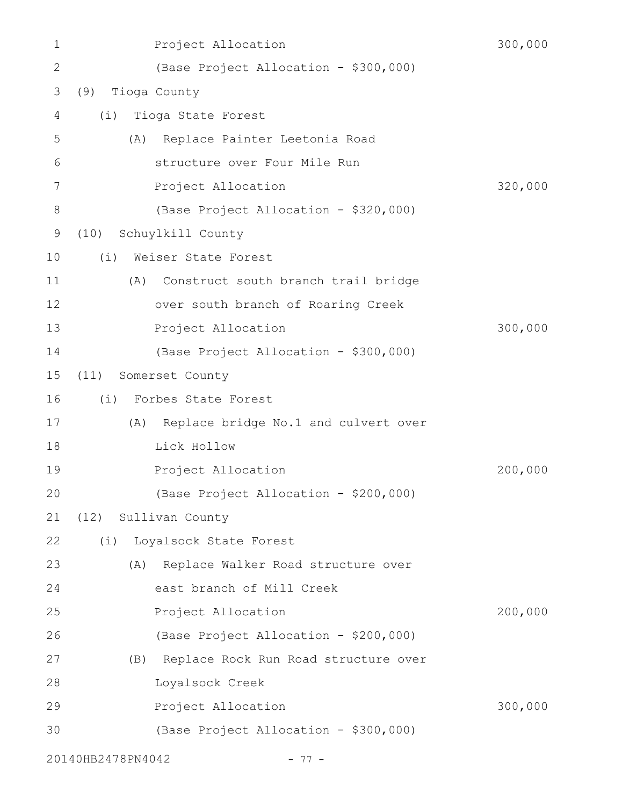| 1            | Project Allocation                          | 300,000 |
|--------------|---------------------------------------------|---------|
| $\mathbf{2}$ | (Base Project Allocation - \$300,000)       |         |
| 3            | Tioga County<br>(9)                         |         |
| 4            | Tioga State Forest<br>(i)                   |         |
| 5            | Replace Painter Leetonia Road<br>(A)        |         |
| 6            | structure over Four Mile Run                |         |
| 7            | Project Allocation                          | 320,000 |
| 8            | (Base Project Allocation - \$320,000)       |         |
| $\mathsf 9$  | (10)<br>Schuylkill County                   |         |
| 10           | Weiser State Forest<br>(i)                  |         |
| 11           | Construct south branch trail bridge<br>(A)  |         |
| 12           | over south branch of Roaring Creek          |         |
| 13           | Project Allocation                          | 300,000 |
| 14           | (Base Project Allocation - \$300,000)       |         |
| 15           | (11)<br>Somerset County                     |         |
| 16           | (i)<br>Forbes State Forest                  |         |
| 17           | Replace bridge No.1 and culvert over<br>(A) |         |
| 18           | Lick Hollow                                 |         |
| 19           | Project Allocation                          | 200,000 |
| 20           | (Base Project Allocation - \$200,000)       |         |
| 21           | (12) Sullivan County                        |         |
| 22           | (i) Loyalsock State Forest                  |         |
| 23           | (A) Replace Walker Road structure over      |         |
| 24           | east branch of Mill Creek                   |         |
| 25           | Project Allocation                          | 200,000 |
| 26           | (Base Project Allocation - \$200,000)       |         |
| 27           | (B) Replace Rock Run Road structure over    |         |
| 28           | Loyalsock Creek                             |         |
| 29           | Project Allocation                          | 300,000 |
| 30           | (Base Project Allocation - \$300,000)       |         |
|              | 20140HB2478PN4042<br>$-77-$                 |         |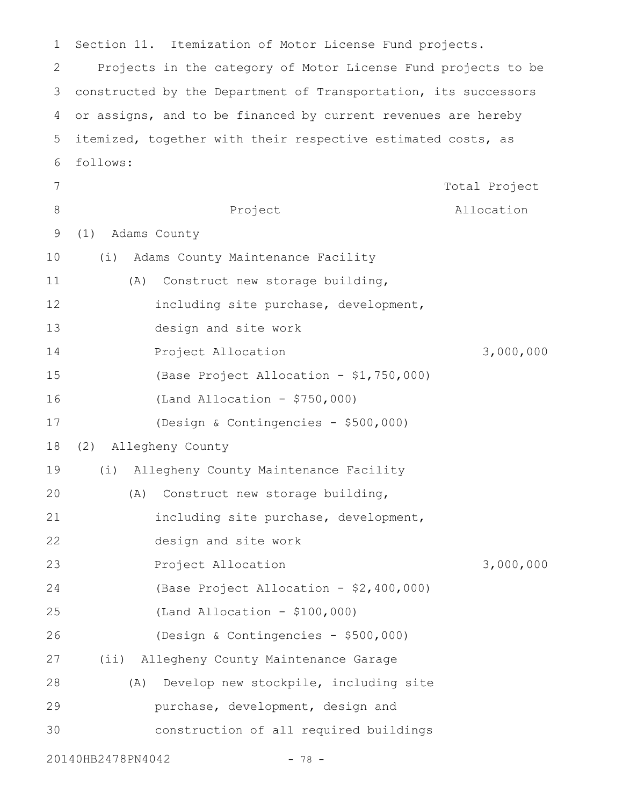Section 11. Itemization of Motor License Fund projects. Projects in the category of Motor License Fund projects to be constructed by the Department of Transportation, its successors or assigns, and to be financed by current revenues are hereby itemized, together with their respective estimated costs, as follows: Project Total Project Allocation (1) Adams County (i) Adams County Maintenance Facility (A) Construct new storage building, including site purchase, development, design and site work Project Allocation 3,000,000 (Base Project Allocation - \$1,750,000) (Land Allocation - \$750,000) (Design & Contingencies - \$500,000) (2) Allegheny County (i) Allegheny County Maintenance Facility (A) Construct new storage building, including site purchase, development, design and site work Project Allocation 3,000,000 (Base Project Allocation - \$2,400,000) (Land Allocation - \$100,000) (Design & Contingencies - \$500,000) (ii) Allegheny County Maintenance Garage (A) Develop new stockpile, including site purchase, development, design and construction of all required buildings 1 2 3 4 5 6 7 8 9 10 11 12 13 14 15 16 17 18 19 20 21 22 23 24 25 26 27 28 29 30

20140HB2478PN4042 - 78 -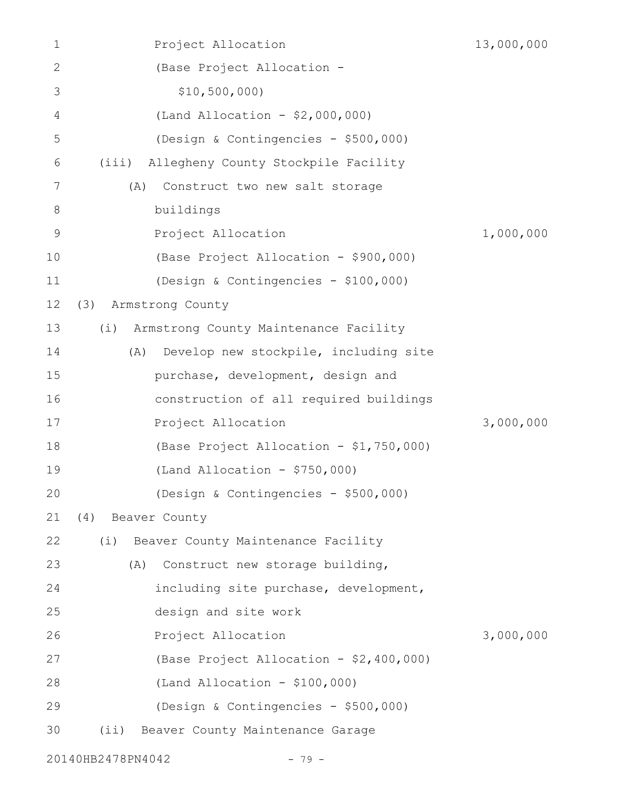| 1            | Project Allocation                           | 13,000,000 |
|--------------|----------------------------------------------|------------|
| $\mathbf{2}$ | (Base Project Allocation -                   |            |
| 3            | \$10,500,000                                 |            |
| 4            | (Land Allocation - $$2,000,000)$             |            |
| 5            | (Design & Contingencies - \$500,000)         |            |
| 6            | Allegheny County Stockpile Facility<br>(iii) |            |
| 7            | (A)<br>Construct two new salt storage        |            |
| 8            | buildings                                    |            |
| $\mathsf 9$  | Project Allocation                           | 1,000,000  |
| 10           | (Base Project Allocation - \$900,000)        |            |
| 11           | (Design & Contingencies - \$100,000)         |            |
| 12           | Armstrong County<br>(3)                      |            |
| 13           | Armstrong County Maintenance Facility<br>(i) |            |
| 14           | Develop new stockpile, including site<br>(A) |            |
| 15           | purchase, development, design and            |            |
| 16           | construction of all required buildings       |            |
| 17           | Project Allocation                           | 3,000,000  |
| 18           | (Base Project Allocation - \$1,750,000)      |            |
| 19           | (Land Allocation - $$750,000$ )              |            |
| 20           | (Design & Contingencies - \$500,000)         |            |
| 21           | Beaver County<br>(4)                         |            |
| 22           | (i)<br>Beaver County Maintenance Facility    |            |
| 23           | Construct new storage building,<br>(A)       |            |
| 24           | including site purchase, development,        |            |
| 25           | design and site work                         |            |
| 26           | Project Allocation                           | 3,000,000  |
| 27           | (Base Project Allocation - \$2,400,000)      |            |
| 28           | $(Land Allocation - $100,000)$               |            |
| 29           | (Design & Contingencies - \$500,000)         |            |
| 30           | $(i$ i)<br>Beaver County Maintenance Garage  |            |
|              |                                              |            |

20140HB2478PN4042 - 79 -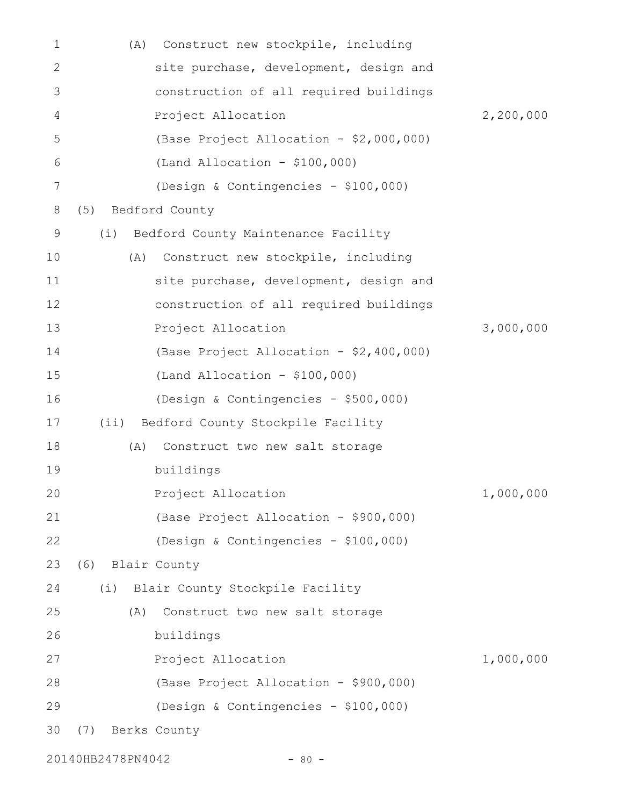| 1            | (A)     | Construct new stockpile, including      |           |
|--------------|---------|-----------------------------------------|-----------|
| $\mathbf{2}$ |         | site purchase, development, design and  |           |
| 3            |         | construction of all required buildings  |           |
| 4            |         | Project Allocation                      | 2,200,000 |
| 5            |         | (Base Project Allocation - \$2,000,000) |           |
| 6            |         | $(Land$ Allocation - \$100,000)         |           |
| 7            |         | (Design & Contingencies - \$100,000)    |           |
| 8            | (5)     | Bedford County                          |           |
| $\mathsf 9$  | (i)     | Bedford County Maintenance Facility     |           |
| 10           | (A)     | Construct new stockpile, including      |           |
| 11           |         | site purchase, development, design and  |           |
| 12           |         | construction of all required buildings  |           |
| 13           |         | Project Allocation                      | 3,000,000 |
| 14           |         | (Base Project Allocation - \$2,400,000) |           |
| 15           |         | $(Land Allocation - $100,000)$          |           |
| 16           |         | (Design & Contingencies - \$500,000)    |           |
| 17           | $(i$ i) | Bedford County Stockpile Facility       |           |
| 18           | (A)     | Construct two new salt storage          |           |
| 19           |         | buildings                               |           |
| 20           |         | Project Allocation                      | 1,000,000 |
| 21           |         | (Base Project Allocation - \$900,000)   |           |
| 22           |         | (Design & Contingencies - \$100,000)    |           |
| 23           | (6)     | Blair County                            |           |
| 24           | (i)     | Blair County Stockpile Facility         |           |
| 25           | (A)     | Construct two new salt storage          |           |
| 26           |         | buildings                               |           |
| 27           |         | Project Allocation                      | 1,000,000 |
| 28           |         | (Base Project Allocation - \$900,000)   |           |
| 29           |         | (Design & Contingencies - \$100,000)    |           |
| 30           | (7)     | Berks County                            |           |
|              |         |                                         |           |

20140HB2478PN4042 - 80 -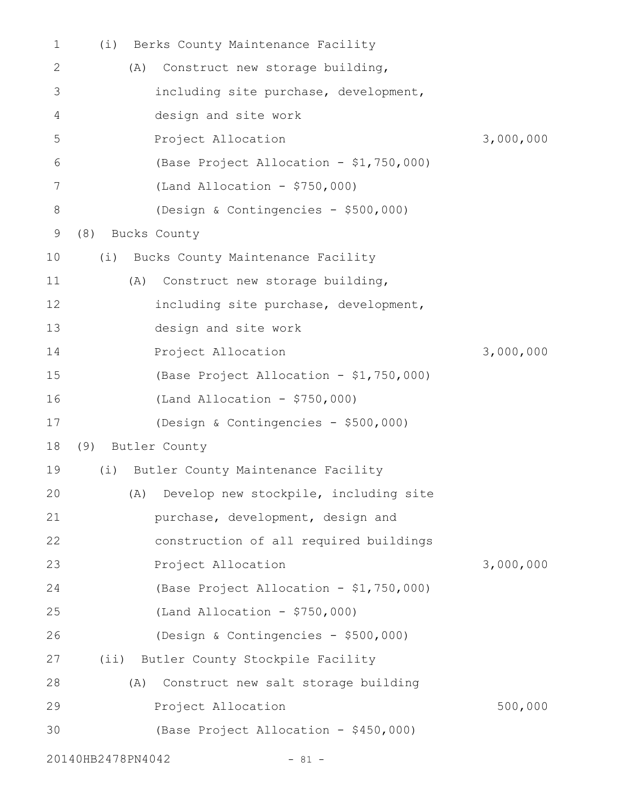| 1     | (i) | Berks County Maintenance Facility          |           |
|-------|-----|--------------------------------------------|-----------|
| 2     |     | Construct new storage building,<br>(A)     |           |
| 3     |     | including site purchase, development,      |           |
| 4     |     | design and site work                       |           |
| 5     |     | Project Allocation                         | 3,000,000 |
| 6     |     | (Base Project Allocation - \$1,750,000)    |           |
| 7     |     | (Land Allocation - $$750,000$ )            |           |
| $8\,$ |     | (Design & Contingencies - \$500,000)       |           |
| 9     | (8) | Bucks County                               |           |
| 10    |     | (i) Bucks County Maintenance Facility      |           |
| 11    |     | Construct new storage building,<br>(A)     |           |
| 12    |     | including site purchase, development,      |           |
| 13    |     | design and site work                       |           |
| 14    |     | Project Allocation                         | 3,000,000 |
| 15    |     | (Base Project Allocation - \$1,750,000)    |           |
| 16    |     | (Land Allocation - $$750,000$ )            |           |
| 17    |     | (Design & Contingencies - \$500,000)       |           |
| 18    |     | (9) Butler County                          |           |
| 19    | (i) | Butler County Maintenance Facility         |           |
| 20    |     | (A) Develop new stockpile, including site  |           |
| 21    |     | purchase, development, design and          |           |
| 22    |     | construction of all required buildings     |           |
| 23    |     | Project Allocation                         | 3,000,000 |
| 24    |     | (Base Project Allocation - \$1,750,000)    |           |
| 25    |     | (Land Allocation - $$750,000$ )            |           |
| 26    |     | (Design & Contingencies - \$500,000)       |           |
| 27    |     | (ii) Butler County Stockpile Facility      |           |
| 28    |     | Construct new salt storage building<br>(A) |           |
| 29    |     | Project Allocation                         | 500,000   |
| 30    |     | (Base Project Allocation - \$450,000)      |           |
|       |     | 20140HB2478PN4042<br>$-81 -$               |           |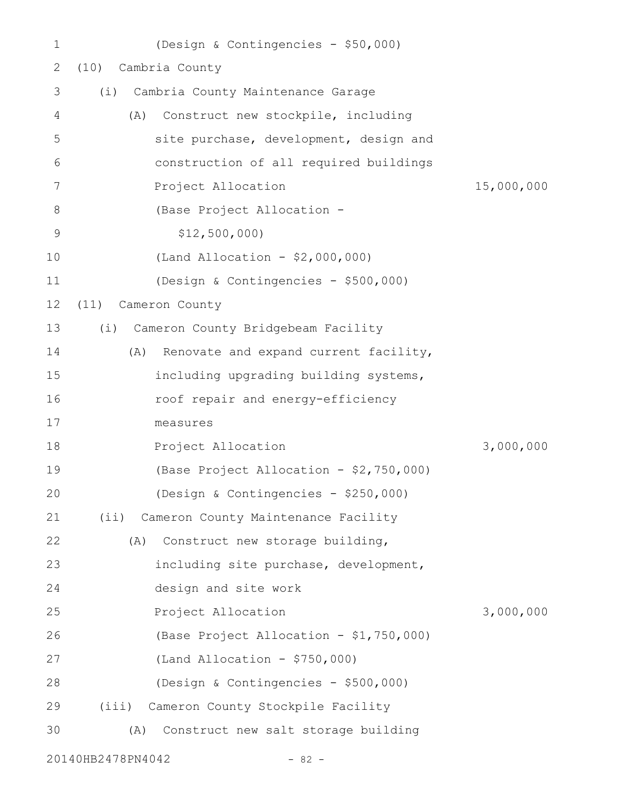| 1           |                   | (Design & Contingencies - \$50,000)     |            |
|-------------|-------------------|-----------------------------------------|------------|
| 2           | (10)              | Cambria County                          |            |
| 3           | (i)               | Cambria County Maintenance Garage       |            |
| 4           | (A)               | Construct new stockpile, including      |            |
| 5           |                   | site purchase, development, design and  |            |
| 6           |                   | construction of all required buildings  |            |
| 7           |                   | Project Allocation                      | 15,000,000 |
| 8           |                   | (Base Project Allocation -              |            |
| $\mathsf 9$ |                   | \$12,500,000                            |            |
| 10          |                   | (Land Allocation - $$2,000,000)$        |            |
| 11          |                   | (Design & Contingencies - \$500,000)    |            |
| 12          | (11)              | Cameron County                          |            |
| 13          | (i)               | Cameron County Bridgebeam Facility      |            |
| 14          | (A)               | Renovate and expand current facility,   |            |
| 15          |                   | including upgrading building systems,   |            |
| 16          |                   | roof repair and energy-efficiency       |            |
| 17          |                   | measures                                |            |
| 18          |                   | Project Allocation                      | 3,000,000  |
| 19          |                   | (Base Project Allocation - \$2,750,000) |            |
| 20          |                   | (Design & Contingencies - \$250,000)    |            |
| 21          | $(i$ i)           | Cameron County Maintenance Facility     |            |
| 22          | (A)               | Construct new storage building,         |            |
| 23          |                   | including site purchase, development,   |            |
| 24          |                   | design and site work                    |            |
| 25          |                   | Project Allocation                      | 3,000,000  |
| 26          |                   | (Base Project Allocation - \$1,750,000) |            |
| 27          |                   | (Land Allocation - $$750,000$ )         |            |
| 28          |                   | (Design & Contingencies - \$500,000)    |            |
| 29          |                   | (iii) Cameron County Stockpile Facility |            |
| 30          | (A)               | Construct new salt storage building     |            |
|             | 20140HB2478PN4042 | $-82 -$                                 |            |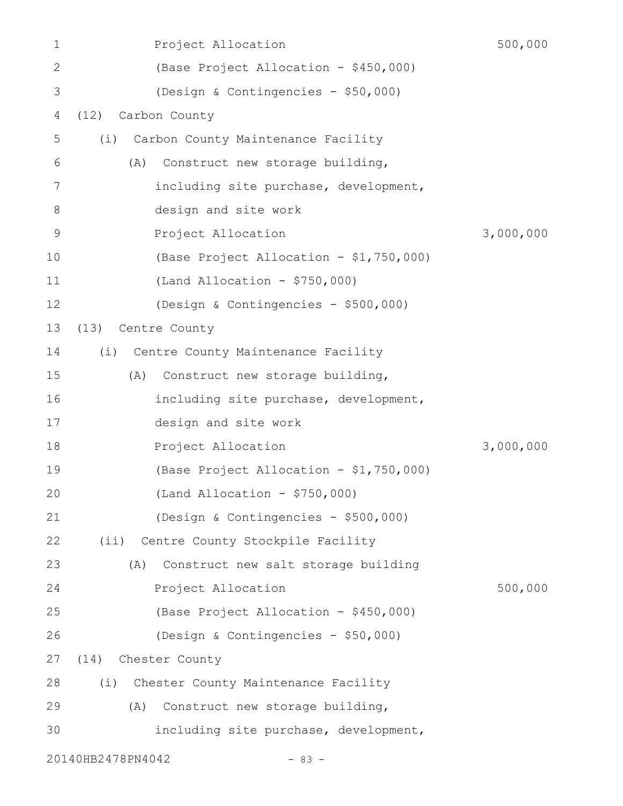| 1             | Project Allocation                         | 500,000   |
|---------------|--------------------------------------------|-----------|
| $\mathbf{2}$  | (Base Project Allocation - \$450,000)      |           |
| 3             | (Design & Contingencies - \$50,000)        |           |
| 4             | Carbon County<br>(12)                      |           |
| 5             | Carbon County Maintenance Facility<br>(i)  |           |
| 6             | Construct new storage building,<br>(A)     |           |
| 7             | including site purchase, development,      |           |
| 8             | design and site work                       |           |
| $\mathcal{G}$ | Project Allocation                         | 3,000,000 |
| 10            | (Base Project Allocation - \$1,750,000)    |           |
| 11            | (Land Allocation - $$750,000$ )            |           |
| 12            | (Design & Contingencies - \$500,000)       |           |
| 13            | Centre County<br>(13)                      |           |
| 14            | (i) Centre County Maintenance Facility     |           |
| 15            | (A)<br>Construct new storage building,     |           |
| 16            | including site purchase, development,      |           |
| 17            | design and site work                       |           |
| 18            | Project Allocation                         | 3,000,000 |
| 19            | (Base Project Allocation - \$1,750,000)    |           |
| 20            | $(Land$ Allocation - \$750,000)            |           |
| 21            | (Design & Contingencies - \$500,000)       |           |
| 22            | (ii) Centre County Stockpile Facility      |           |
| 23            | Construct new salt storage building<br>(A) |           |
| 24            | Project Allocation                         | 500,000   |
| 25            | (Base Project Allocation - \$450,000)      |           |
| 26            | (Design & Contingencies - \$50,000)        |           |
| 27            | (14) Chester County                        |           |
| 28            | (i) Chester County Maintenance Facility    |           |
| 29            | Construct new storage building,<br>(A)     |           |
| 30            | including site purchase, development,      |           |
|               | 20140HB2478PN4042<br>$-83 -$               |           |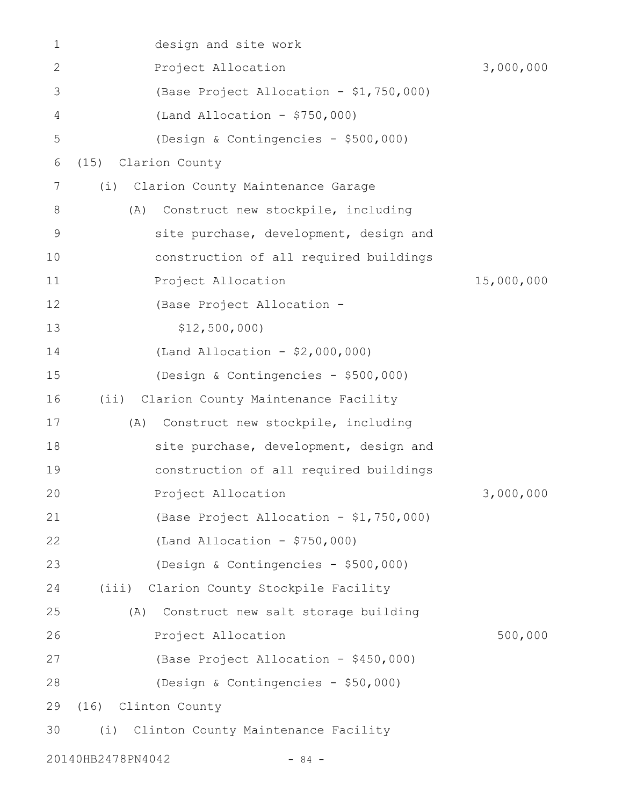| 1  | design and site work                         |            |
|----|----------------------------------------------|------------|
| 2  | Project Allocation                           | 3,000,000  |
| 3  | (Base Project Allocation - \$1,750,000)      |            |
| 4  | (Land Allocation - $$750,000$ )              |            |
| 5  | (Design & Contingencies - \$500,000)         |            |
| 6  | Clarion County<br>(15)                       |            |
| 7  | Clarion County Maintenance Garage<br>(i)     |            |
| 8  | Construct new stockpile, including<br>(A)    |            |
| 9  | site purchase, development, design and       |            |
| 10 | construction of all required buildings       |            |
| 11 | Project Allocation                           | 15,000,000 |
| 12 | (Base Project Allocation -                   |            |
| 13 | \$12,500,000                                 |            |
| 14 | (Land Allocation - $$2,000,000)$             |            |
| 15 | (Design & Contingencies - \$500,000)         |            |
| 16 | Clarion County Maintenance Facility<br>(iii) |            |
| 17 | Construct new stockpile, including<br>(A)    |            |
| 18 | site purchase, development, design and       |            |
| 19 | construction of all required buildings       |            |
| 20 | Project Allocation                           | 3,000,000  |
| 21 | (Base Project Allocation - \$1,750,000)      |            |
| 22 | (Land Allocation - $$750,000$ )              |            |
| 23 | (Design & Contingencies - \$500,000)         |            |
| 24 | (iii) Clarion County Stockpile Facility      |            |
| 25 | Construct new salt storage building<br>(A)   |            |
| 26 | Project Allocation                           | 500,000    |
| 27 | (Base Project Allocation - \$450,000)        |            |
| 28 | (Design & Contingencies - \$50,000)          |            |
| 29 | (16)<br>Clinton County                       |            |
| 30 | (i)<br>Clinton County Maintenance Facility   |            |
|    | 20140HB2478PN4042<br>$-84 -$                 |            |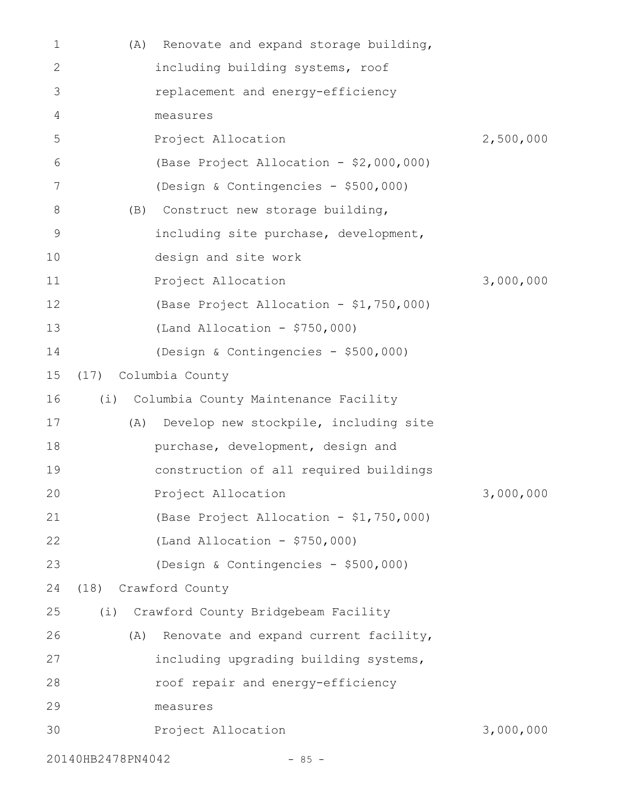| 1            | (A)  | Renovate and expand storage building,    |           |
|--------------|------|------------------------------------------|-----------|
| $\mathbf{2}$ |      | including building systems, roof         |           |
| 3            |      | replacement and energy-efficiency        |           |
| 4            |      | measures                                 |           |
| 5            |      | Project Allocation                       | 2,500,000 |
| 6            |      | (Base Project Allocation - \$2,000,000)  |           |
| 7            |      | (Design & Contingencies - \$500,000)     |           |
| 8            | (B)  | Construct new storage building,          |           |
| 9            |      | including site purchase, development,    |           |
| 10           |      | design and site work                     |           |
| 11           |      | Project Allocation                       | 3,000,000 |
| 12           |      | (Base Project Allocation - \$1,750,000)  |           |
| 13           |      | $(Land Allocation - $750,000)$           |           |
| 14           |      | (Design & Contingencies - \$500,000)     |           |
| 15           | (17) | Columbia County                          |           |
| 16           |      | (i) Columbia County Maintenance Facility |           |
| 17           | (A)  | Develop new stockpile, including site    |           |
| 18           |      | purchase, development, design and        |           |
| 19           |      | construction of all required buildings   |           |
| 20           |      | Project Allocation                       | 3,000,000 |
| 21           |      | (Base Project Allocation - \$1,750,000)  |           |
| 22           |      | $(Land$ Allocation - \$750,000)          |           |
| 23           |      | (Design & Contingencies - \$500,000)     |           |
| 24           | (18) | Crawford County                          |           |
| 25           | (i)  | Crawford County Bridgebeam Facility      |           |
| 26           | (A)  | Renovate and expand current facility,    |           |
| 27           |      | including upgrading building systems,    |           |
| 28           |      | roof repair and energy-efficiency        |           |
| 29           |      | measures                                 |           |
| 30           |      | Project Allocation                       | 3,000,000 |
|              |      |                                          |           |

20140HB2478PN4042 - 85 -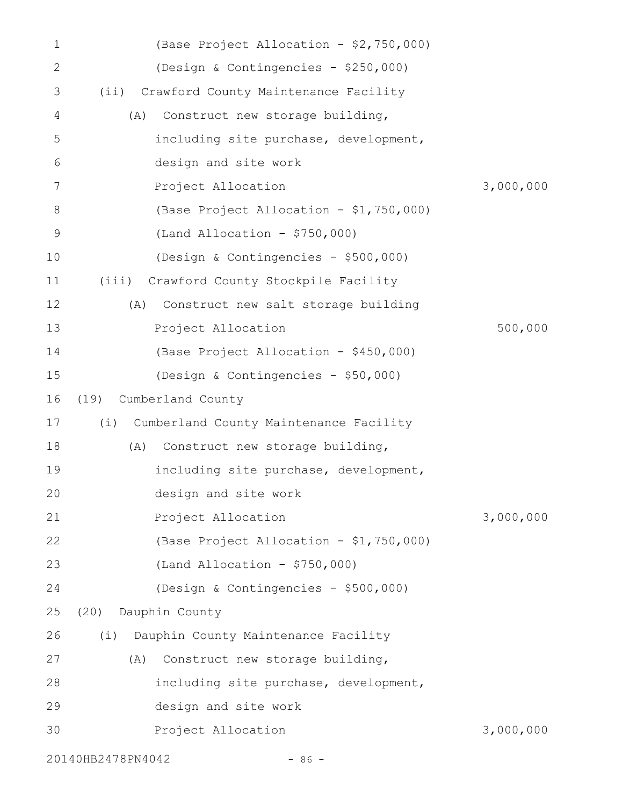| 1            | (Base Project Allocation - \$2,750,000)       |           |
|--------------|-----------------------------------------------|-----------|
| $\mathbf{2}$ | (Design & Contingencies - \$250,000)          |           |
| 3            | Crawford County Maintenance Facility<br>(i)   |           |
| 4            | Construct new storage building,<br>(A)        |           |
| 5            | including site purchase, development,         |           |
| 6            | design and site work                          |           |
| 7            | Project Allocation                            | 3,000,000 |
| 8            | (Base Project Allocation - \$1,750,000)       |           |
| 9            | $(Land$ Allocation - \$750,000)               |           |
| 10           | (Design & Contingencies - \$500,000)          |           |
| 11           | (iii) Crawford County Stockpile Facility      |           |
| 12           | (A)<br>Construct new salt storage building    |           |
| 13           | Project Allocation                            | 500,000   |
| 14           | (Base Project Allocation - \$450,000)         |           |
| 15           | (Design & Contingencies - \$50,000)           |           |
| 16           | Cumberland County<br>(19)                     |           |
| 17           | (i)<br>Cumberland County Maintenance Facility |           |
| 18           | Construct new storage building,<br>(A)        |           |
| 19           | including site purchase, development,         |           |
| 20           | design and site work                          |           |
| 21           | Project Allocation                            | 3,000,000 |
| 22           | (Base Project Allocation - \$1,750,000)       |           |
| 23           | $(Land$ Allocation - \$750,000)               |           |
| 24           | (Design & Contingencies - \$500,000)          |           |
| 25           | Dauphin County<br>(20)                        |           |
| 26           | Dauphin County Maintenance Facility<br>(i)    |           |
| 27           | Construct new storage building,<br>(A)        |           |
| 28           | including site purchase, development,         |           |
| 29           | design and site work                          |           |
| 30           | Project Allocation                            | 3,000,000 |
|              | 20140HB2478PN4042<br>$-86 -$                  |           |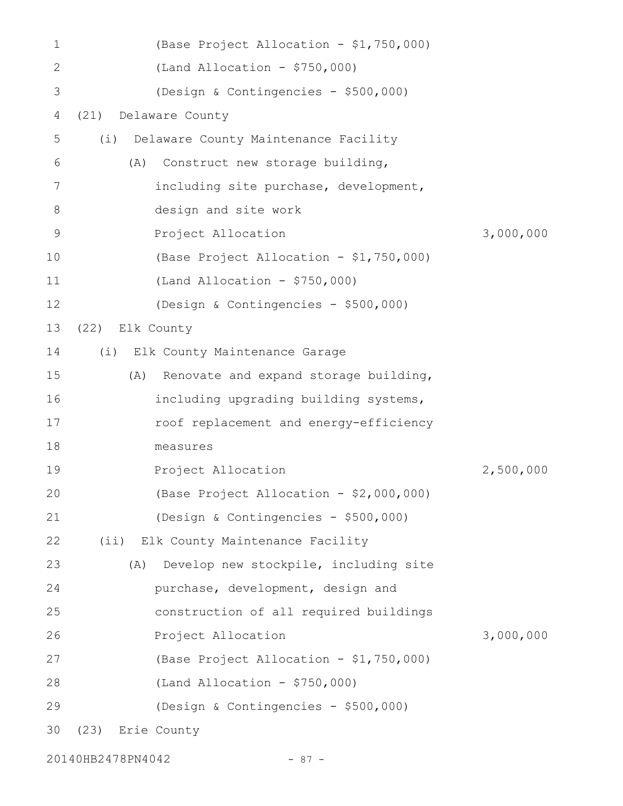| 1            |                                      | (Base Project Allocation - \$1,750,000) |           |
|--------------|--------------------------------------|-----------------------------------------|-----------|
| $\mathbf{2}$ | $(Land Allocation - $750,000)$       |                                         |           |
| 3            |                                      | (Design & Contingencies - \$500,000)    |           |
| 4            | Delaware County<br>(21)              |                                         |           |
| 5            | (i)                                  | Delaware County Maintenance Facility    |           |
| 6            | (A)                                  | Construct new storage building,         |           |
| 7            |                                      | including site purchase, development,   |           |
| 8            | design and site work                 |                                         |           |
| $\mathsf 9$  | Project Allocation                   |                                         | 3,000,000 |
| 10           |                                      | (Base Project Allocation - \$1,750,000) |           |
| 11           | $(Land Allocation - $750,000)$       |                                         |           |
| 12           |                                      | (Design & Contingencies - \$500,000)    |           |
| 13           | (22) Elk County                      |                                         |           |
| 14           | (i) Elk County Maintenance Garage    |                                         |           |
| 15           | (A)                                  | Renovate and expand storage building,   |           |
| 16           |                                      | including upgrading building systems,   |           |
| 17           |                                      | roof replacement and energy-efficiency  |           |
| 18           | measures                             |                                         |           |
| 19           | Project Allocation                   |                                         | 2,500,000 |
| 20           |                                      | (Base Project Allocation - \$2,000,000) |           |
| 21           |                                      | (Design & Contingencies - \$500,000)    |           |
| 22           | (ii) Elk County Maintenance Facility |                                         |           |
| 23           | (A)                                  | Develop new stockpile, including site   |           |
| 24           |                                      | purchase, development, design and       |           |
| 25           |                                      | construction of all required buildings  |           |
| 26           | Project Allocation                   |                                         | 3,000,000 |
| 27           |                                      | (Base Project Allocation - \$1,750,000) |           |
| 28           | (Land Allocation - $$750,000$ )      |                                         |           |
| 29           |                                      | (Design & Contingencies - \$500,000)    |           |
| 30           | Erie County<br>(23)                  |                                         |           |
|              |                                      |                                         |           |

20140HB2478PN4042 - 87 -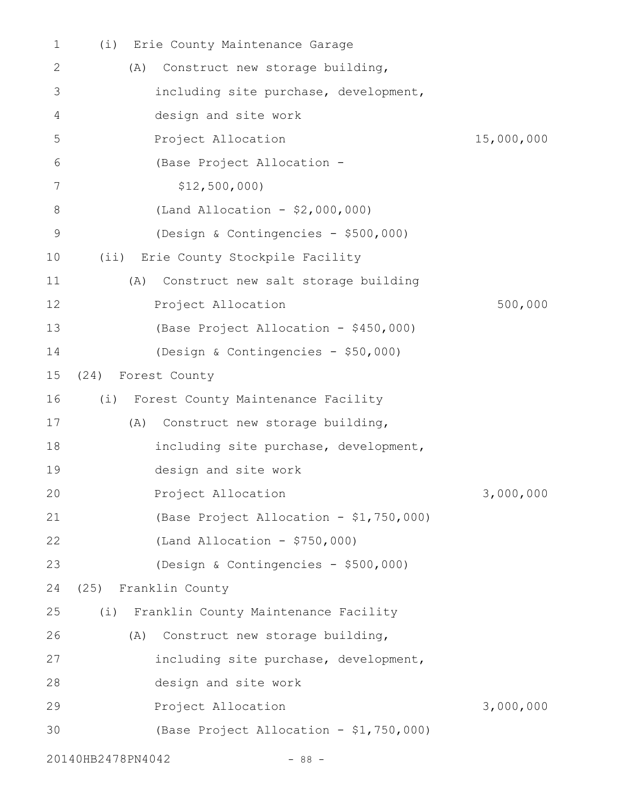| 1            | Erie County Maintenance Garage<br>(i)       |            |
|--------------|---------------------------------------------|------------|
| $\mathbf{2}$ | Construct new storage building,<br>(A)      |            |
| 3            | including site purchase, development,       |            |
| 4            | design and site work                        |            |
| 5            | Project Allocation                          | 15,000,000 |
| 6            | (Base Project Allocation -                  |            |
| 7            | \$12,500,000                                |            |
| 8            | (Land Allocation - \$2,000,000)             |            |
| 9            | (Design & Contingencies - \$500,000)        |            |
| 10           | (ii) Erie County Stockpile Facility         |            |
| 11           | Construct new salt storage building<br>(A)  |            |
| 12           | Project Allocation                          | 500,000    |
| 13           | (Base Project Allocation - \$450,000)       |            |
| 14           | (Design & Contingencies - \$50,000)         |            |
| 15           | (24)<br>Forest County                       |            |
| 16           | (i)<br>Forest County Maintenance Facility   |            |
| 17           | Construct new storage building,<br>(A)      |            |
| 18           | including site purchase, development,       |            |
| 19           | design and site work                        |            |
| 20           | Project Allocation                          | 3,000,000  |
| 21           | (Base Project Allocation - \$1,750,000)     |            |
| 22           | $(Land$ Allocation - \$750,000)             |            |
| 23           | (Design & Contingencies - \$500,000)        |            |
| 24           | (25) Franklin County                        |            |
| 25           | Franklin County Maintenance Facility<br>(i) |            |
| 26           | Construct new storage building,<br>(A)      |            |
| 27           | including site purchase, development,       |            |
| 28           | design and site work                        |            |
| 29           | Project Allocation                          | 3,000,000  |
| 30           | (Base Project Allocation - \$1,750,000)     |            |
|              | 20140HB2478PN4042<br>$-88 -$                |            |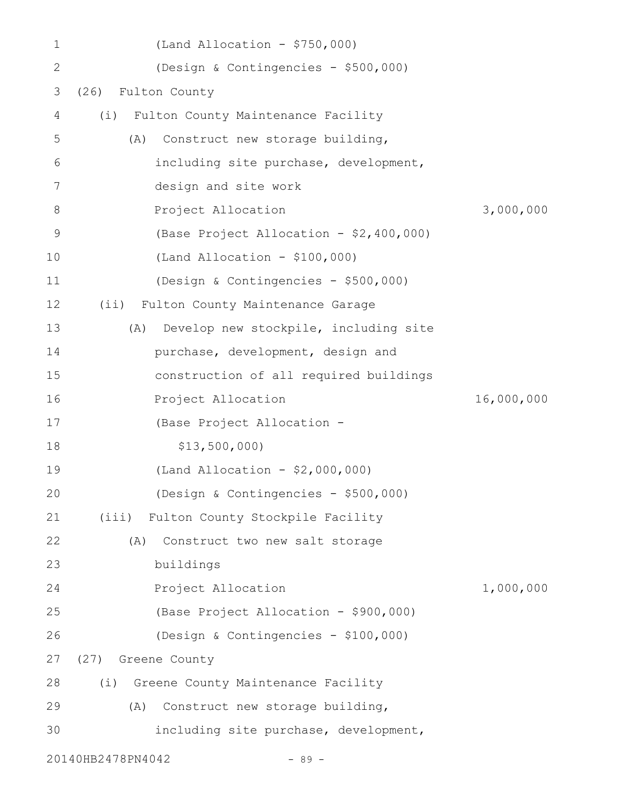| 1           | (Land Allocation - $$750,000$ )              |            |
|-------------|----------------------------------------------|------------|
| 2           | (Design & Contingencies - \$500,000)         |            |
| 3           | Fulton County<br>(26)                        |            |
| 4           | Fulton County Maintenance Facility<br>(i)    |            |
| 5           | Construct new storage building,<br>(A)       |            |
| 6           | including site purchase, development,        |            |
| 7           | design and site work                         |            |
| 8           | Project Allocation                           | 3,000,000  |
| $\mathsf 9$ | (Base Project Allocation - \$2,400,000)      |            |
| 10          | $(Land Allocation - $100,000)$               |            |
| 11          | (Design & Contingencies - \$500,000)         |            |
| 12          | Fulton County Maintenance Garage<br>(i)      |            |
| 13          | Develop new stockpile, including site<br>(A) |            |
| 14          | purchase, development, design and            |            |
| 15          | construction of all required buildings       |            |
| 16          | Project Allocation                           | 16,000,000 |
| 17          | (Base Project Allocation -                   |            |
| 18          | \$13,500,000                                 |            |
| 19          | (Land Allocation - \$2,000,000)              |            |
| 20          | (Design & Contingencies - \$500,000)         |            |
| 21          | Fulton County Stockpile Facility<br>(iii)    |            |
| 22          | Construct two new salt storage<br>(A)        |            |
| 23          | buildings                                    |            |
| 24          | Project Allocation                           | 1,000,000  |
| 25          | (Base Project Allocation - \$900,000)        |            |
| 26          | (Design & Contingencies - \$100,000)         |            |
| 27          | (27) Greene County                           |            |
| 28          | Greene County Maintenance Facility<br>(i)    |            |
| 29          | Construct new storage building,<br>(A)       |            |
| 30          | including site purchase, development,        |            |
|             | 20140HB2478PN4042<br>$-89 -$                 |            |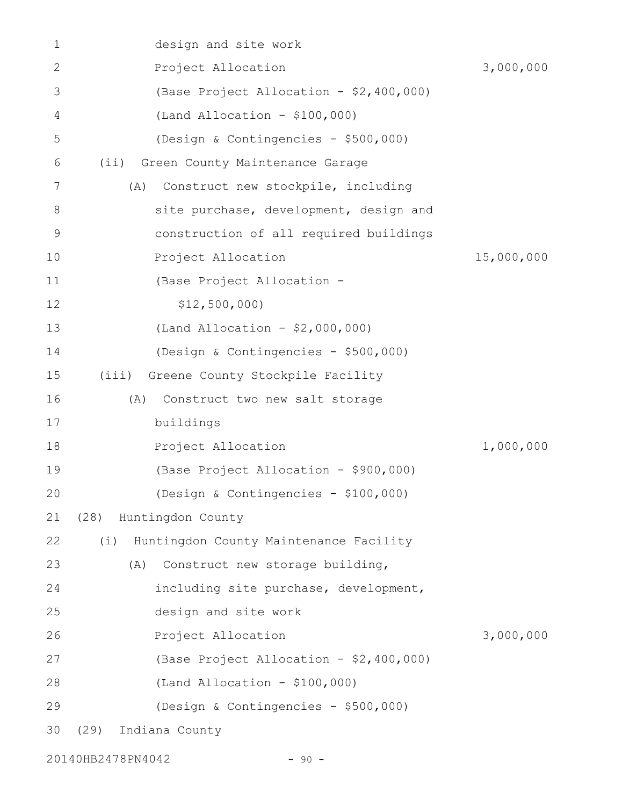| 1            | design and site work                          |            |
|--------------|-----------------------------------------------|------------|
| $\mathbf{2}$ | Project Allocation                            | 3,000,000  |
| 3            | (Base Project Allocation - \$2,400,000)       |            |
| 4            | $(Land Allocation - $100,000)$                |            |
| 5            | (Design & Contingencies - \$500,000)          |            |
| 6            | (i)<br>Green County Maintenance Garage        |            |
| 7            | Construct new stockpile, including<br>(A)     |            |
| 8            | site purchase, development, design and        |            |
| $\mathsf 9$  | construction of all required buildings        |            |
| 10           | Project Allocation                            | 15,000,000 |
| 11           | (Base Project Allocation -                    |            |
| 12           | \$12,500,000                                  |            |
| 13           | (Land Allocation - \$2,000,000)               |            |
| 14           | (Design & Contingencies - \$500,000)          |            |
| 15           | Greene County Stockpile Facility<br>(iii)     |            |
| 16           | Construct two new salt storage<br>(A)         |            |
| 17           | buildings                                     |            |
| 18           | Project Allocation                            | 1,000,000  |
| 19           | (Base Project Allocation - \$900,000)         |            |
| 20           | (Design & Contingencies - \$100,000)          |            |
| 21           | (28) Huntingdon County                        |            |
| 22           | (i)<br>Huntingdon County Maintenance Facility |            |
| 23           | (A)<br>Construct new storage building,        |            |
| 24           | including site purchase, development,         |            |
| 25           | design and site work                          |            |
| 26           | Project Allocation                            | 3,000,000  |
| 27           | (Base Project Allocation - \$2,400,000)       |            |
| 28           | $(Land Allocation - $100,000)$                |            |
| 29           | (Design & Contingencies - \$500,000)          |            |
| 30           | (29)<br>Indiana County                        |            |
|              |                                               |            |

20140HB2478PN4042 - 90 -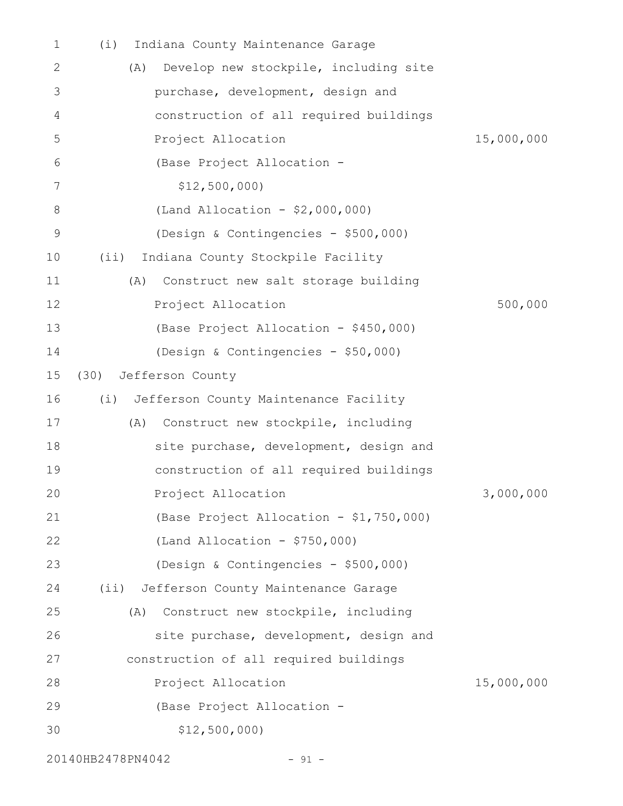| 1  | Indiana County Maintenance Garage<br>(i)     |            |
|----|----------------------------------------------|------------|
| 2  | Develop new stockpile, including site<br>(A) |            |
| 3  | purchase, development, design and            |            |
| 4  | construction of all required buildings       |            |
| 5  | Project Allocation                           | 15,000,000 |
| 6  | (Base Project Allocation -                   |            |
| 7  | \$12,500,000                                 |            |
| 8  | (Land Allocation - \$2,000,000)              |            |
| 9  | (Design & Contingencies - \$500,000)         |            |
| 10 | Indiana County Stockpile Facility<br>(i)     |            |
| 11 | Construct new salt storage building<br>(A)   |            |
| 12 | Project Allocation                           | 500,000    |
| 13 | (Base Project Allocation - \$450,000)        |            |
| 14 | (Design & Contingencies - \$50,000)          |            |
| 15 | Jefferson County<br>(30)                     |            |
| 16 | (i) Jefferson County Maintenance Facility    |            |
| 17 | Construct new stockpile, including<br>(A)    |            |
| 18 | site purchase, development, design and       |            |
| 19 | construction of all required buildings       |            |
| 20 | Project Allocation                           | 3,000,000  |
| 21 | (Base Project Allocation - \$1,750,000)      |            |
| 22 | (Land Allocation - $$750,000$ )              |            |
| 23 | (Design & Contingencies - \$500,000)         |            |
| 24 | (ii) Jefferson County Maintenance Garage     |            |
| 25 | Construct new stockpile, including<br>(A)    |            |
| 26 | site purchase, development, design and       |            |
| 27 | construction of all required buildings       |            |
| 28 | Project Allocation                           | 15,000,000 |
| 29 | (Base Project Allocation -                   |            |
| 30 | \$12,500,000                                 |            |
|    |                                              |            |

20140HB2478PN4042 - 91 -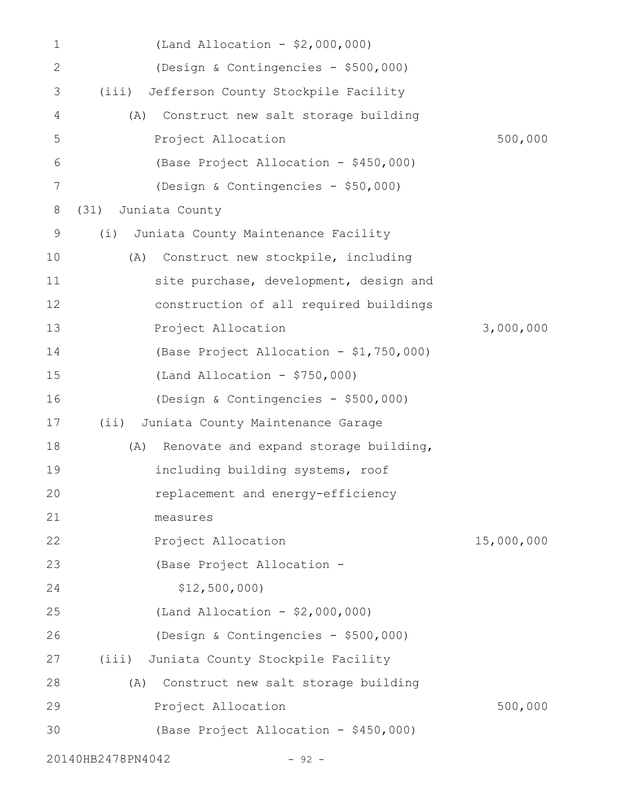| $\mathbf 1$  | (Land Allocation - \$2,000,000)              |            |
|--------------|----------------------------------------------|------------|
| $\mathbf{2}$ | (Design & Contingencies - \$500,000)         |            |
| 3            | Jefferson County Stockpile Facility<br>(iii) |            |
| 4            | (A)<br>Construct new salt storage building   |            |
| 5            | Project Allocation                           | 500,000    |
| 6            | (Base Project Allocation - \$450,000)        |            |
| 7            | (Design & Contingencies - \$50,000)          |            |
| 8            | Juniata County<br>(31)                       |            |
| 9            | Juniata County Maintenance Facility<br>(i)   |            |
| 10           | Construct new stockpile, including<br>(A)    |            |
| 11           | site purchase, development, design and       |            |
| 12           | construction of all required buildings       |            |
| 13           | Project Allocation                           | 3,000,000  |
| 14           | (Base Project Allocation - \$1,750,000)      |            |
| 15           | (Land Allocation - $$750,000$ )              |            |
| 16           | (Design & Contingencies - \$500,000)         |            |
| 17           | Juniata County Maintenance Garage<br>$(i$ i) |            |
| 18           | Renovate and expand storage building,<br>(A) |            |
| 19           | including building systems, roof             |            |
| 20           | replacement and energy-efficiency            |            |
| 21           | measures                                     |            |
| 22           | Project Allocation                           | 15,000,000 |
| 23           | (Base Project Allocation -                   |            |
| 24           | \$12,500,000                                 |            |
| 25           | (Land Allocation - \$2,000,000)              |            |
| 26           | (Design & Contingencies - \$500,000)         |            |
| 27           | Juniata County Stockpile Facility<br>(iii)   |            |
| 28           | Construct new salt storage building<br>(A)   |            |
| 29           | Project Allocation                           | 500,000    |
| 30           | (Base Project Allocation - \$450,000)        |            |
|              | 20140HB2478PN4042<br>$-92 -$                 |            |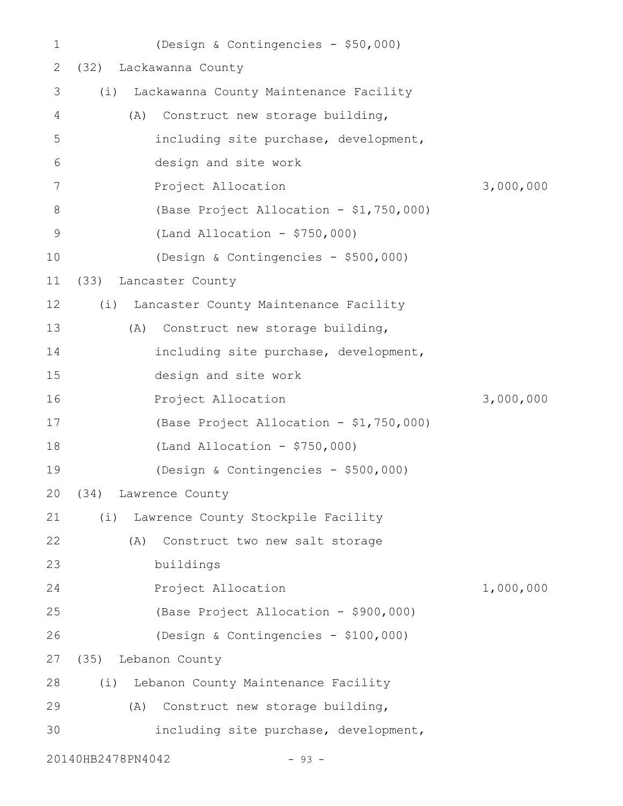| $\mathbf 1$ |                   | (Design & Contingencies - \$50,000)     |           |
|-------------|-------------------|-----------------------------------------|-----------|
| 2           |                   | (32) Lackawanna County                  |           |
| 3           | (i)               | Lackawanna County Maintenance Facility  |           |
| 4           | (A)               | Construct new storage building,         |           |
| 5           |                   | including site purchase, development,   |           |
| 6           |                   | design and site work                    |           |
| 7           |                   | Project Allocation                      | 3,000,000 |
| 8           |                   | (Base Project Allocation - \$1,750,000) |           |
| $\mathsf 9$ |                   | $(Land Allocation - $750,000)$          |           |
| 10          |                   | (Design & Contingencies - \$500,000)    |           |
| 11          | (33)              | Lancaster County                        |           |
| 12          | (i)               | Lancaster County Maintenance Facility   |           |
| 13          | (A)               | Construct new storage building,         |           |
| 14          |                   | including site purchase, development,   |           |
| 15          |                   | design and site work                    |           |
| 16          |                   | Project Allocation                      | 3,000,000 |
| 17          |                   | (Base Project Allocation - \$1,750,000) |           |
| 18          |                   | $(Land Allocation - $750,000)$          |           |
| 19          |                   | (Design & Contingencies - \$500,000)    |           |
| 20          |                   | (34) Lawrence County                    |           |
| 21          | (i)               | Lawrence County Stockpile Facility      |           |
| 22          | (A)               | Construct two new salt storage          |           |
| 23          |                   | buildings                               |           |
| 24          |                   | Project Allocation                      | 1,000,000 |
| 25          |                   | (Base Project Allocation - \$900,000)   |           |
| 26          |                   | (Design & Contingencies - \$100,000)    |           |
| 27          |                   | (35) Lebanon County                     |           |
| 28          | (i)               | Lebanon County Maintenance Facility     |           |
| 29          | (A)               | Construct new storage building,         |           |
| 30          |                   | including site purchase, development,   |           |
|             | 20140HB2478PN4042 | $-93 -$                                 |           |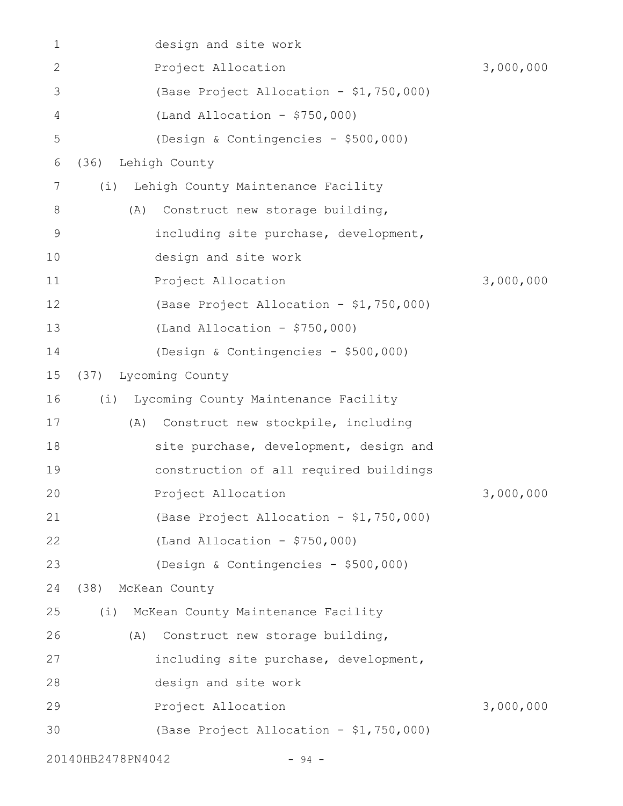| 1            |                   | design and site work                    |           |
|--------------|-------------------|-----------------------------------------|-----------|
| $\mathbf{2}$ |                   | Project Allocation                      | 3,000,000 |
| 3            |                   | (Base Project Allocation - \$1,750,000) |           |
| 4            |                   | $(Land Allocation - $750,000)$          |           |
| 5            |                   | (Design & Contingencies - \$500,000)    |           |
| 6            | (36)              | Lehigh County                           |           |
| 7            | (i)               | Lehigh County Maintenance Facility      |           |
| 8            | (A)               | Construct new storage building,         |           |
| 9            |                   | including site purchase, development,   |           |
| 10           |                   | design and site work                    |           |
| 11           |                   | Project Allocation                      | 3,000,000 |
| 12           |                   | (Base Project Allocation - \$1,750,000) |           |
| 13           |                   | $(Land Allocation - $750,000)$          |           |
| 14           |                   | (Design & Contingencies - \$500,000)    |           |
| 15           | (37)              | Lycoming County                         |           |
| 16           | (i)               | Lycoming County Maintenance Facility    |           |
| 17           | (A)               | Construct new stockpile, including      |           |
| 18           |                   | site purchase, development, design and  |           |
| 19           |                   | construction of all required buildings  |           |
| 20           |                   | Project Allocation                      | 3,000,000 |
| 21           |                   | (Base Project Allocation - \$1,750,000) |           |
| 22           |                   | $(Land Allocation - $750,000)$          |           |
| 23           |                   | (Design & Contingencies - \$500,000)    |           |
| 24           | (38)              | McKean County                           |           |
| 25           | (i)               | McKean County Maintenance Facility      |           |
| 26           | (A)               | Construct new storage building,         |           |
| 27           |                   | including site purchase, development,   |           |
| 28           |                   | design and site work                    |           |
| 29           |                   | Project Allocation                      | 3,000,000 |
| 30           |                   | (Base Project Allocation - \$1,750,000) |           |
|              | 20140HB2478PN4042 | $-94 -$                                 |           |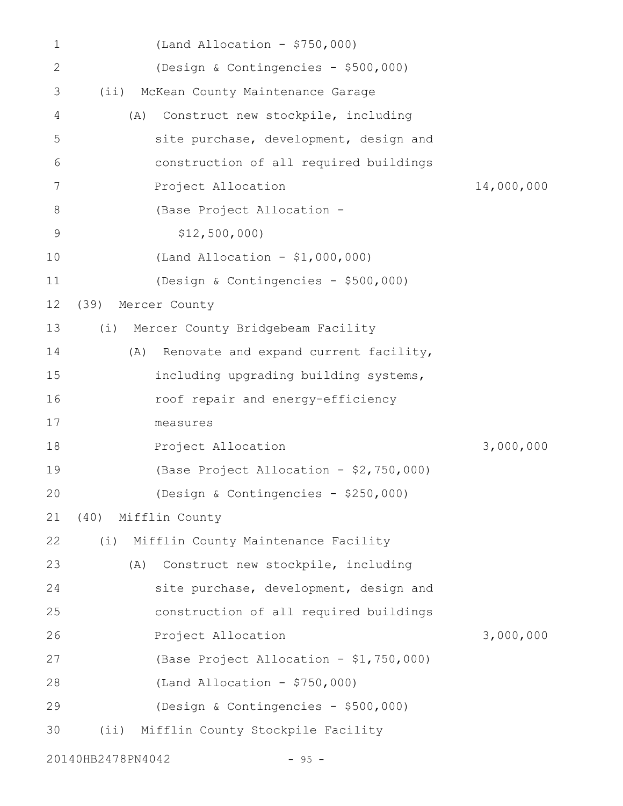| 1            |                   | $(Land$ Allocation - \$750,000)         |            |
|--------------|-------------------|-----------------------------------------|------------|
| $\mathbf{2}$ |                   | (Design & Contingencies - \$500,000)    |            |
| 3            | (i)               | McKean County Maintenance Garage        |            |
| 4            | (A)               | Construct new stockpile, including      |            |
| 5            |                   | site purchase, development, design and  |            |
| 6            |                   | construction of all required buildings  |            |
| 7            |                   | Project Allocation                      | 14,000,000 |
| 8            |                   | (Base Project Allocation -              |            |
| 9            |                   | \$12,500,000                            |            |
| 10           |                   | (Land Allocation - $$1,000,000)$        |            |
| 11           |                   | (Design & Contingencies - \$500,000)    |            |
| 12           | (39)              | Mercer County                           |            |
| 13           | (i)               | Mercer County Bridgebeam Facility       |            |
| 14           | (A)               | Renovate and expand current facility,   |            |
| 15           |                   | including upgrading building systems,   |            |
| 16           |                   | roof repair and energy-efficiency       |            |
| 17           |                   | measures                                |            |
| 18           |                   | Project Allocation                      | 3,000,000  |
| 19           |                   | (Base Project Allocation - \$2,750,000) |            |
| 20           |                   | (Design & Contingencies - \$250,000)    |            |
| 21           | (40)              | Mifflin County                          |            |
| 22           | (i)               | Mifflin County Maintenance Facility     |            |
| 23           | (A)               | Construct new stockpile, including      |            |
| 24           |                   | site purchase, development, design and  |            |
| 25           |                   | construction of all required buildings  |            |
| 26           |                   | Project Allocation                      | 3,000,000  |
| 27           |                   | (Base Project Allocation - \$1,750,000) |            |
| 28           |                   | (Land Allocation - $$750,000$ )         |            |
| 29           |                   | (Design & Contingencies - \$500,000)    |            |
| 30           | $(i$ i)           | Mifflin County Stockpile Facility       |            |
|              | 20140HB2478PN4042 | $-95 -$                                 |            |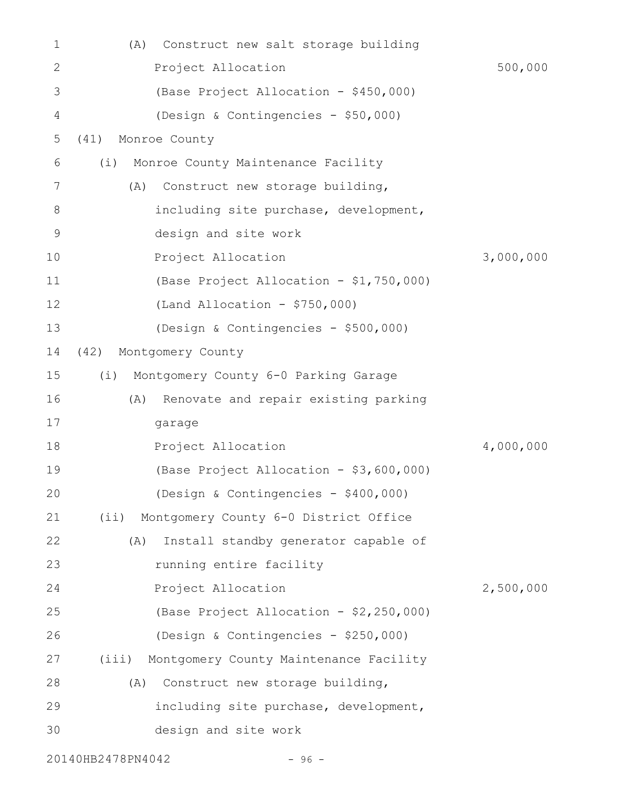| 1           | (A)                   | Construct new salt storage building          |           |
|-------------|-----------------------|----------------------------------------------|-----------|
| 2           |                       | Project Allocation                           | 500,000   |
| 3           |                       | (Base Project Allocation - \$450,000)        |           |
| 4           |                       | (Design & Contingencies - \$50,000)          |           |
| 5           | Monroe County<br>(41) |                                              |           |
| 6           | (i)                   | Monroe County Maintenance Facility           |           |
| 7           | (A)                   | Construct new storage building,              |           |
| 8           |                       | including site purchase, development,        |           |
| $\mathsf 9$ |                       | design and site work                         |           |
| 10          |                       | Project Allocation                           | 3,000,000 |
| 11          |                       | (Base Project Allocation - \$1,750,000)      |           |
| 12          |                       | $(Land$ Allocation - \$750,000)              |           |
| 13          |                       | (Design & Contingencies - \$500,000)         |           |
| 14          | (42)                  | Montgomery County                            |           |
| 15          | (i)                   | Montgomery County 6-0 Parking Garage         |           |
| 16          | (A)                   | Renovate and repair existing parking         |           |
| 17          |                       | garage                                       |           |
| 18          |                       | Project Allocation                           | 4,000,000 |
| 19          |                       | (Base Project Allocation - \$3,600,000)      |           |
| 20          |                       | (Design & Contingencies - \$400,000)         |           |
| 21          | (i)                   | Montgomery County 6-0 District Office        |           |
| 22          | (A)                   | Install standby generator capable of         |           |
| 23          |                       | running entire facility                      |           |
| 24          |                       | Project Allocation                           | 2,500,000 |
| 25          |                       | (Base Project Allocation - \$2,250,000)      |           |
| 26          |                       | (Design & Contingencies - \$250,000)         |           |
| 27          |                       | (iii) Montgomery County Maintenance Facility |           |
| 28          | (A)                   | Construct new storage building,              |           |
| 29          |                       | including site purchase, development,        |           |
| 30          |                       | design and site work                         |           |
|             | 20140HB2478PN4042     | $-96 -$                                      |           |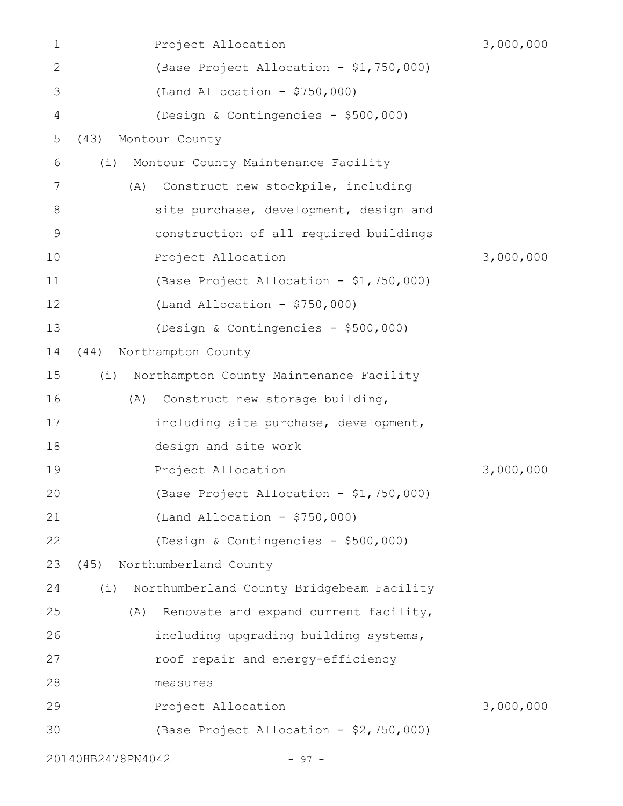| 1              |                   | Project Allocation                        | 3,000,000 |
|----------------|-------------------|-------------------------------------------|-----------|
| $\mathbf{2}$   |                   | (Base Project Allocation - \$1,750,000)   |           |
| 3              |                   | $(Land Allocation - $750,000)$            |           |
| $\overline{4}$ |                   | (Design & Contingencies - \$500,000)      |           |
| 5              | (43)              | Montour County                            |           |
| 6              | (i)               | Montour County Maintenance Facility       |           |
| 7              | (A)               | Construct new stockpile, including        |           |
| 8              |                   | site purchase, development, design and    |           |
| $\mathsf 9$    |                   | construction of all required buildings    |           |
| 10             |                   | Project Allocation                        | 3,000,000 |
| 11             |                   | (Base Project Allocation - \$1,750,000)   |           |
| 12             |                   | (Land Allocation - $$750,000$ )           |           |
| 13             |                   | (Design & Contingencies - \$500,000)      |           |
| 14             | (44)              | Northampton County                        |           |
| 15             | (i)               | Northampton County Maintenance Facility   |           |
| 16             | (A)               | Construct new storage building,           |           |
| 17             |                   | including site purchase, development,     |           |
| 18             |                   | design and site work                      |           |
| 19             |                   | Project Allocation                        | 3,000,000 |
| 20             |                   | (Base Project Allocation - \$1,750,000)   |           |
| 21             |                   | $(Land$ Allocation - \$750,000)           |           |
| 22             |                   | (Design & Contingencies - \$500,000)      |           |
| 23             | (45)              | Northumberland County                     |           |
| 24             | (i)               | Northumberland County Bridgebeam Facility |           |
| 25             | (A)               | Renovate and expand current facility,     |           |
| 26             |                   | including upgrading building systems,     |           |
| 27             |                   | roof repair and energy-efficiency         |           |
| 28             |                   | measures                                  |           |
| 29             |                   | Project Allocation                        | 3,000,000 |
| 30             |                   | (Base Project Allocation - \$2,750,000)   |           |
|                | 20140HB2478PN4042 | $-97 -$                                   |           |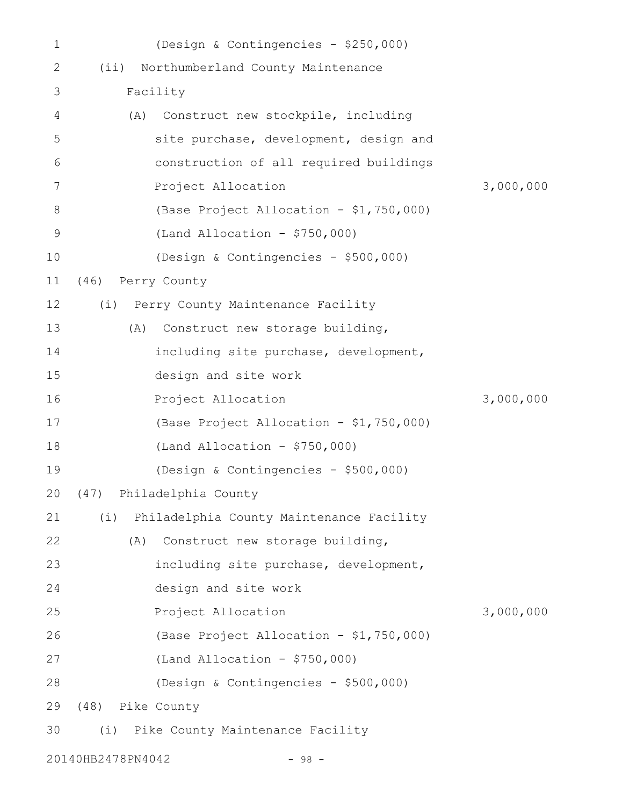| 1           |                   | (Design & Contingencies - \$250,000)     |           |
|-------------|-------------------|------------------------------------------|-----------|
| 2           | $(i$ i)           | Northumberland County Maintenance        |           |
| 3           |                   | Facility                                 |           |
| 4           | (A)               | Construct new stockpile, including       |           |
| 5           |                   | site purchase, development, design and   |           |
| 6           |                   | construction of all required buildings   |           |
| 7           |                   | Project Allocation                       | 3,000,000 |
| 8           |                   | (Base Project Allocation - \$1,750,000)  |           |
| $\mathsf 9$ |                   | $(Land Allocation - $750,000)$           |           |
| 10          |                   | (Design & Contingencies - \$500,000)     |           |
| 11          | (46) Perry County |                                          |           |
| 12          |                   | (i) Perry County Maintenance Facility    |           |
| 13          | (A)               | Construct new storage building,          |           |
| 14          |                   | including site purchase, development,    |           |
| 15          |                   | design and site work                     |           |
| 16          |                   | Project Allocation                       | 3,000,000 |
| 17          |                   | (Base Project Allocation - \$1,750,000)  |           |
| 18          |                   | $(Land Allocation - $750,000)$           |           |
| 19          |                   | (Design & Contingencies - \$500,000)     |           |
|             |                   | 20 (47) Philadelphia County              |           |
| 21          | (i)               | Philadelphia County Maintenance Facility |           |
| 22          | (A)               | Construct new storage building,          |           |
| 23          |                   | including site purchase, development,    |           |
| 24          |                   | design and site work                     |           |
| 25          |                   | Project Allocation                       | 3,000,000 |
| 26          |                   | (Base Project Allocation - \$1,750,000)  |           |
| 27          |                   | (Land Allocation - $$750,000$ )          |           |
| 28          |                   | (Design & Contingencies - \$500,000)     |           |
| 29          | (48) Pike County  |                                          |           |
| 30          |                   | (i) Pike County Maintenance Facility     |           |
|             | 20140HB2478PN4042 | $-98 -$                                  |           |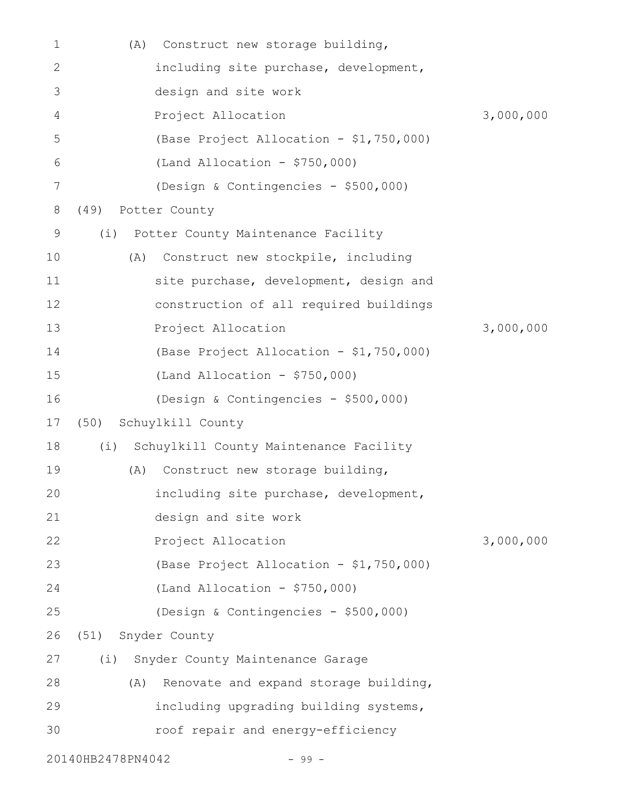| 1            | (A)                | Construct new storage building,         |           |
|--------------|--------------------|-----------------------------------------|-----------|
| $\mathbf{2}$ |                    | including site purchase, development,   |           |
| 3            |                    | design and site work                    |           |
| 4            |                    | Project Allocation                      | 3,000,000 |
| 5            |                    | (Base Project Allocation - \$1,750,000) |           |
| 6            |                    | $(Land$ Allocation - \$750,000)         |           |
| 7            |                    | (Design & Contingencies - \$500,000)    |           |
| 8            | (49)               | Potter County                           |           |
| 9            | (i)                | Potter County Maintenance Facility      |           |
| 10           | (A)                | Construct new stockpile, including      |           |
| 11           |                    | site purchase, development, design and  |           |
| 12           |                    | construction of all required buildings  |           |
| 13           |                    | Project Allocation                      | 3,000,000 |
| 14           |                    | (Base Project Allocation - \$1,750,000) |           |
| 15           |                    | $(Land$ Allocation - \$750,000)         |           |
| 16           |                    | (Design & Contingencies - \$500,000)    |           |
| 17           | (50)               | Schuylkill County                       |           |
| 18           | (i)                | Schuylkill County Maintenance Facility  |           |
| 19           | (A)                | Construct new storage building,         |           |
| 20           |                    | including site purchase, development,   |           |
| 21           |                    | design and site work                    |           |
| 22           |                    | Project Allocation                      | 3,000,000 |
| 23           |                    | (Base Project Allocation - \$1,750,000) |           |
| 24           |                    | $(Land$ Allocation - \$750,000)         |           |
| 25           |                    | (Design & Contingencies - \$500,000)    |           |
| 26           | (51) Snyder County |                                         |           |
| 27           | (i)                | Snyder County Maintenance Garage        |           |
| 28           | (A)                | Renovate and expand storage building,   |           |
| 29           |                    | including upgrading building systems,   |           |
| 30           |                    | roof repair and energy-efficiency       |           |
|              | 20140HB2478PN4042  | $-99 -$                                 |           |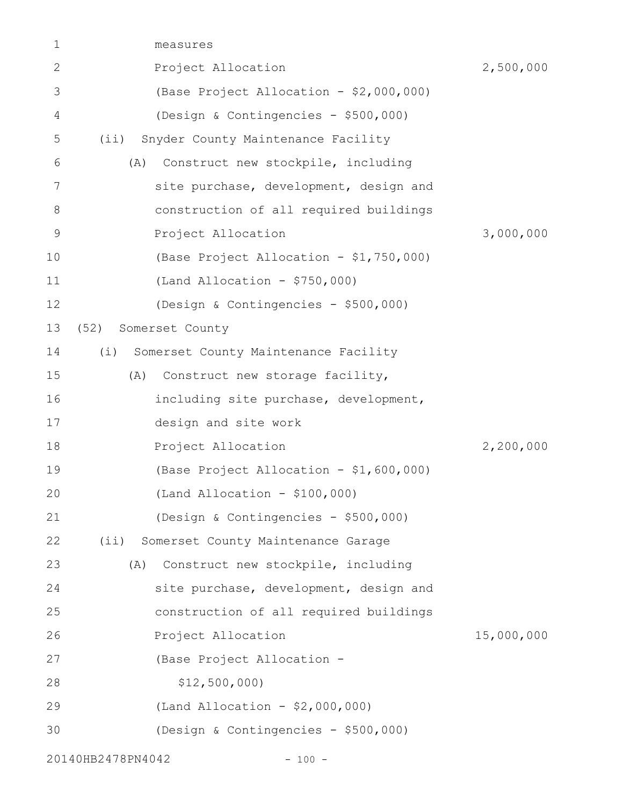| 1           | measures                                      |            |
|-------------|-----------------------------------------------|------------|
| 2           | Project Allocation                            | 2,500,000  |
| 3           | (Base Project Allocation - \$2,000,000)       |            |
| 4           | (Design & Contingencies - \$500,000)          |            |
| 5           | Snyder County Maintenance Facility<br>$(i$ i) |            |
| 6           | Construct new stockpile, including<br>(A)     |            |
| 7           | site purchase, development, design and        |            |
| 8           | construction of all required buildings        |            |
| $\mathsf 9$ | Project Allocation                            | 3,000,000  |
| 10          | (Base Project Allocation - \$1,750,000)       |            |
| 11          | $(Land Allocation - $750,000)$                |            |
| 12          | (Design & Contingencies - \$500,000)          |            |
| 13          | Somerset County<br>(52)                       |            |
| 14          | Somerset County Maintenance Facility<br>(i)   |            |
| 15          | Construct new storage facility,<br>(A)        |            |
| 16          | including site purchase, development,         |            |
| 17          | design and site work                          |            |
| 18          | Project Allocation                            | 2,200,000  |
| 19          | (Base Project Allocation - \$1,600,000)       |            |
| 20          | $(Land Allocation - $100,000)$                |            |
| 21          | (Design & Contingencies - \$500,000)          |            |
| 22          | Somerset County Maintenance Garage<br>$(i$ i) |            |
| 23          | Construct new stockpile, including<br>(A)     |            |
| 24          | site purchase, development, design and        |            |
| 25          | construction of all required buildings        |            |
| 26          | Project Allocation                            | 15,000,000 |
| 27          | (Base Project Allocation -                    |            |
| 28          | \$12,500,000                                  |            |
| 29          | (Land Allocation - $$2,000,000$ )             |            |
| 30          | (Design & Contingencies - \$500,000)          |            |
|             | 20140HB2478PN4042<br>$-100 -$                 |            |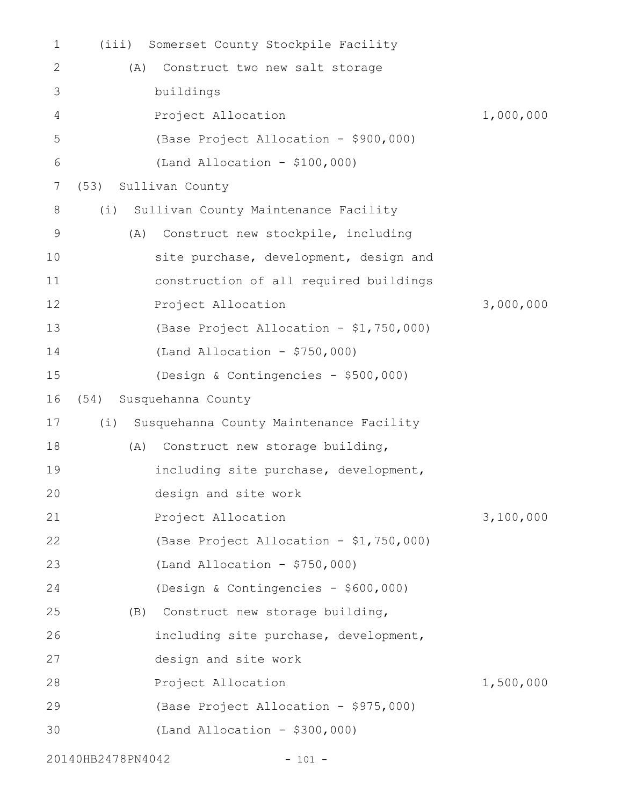| 1           | (iii) | Somerset County Stockpile Facility      |           |
|-------------|-------|-----------------------------------------|-----------|
| 2           | (A)   | Construct two new salt storage          |           |
| 3           |       | buildings                               |           |
| 4           |       | Project Allocation                      | 1,000,000 |
| 5           |       | (Base Project Allocation - \$900,000)   |           |
| 6           |       | $(Land Allocation - $100,000)$          |           |
| 7           | (53)  | Sullivan County                         |           |
| 8           | (i)   | Sullivan County Maintenance Facility    |           |
| $\mathsf 9$ | (A)   | Construct new stockpile, including      |           |
| 10          |       | site purchase, development, design and  |           |
| 11          |       | construction of all required buildings  |           |
| 12          |       | Project Allocation                      | 3,000,000 |
| 13          |       | (Base Project Allocation - \$1,750,000) |           |
| 14          |       | $(Land Allocation - $750,000)$          |           |
| 15          |       | (Design & Contingencies - \$500,000)    |           |
| 16          | (54)  | Susquehanna County                      |           |
| 17          | (i)   | Susquehanna County Maintenance Facility |           |
| 18          | (A)   | Construct new storage building,         |           |
| 19          |       | including site purchase, development,   |           |
| 20          |       | design and site work                    |           |
| 21          |       | Project Allocation                      | 3,100,000 |
| 22          |       | (Base Project Allocation - \$1,750,000) |           |
| 23          |       | $(Land$ Allocation - \$750,000)         |           |
| 24          |       | (Design & Contingencies - \$600,000)    |           |
| 25          |       | (B) Construct new storage building,     |           |
| 26          |       | including site purchase, development,   |           |
| 27          |       | design and site work                    |           |
| 28          |       | Project Allocation                      | 1,500,000 |
| 29          |       | (Base Project Allocation - \$975,000)   |           |
| 30          |       | $(Land Allocation - $300,000)$          |           |
|             |       |                                         |           |

20140HB2478PN4042 - 101 -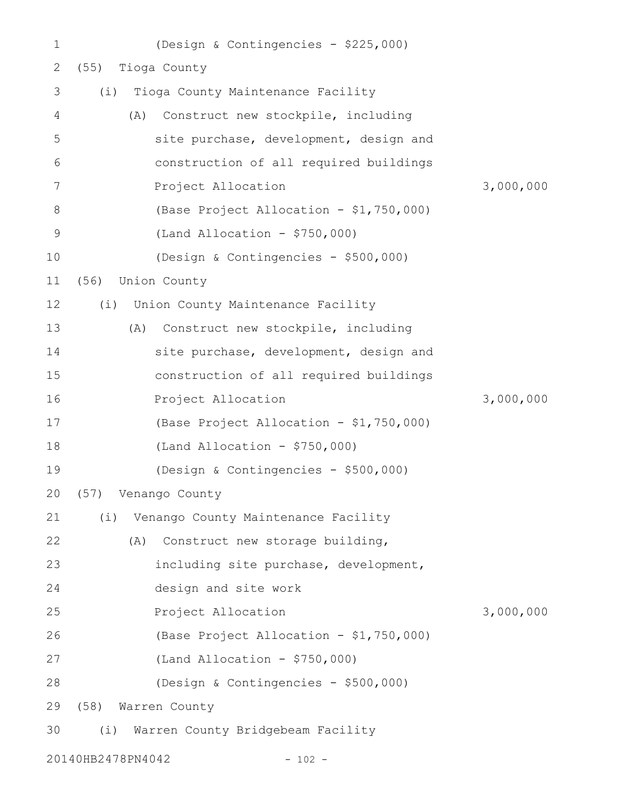| $\mathbf 1$ |                   | (Design & Contingencies - \$225,000)      |           |
|-------------|-------------------|-------------------------------------------|-----------|
| 2           | (55)              | Tioga County                              |           |
| 3           | (i)               | Tioga County Maintenance Facility         |           |
| 4           |                   | Construct new stockpile, including<br>(A) |           |
| 5           |                   | site purchase, development, design and    |           |
| 6           |                   | construction of all required buildings    |           |
| 7           |                   | Project Allocation                        | 3,000,000 |
| 8           |                   | (Base Project Allocation - \$1,750,000)   |           |
| $\mathsf 9$ |                   | (Land Allocation - $$750,000$ )           |           |
| 10          |                   | (Design & Contingencies - \$500,000)      |           |
| 11          | (56)              | Union County                              |           |
| 12          |                   | (i) Union County Maintenance Facility     |           |
| 13          |                   | Construct new stockpile, including<br>(A) |           |
| 14          |                   | site purchase, development, design and    |           |
| 15          |                   | construction of all required buildings    |           |
| 16          |                   | Project Allocation                        | 3,000,000 |
| 17          |                   | (Base Project Allocation - \$1,750,000)   |           |
| 18          |                   | $(Land$ Allocation - \$750,000)           |           |
| 19          |                   | (Design & Contingencies - \$500,000)      |           |
| 20          |                   | (57) Venango County                       |           |
| 21          | (i)               | Venango County Maintenance Facility       |           |
| 22          |                   | Construct new storage building,<br>(A)    |           |
| 23          |                   | including site purchase, development,     |           |
| 24          |                   | design and site work                      |           |
| 25          |                   | Project Allocation                        | 3,000,000 |
| 26          |                   | (Base Project Allocation - \$1,750,000)   |           |
| 27          |                   | (Land Allocation - $$750,000$ )           |           |
| 28          |                   | (Design & Contingencies - \$500,000)      |           |
| 29          |                   | (58) Warren County                        |           |
| 30          | (i)               | Warren County Bridgebeam Facility         |           |
|             | 20140HB2478PN4042 | $-102 -$                                  |           |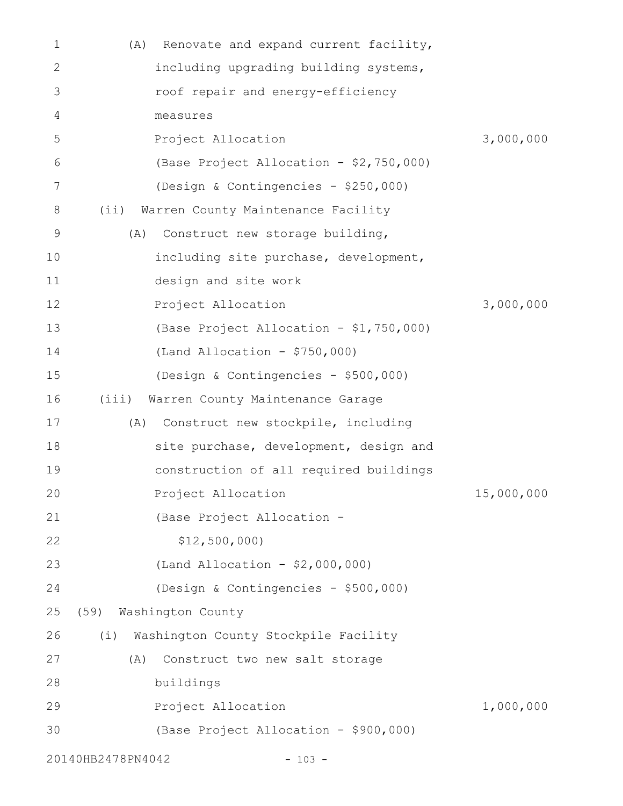| 1            | Renovate and expand current facility,<br>(A) |            |
|--------------|----------------------------------------------|------------|
| $\mathbf{2}$ | including upgrading building systems,        |            |
| 3            | roof repair and energy-efficiency            |            |
| 4            | measures                                     |            |
| 5            | Project Allocation                           | 3,000,000  |
| 6            | (Base Project Allocation - \$2,750,000)      |            |
| 7            | (Design & Contingencies - \$250,000)         |            |
| 8            | (iii)<br>Warren County Maintenance Facility  |            |
| 9            | Construct new storage building,<br>(A)       |            |
| 10           | including site purchase, development,        |            |
| 11           | design and site work                         |            |
| 12           | Project Allocation                           | 3,000,000  |
| 13           | (Base Project Allocation - \$1,750,000)      |            |
| 14           | (Land Allocation - $$750,000$ )              |            |
| 15           | (Design & Contingencies - \$500,000)         |            |
| 16           | Warren County Maintenance Garage<br>(iii)    |            |
| 17           | Construct new stockpile, including<br>(A)    |            |
| 18           | site purchase, development, design and       |            |
| 19           | construction of all required buildings       |            |
| 20           | Project Allocation                           | 15,000,000 |
| 21           | (Base Project Allocation -                   |            |
| 22           | \$12,500,000                                 |            |
| 23           | (Land Allocation - \$2,000,000)              |            |
| 24           | (Design & Contingencies - \$500,000)         |            |
| 25           | (59)<br>Washington County                    |            |
| 26           | Washington County Stockpile Facility<br>(i)  |            |
| 27           | Construct two new salt storage<br>(A)        |            |
| 28           | buildings                                    |            |
| 29           | Project Allocation                           | 1,000,000  |
| 30           | (Base Project Allocation - \$900,000)        |            |
|              | 20140HB2478PN4042<br>$-103 -$                |            |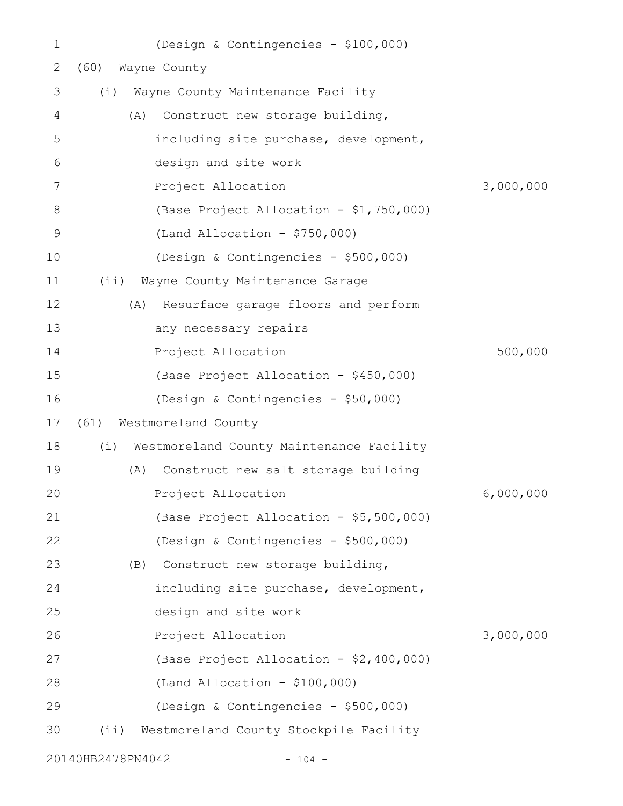| $\mathbf 1$   | (Design & Contingencies - \$100,000)          |           |
|---------------|-----------------------------------------------|-----------|
| 2             | Wayne County<br>(60)                          |           |
| 3             | Wayne County Maintenance Facility<br>(i)      |           |
| 4             | Construct new storage building,<br>(A)        |           |
| 5             | including site purchase, development,         |           |
| 6             | design and site work                          |           |
| 7             | Project Allocation                            | 3,000,000 |
| 8             | (Base Project Allocation - \$1,750,000)       |           |
| $\mathcal{G}$ | (Land Allocation - $$750,000$ )               |           |
| 10            | (Design & Contingencies - \$500,000)          |           |
| 11            | $(i$ i)<br>Wayne County Maintenance Garage    |           |
| 12            | Resurface garage floors and perform<br>(A)    |           |
| 13            | any necessary repairs                         |           |
| 14            | Project Allocation                            | 500,000   |
| 15            | (Base Project Allocation - \$450,000)         |           |
| 16            | (Design & Contingencies - \$50,000)           |           |
| 17            | (61) Westmoreland County                      |           |
| 18            | (i) Westmoreland County Maintenance Facility  |           |
| 19            | Construct new salt storage building<br>(A)    |           |
| 20            | Project Allocation                            | 6,000,000 |
| 21            | (Base Project Allocation - \$5,500,000)       |           |
| 22            | (Design & Contingencies - \$500,000)          |           |
| 23            | Construct new storage building,<br>(B)        |           |
| 24            | including site purchase, development,         |           |
| 25            | design and site work                          |           |
| 26            | Project Allocation                            | 3,000,000 |
| 27            | (Base Project Allocation - \$2,400,000)       |           |
| 28            | $(Land Allocation - $100,000)$                |           |
| 29            | (Design & Contingencies - \$500,000)          |           |
| 30            | Westmoreland County Stockpile Facility<br>(i) |           |
|               |                                               |           |

20140HB2478PN4042 - 104 -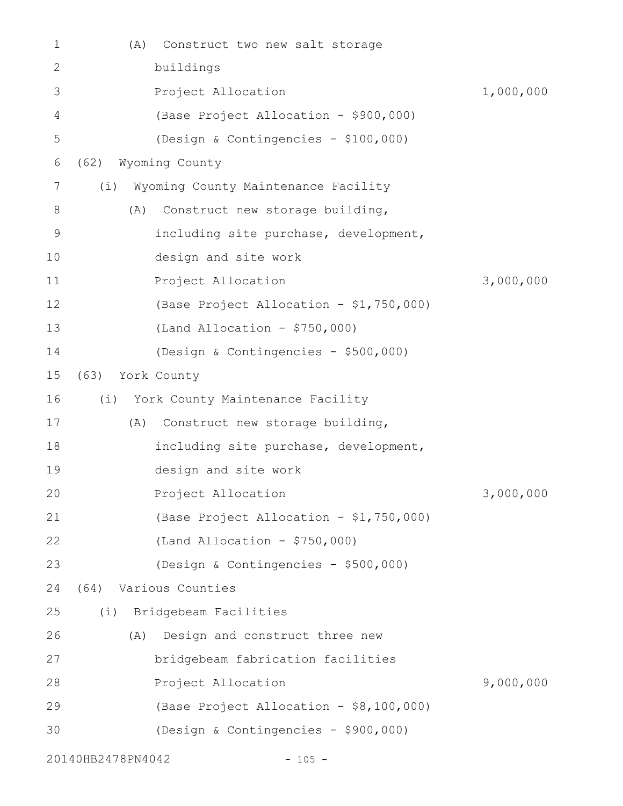| 1  | (A)               | Construct two new salt storage          |           |
|----|-------------------|-----------------------------------------|-----------|
| 2  |                   | buildings                               |           |
| 3  |                   | Project Allocation                      | 1,000,000 |
| 4  |                   | (Base Project Allocation - \$900,000)   |           |
| 5  |                   | (Design & Contingencies - \$100,000)    |           |
| 6  | (62)              | Wyoming County                          |           |
| 7  | (i)               | Wyoming County Maintenance Facility     |           |
| 8  | (A)               | Construct new storage building,         |           |
| 9  |                   | including site purchase, development,   |           |
| 10 |                   | design and site work                    |           |
| 11 |                   | Project Allocation                      | 3,000,000 |
| 12 |                   | (Base Project Allocation - \$1,750,000) |           |
| 13 |                   | (Land Allocation - $$750,000$ )         |           |
| 14 |                   | (Design & Contingencies - \$500,000)    |           |
| 15 | (63)              | York County                             |           |
| 16 | (i)               | York County Maintenance Facility        |           |
| 17 | (A)               | Construct new storage building,         |           |
| 18 |                   | including site purchase, development,   |           |
| 19 |                   | design and site work                    |           |
| 20 |                   | Project Allocation                      | 3,000,000 |
| 21 |                   | (Base Project Allocation - \$1,750,000) |           |
| 22 |                   | (Land Allocation - $$750,000$ )         |           |
| 23 |                   | (Design & Contingencies - \$500,000)    |           |
| 24 | (64)              | Various Counties                        |           |
| 25 | (i)               | Bridgebeam Facilities                   |           |
| 26 | (A)               | Design and construct three new          |           |
| 27 |                   | bridgebeam fabrication facilities       |           |
| 28 |                   | Project Allocation                      | 9,000,000 |
| 29 |                   | (Base Project Allocation - \$8,100,000) |           |
| 30 |                   | (Design & Contingencies - \$900,000)    |           |
|    | 20140HB2478PN4042 | $-105 -$                                |           |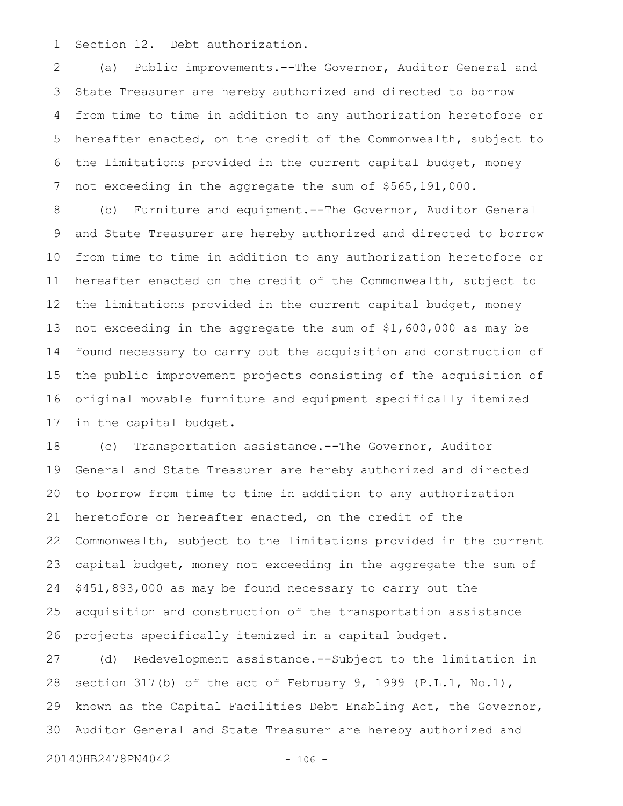Section 12. Debt authorization. 1

(a) Public improvements.--The Governor, Auditor General and State Treasurer are hereby authorized and directed to borrow from time to time in addition to any authorization heretofore or hereafter enacted, on the credit of the Commonwealth, subject to the limitations provided in the current capital budget, money not exceeding in the aggregate the sum of \$565,191,000. 2 3 4 5 6 7

(b) Furniture and equipment.--The Governor, Auditor General and State Treasurer are hereby authorized and directed to borrow from time to time in addition to any authorization heretofore or hereafter enacted on the credit of the Commonwealth, subject to the limitations provided in the current capital budget, money not exceeding in the aggregate the sum of \$1,600,000 as may be found necessary to carry out the acquisition and construction of the public improvement projects consisting of the acquisition of original movable furniture and equipment specifically itemized in the capital budget. 8 9 10 11 12 13 14 15 16 17

(c) Transportation assistance.--The Governor, Auditor General and State Treasurer are hereby authorized and directed to borrow from time to time in addition to any authorization heretofore or hereafter enacted, on the credit of the Commonwealth, subject to the limitations provided in the current capital budget, money not exceeding in the aggregate the sum of \$451,893,000 as may be found necessary to carry out the acquisition and construction of the transportation assistance projects specifically itemized in a capital budget. 18 19 20 21 22 23 24 25 26

(d) Redevelopment assistance.--Subject to the limitation in section 317(b) of the act of February 9, 1999 (P.L.1, No.1), known as the Capital Facilities Debt Enabling Act, the Governor, Auditor General and State Treasurer are hereby authorized and 27 28 29 30

20140HB2478PN4042 - 106 -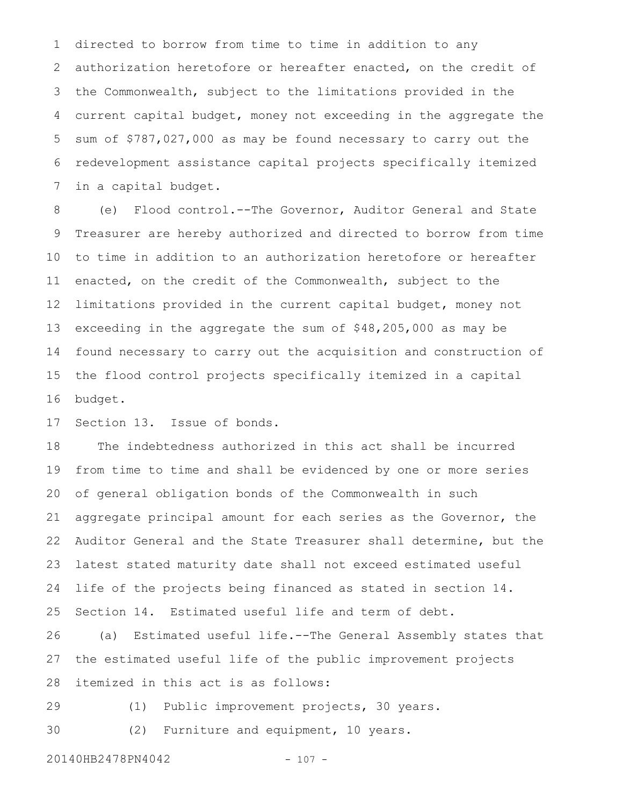directed to borrow from time to time in addition to any authorization heretofore or hereafter enacted, on the credit of the Commonwealth, subject to the limitations provided in the current capital budget, money not exceeding in the aggregate the sum of \$787,027,000 as may be found necessary to carry out the redevelopment assistance capital projects specifically itemized in a capital budget. 1 2 3 4 5 6 7

(e) Flood control.--The Governor, Auditor General and State Treasurer are hereby authorized and directed to borrow from time to time in addition to an authorization heretofore or hereafter enacted, on the credit of the Commonwealth, subject to the limitations provided in the current capital budget, money not exceeding in the aggregate the sum of \$48,205,000 as may be found necessary to carry out the acquisition and construction of the flood control projects specifically itemized in a capital budget. 8 9 10 11 12 13 14 15 16

Section 13. Issue of bonds. 17

The indebtedness authorized in this act shall be incurred from time to time and shall be evidenced by one or more series of general obligation bonds of the Commonwealth in such aggregate principal amount for each series as the Governor, the Auditor General and the State Treasurer shall determine, but the latest stated maturity date shall not exceed estimated useful life of the projects being financed as stated in section 14. Section 14. Estimated useful life and term of debt. 18 19 20 21 22 23 24 25

(a) Estimated useful life.--The General Assembly states that the estimated useful life of the public improvement projects itemized in this act is as follows: 26 27 28

29

(1) Public improvement projects, 30 years.

(2) Furniture and equipment, 10 years. 30

20140HB2478PN4042 - 107 -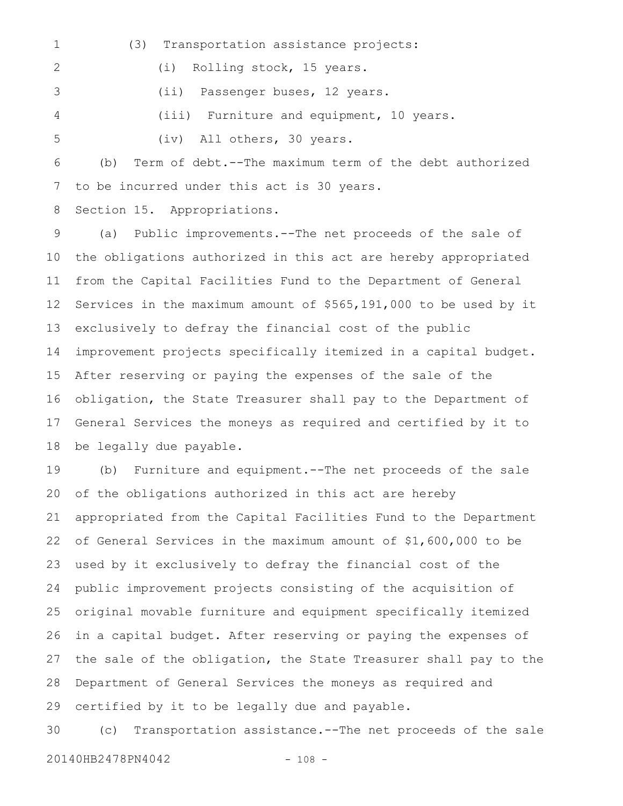(3) Transportation assistance projects: (i) Rolling stock, 15 years. (ii) Passenger buses, 12 years. (iii) Furniture and equipment, 10 years. (iv) All others, 30 years. 1 2 3 4 5

(b) Term of debt.--The maximum term of the debt authorized to be incurred under this act is 30 years. 6 7

Section 15. Appropriations. 8

(a) Public improvements.--The net proceeds of the sale of the obligations authorized in this act are hereby appropriated from the Capital Facilities Fund to the Department of General Services in the maximum amount of \$565,191,000 to be used by it exclusively to defray the financial cost of the public improvement projects specifically itemized in a capital budget. After reserving or paying the expenses of the sale of the obligation, the State Treasurer shall pay to the Department of General Services the moneys as required and certified by it to be legally due payable. 9 10 11 12 13 14 15 16 17 18

(b) Furniture and equipment.--The net proceeds of the sale of the obligations authorized in this act are hereby appropriated from the Capital Facilities Fund to the Department of General Services in the maximum amount of \$1,600,000 to be used by it exclusively to defray the financial cost of the public improvement projects consisting of the acquisition of original movable furniture and equipment specifically itemized in a capital budget. After reserving or paying the expenses of the sale of the obligation, the State Treasurer shall pay to the Department of General Services the moneys as required and certified by it to be legally due and payable. 19 20 21 22 23 24 25 26 27 28 29

(c) Transportation assistance.--The net proceeds of the sale 20140HB2478PN4042 - 108 -30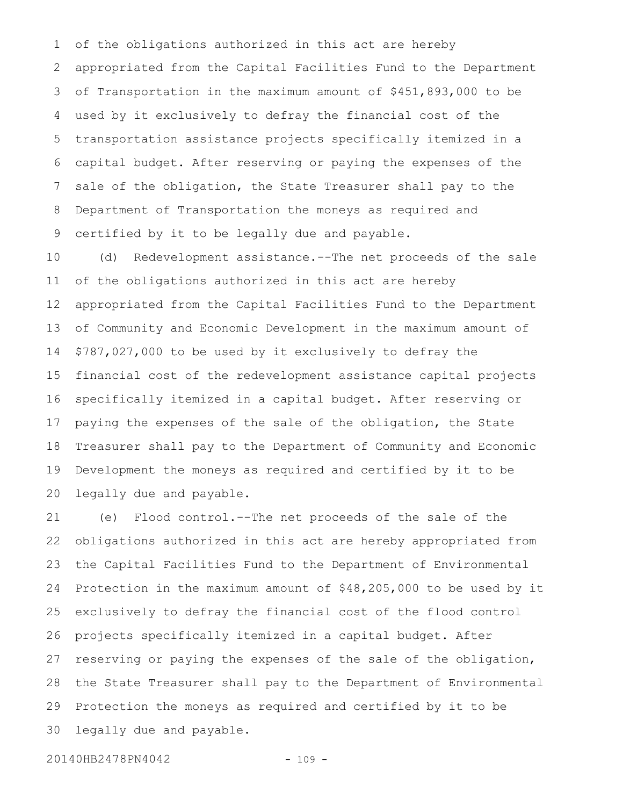of the obligations authorized in this act are hereby appropriated from the Capital Facilities Fund to the Department of Transportation in the maximum amount of \$451,893,000 to be used by it exclusively to defray the financial cost of the transportation assistance projects specifically itemized in a capital budget. After reserving or paying the expenses of the sale of the obligation, the State Treasurer shall pay to the Department of Transportation the moneys as required and certified by it to be legally due and payable. 1 2 3 4 5 6 7 8 9

(d) Redevelopment assistance.--The net proceeds of the sale of the obligations authorized in this act are hereby appropriated from the Capital Facilities Fund to the Department of Community and Economic Development in the maximum amount of \$787,027,000 to be used by it exclusively to defray the financial cost of the redevelopment assistance capital projects specifically itemized in a capital budget. After reserving or paying the expenses of the sale of the obligation, the State Treasurer shall pay to the Department of Community and Economic Development the moneys as required and certified by it to be legally due and payable. 10 11 12 13 14 15 16 17 18 19 20

(e) Flood control.--The net proceeds of the sale of the obligations authorized in this act are hereby appropriated from the Capital Facilities Fund to the Department of Environmental Protection in the maximum amount of \$48,205,000 to be used by it exclusively to defray the financial cost of the flood control projects specifically itemized in a capital budget. After reserving or paying the expenses of the sale of the obligation, the State Treasurer shall pay to the Department of Environmental Protection the moneys as required and certified by it to be legally due and payable. 21 22 23 24 25 26 27 28 29 30

20140HB2478PN4042 - 109 -